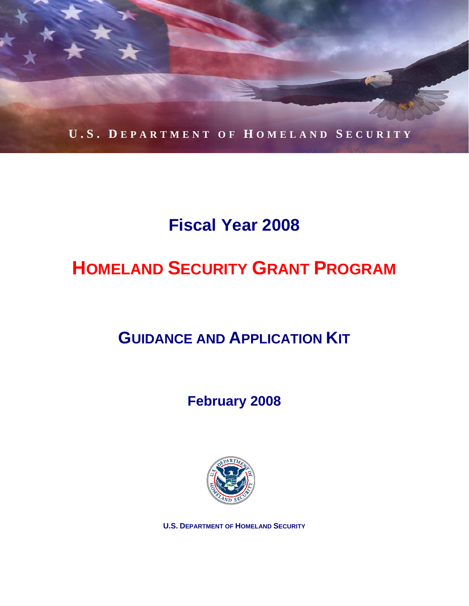

# **Fiscal Year 2008**

# **HOMELAND SECURITY GRANT PROGRAM**

# **GUIDANCE AND APPLICATION KIT**

## **February 2008**



**U.S. DEPARTMENT OF HOMELAND SECURITY**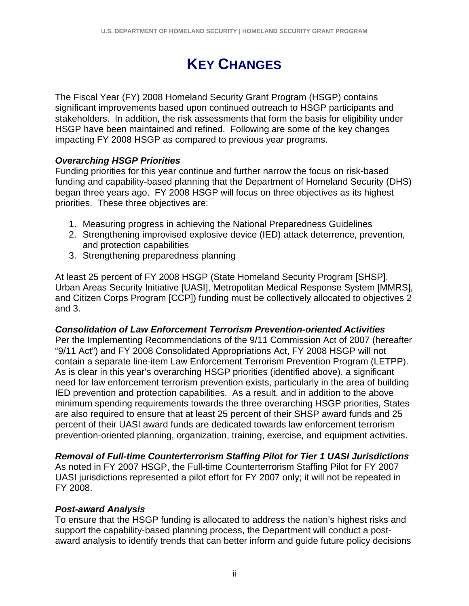## **KEY CHANGES**

The Fiscal Year (FY) 2008 Homeland Security Grant Program (HSGP) contains significant improvements based upon continued outreach to HSGP participants and stakeholders. In addition, the risk assessments that form the basis for eligibility under HSGP have been maintained and refined. Following are some of the key changes impacting FY 2008 HSGP as compared to previous year programs.

#### *Overarching HSGP Priorities*

Funding priorities for this year continue and further narrow the focus on risk-based funding and capability-based planning that the Department of Homeland Security (DHS) began three years ago. FY 2008 HSGP will focus on three objectives as its highest priorities. These three objectives are:

- 1. Measuring progress in achieving the National Preparedness Guidelines
- 2. Strengthening improvised explosive device (IED) attack deterrence, prevention, and protection capabilities
- 3. Strengthening preparedness planning

At least 25 percent of FY 2008 HSGP (State Homeland Security Program [SHSP], Urban Areas Security Initiative [UASI], Metropolitan Medical Response System [MMRS], and Citizen Corps Program [CCP]) funding must be collectively allocated to objectives 2 and 3.

#### *Consolidation of Law Enforcement Terrorism Prevention-oriented Activities*

Per the Implementing Recommendations of the 9/11 Commission Act of 2007 (hereafter "9/11 Act") and FY 2008 Consolidated Appropriations Act, FY 2008 HSGP will not contain a separate line-item Law Enforcement Terrorism Prevention Program (LETPP). As is clear in this year's overarching HSGP priorities (identified above), a significant need for law enforcement terrorism prevention exists, particularly in the area of building IED prevention and protection capabilities. As a result, and in addition to the above minimum spending requirements towards the three overarching HSGP priorities, States are also required to ensure that at least 25 percent of their SHSP award funds and 25 percent of their UASI award funds are dedicated towards law enforcement terrorism prevention-oriented planning, organization, training, exercise, and equipment activities.

#### *Removal of Full-time Counterterrorism Staffing Pilot for Tier 1 UASI Jurisdictions*

As noted in FY 2007 HSGP, the Full-time Counterterrorism Staffing Pilot for FY 2007 UASI jurisdictions represented a pilot effort for FY 2007 only; it will not be repeated in FY 2008.

#### *Post-award Analysis*

To ensure that the HSGP funding is allocated to address the nation's highest risks and support the capability-based planning process, the Department will conduct a postaward analysis to identify trends that can better inform and guide future policy decisions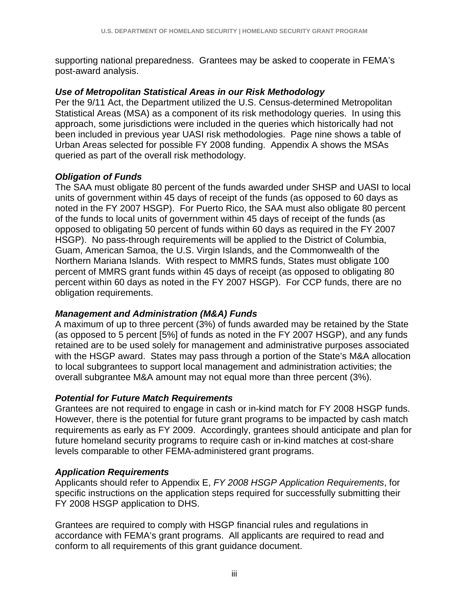supporting national preparedness. Grantees may be asked to cooperate in FEMA's post-award analysis.

#### *Use of Metropolitan Statistical Areas in our Risk Methodology*

Per the 9/11 Act, the Department utilized the U.S. Census-determined Metropolitan Statistical Areas (MSA) as a component of its risk methodology queries. In using this approach, some jurisdictions were included in the queries which historically had not been included in previous year UASI risk methodologies. Page nine shows a table of Urban Areas selected for possible FY 2008 funding. Appendix A shows the MSAs queried as part of the overall risk methodology.

#### *Obligation of Funds*

The SAA must obligate 80 percent of the funds awarded under SHSP and UASI to local units of government within 45 days of receipt of the funds (as opposed to 60 days as noted in the FY 2007 HSGP). For Puerto Rico, the SAA must also obligate 80 percent of the funds to local units of government within 45 days of receipt of the funds (as opposed to obligating 50 percent of funds within 60 days as required in the FY 2007 HSGP). No pass-through requirements will be applied to the District of Columbia, Guam, American Samoa, the U.S. Virgin Islands, and the Commonwealth of the Northern Mariana Islands. With respect to MMRS funds, States must obligate 100 percent of MMRS grant funds within 45 days of receipt (as opposed to obligating 80 percent within 60 days as noted in the FY 2007 HSGP). For CCP funds, there are no obligation requirements.

#### *Management and Administration (M&A) Funds*

A maximum of up to three percent (3%) of funds awarded may be retained by the State (as opposed to 5 percent [5%] of funds as noted in the FY 2007 HSGP), and any funds retained are to be used solely for management and administrative purposes associated with the HSGP award. States may pass through a portion of the State's M&A allocation to local subgrantees to support local management and administration activities; the overall subgrantee M&A amount may not equal more than three percent (3%).

#### *Potential for Future Match Requirements*

Grantees are not required to engage in cash or in-kind match for FY 2008 HSGP funds. However, there is the potential for future grant programs to be impacted by cash match requirements as early as FY 2009. Accordingly, grantees should anticipate and plan for future homeland security programs to require cash or in-kind matches at cost-share levels comparable to other FEMA-administered grant programs.

#### *Application Requirements*

Applicants should refer to Appendix E, *FY 2008 HSGP Application Requirements*, for specific instructions on the application steps required for successfully submitting their FY 2008 HSGP application to DHS.

Grantees are required to comply with HSGP financial rules and regulations in accordance with FEMA's grant programs. All applicants are required to read and conform to all requirements of this grant guidance document.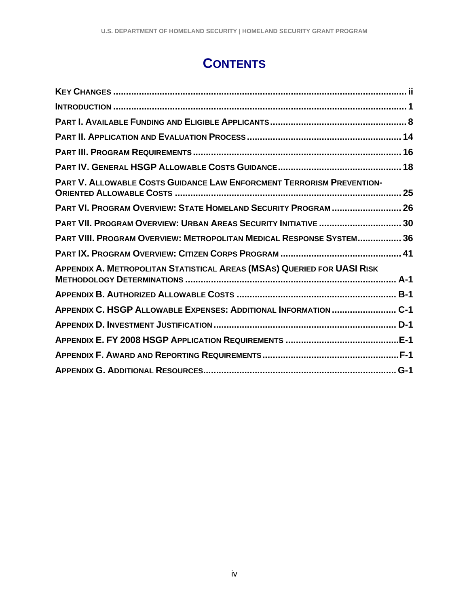## **CONTENTS**

| <b>PART V. ALLOWABLE COSTS GUIDANCE LAW ENFORCMENT TERRORISM PREVENTION-</b>   |
|--------------------------------------------------------------------------------|
| PART VI. PROGRAM OVERVIEW: STATE HOMELAND SECURITY PROGRAM  26                 |
| PART VII. PROGRAM OVERVIEW: URBAN AREAS SECURITY INITIATIVE  30                |
| PART VIII. PROGRAM OVERVIEW: METROPOLITAN MEDICAL RESPONSE SYSTEM 36           |
|                                                                                |
| <b>APPENDIX A. METROPOLITAN STATISTICAL AREAS (MSAS) QUERIED FOR UASI RISK</b> |
|                                                                                |
| APPENDIX C. HSGP ALLOWABLE EXPENSES: ADDITIONAL INFORMATION  C-1               |
|                                                                                |
|                                                                                |
|                                                                                |
|                                                                                |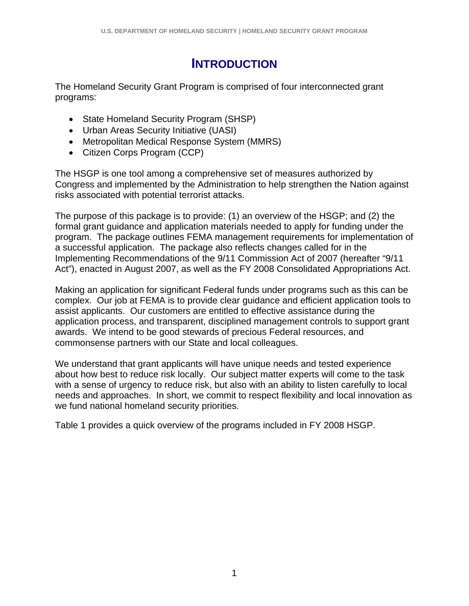## **INTRODUCTION**

The Homeland Security Grant Program is comprised of four interconnected grant programs:

- State Homeland Security Program (SHSP)
- Urban Areas Security Initiative (UASI)
- Metropolitan Medical Response System (MMRS)
- Citizen Corps Program (CCP)

The HSGP is one tool among a comprehensive set of measures authorized by Congress and implemented by the Administration to help strengthen the Nation against risks associated with potential terrorist attacks.

The purpose of this package is to provide: (1) an overview of the HSGP; and (2) the formal grant guidance and application materials needed to apply for funding under the program. The package outlines FEMA management requirements for implementation of a successful application. The package also reflects changes called for in the Implementing Recommendations of the 9/11 Commission Act of 2007 (hereafter "9/11 Act"), enacted in August 2007, as well as the FY 2008 Consolidated Appropriations Act.

Making an application for significant Federal funds under programs such as this can be complex. Our job at FEMA is to provide clear guidance and efficient application tools to assist applicants. Our customers are entitled to effective assistance during the application process, and transparent, disciplined management controls to support grant awards. We intend to be good stewards of precious Federal resources, and commonsense partners with our State and local colleagues.

We understand that grant applicants will have unique needs and tested experience about how best to reduce risk locally. Our subject matter experts will come to the task with a sense of urgency to reduce risk, but also with an ability to listen carefully to local needs and approaches. In short, we commit to respect flexibility and local innovation as we fund national homeland security priorities.

Table 1 provides a quick overview of the programs included in FY 2008 HSGP.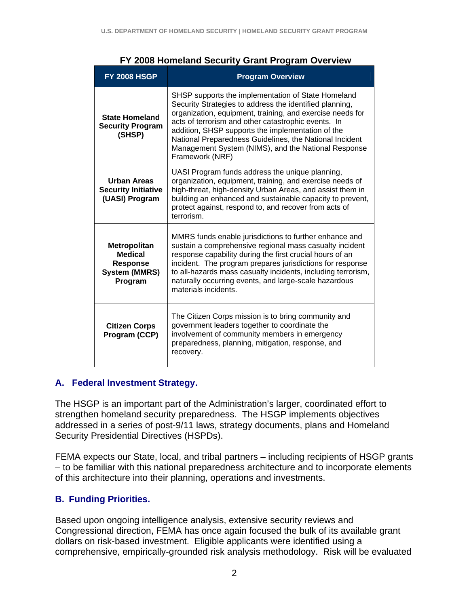| <b>FY 2008 HSGP</b>                                                           | <b>Program Overview</b>                                                                                                                                                                                                                                                                                                                                                                                                     |  |  |  |
|-------------------------------------------------------------------------------|-----------------------------------------------------------------------------------------------------------------------------------------------------------------------------------------------------------------------------------------------------------------------------------------------------------------------------------------------------------------------------------------------------------------------------|--|--|--|
| <b>State Homeland</b><br><b>Security Program</b><br>(SHSP)                    | SHSP supports the implementation of State Homeland<br>Security Strategies to address the identified planning,<br>organization, equipment, training, and exercise needs for<br>acts of terrorism and other catastrophic events. In<br>addition, SHSP supports the implementation of the<br>National Preparedness Guidelines, the National Incident<br>Management System (NIMS), and the National Response<br>Framework (NRF) |  |  |  |
| <b>Urban Areas</b><br><b>Security Initiative</b><br>(UASI) Program            | UASI Program funds address the unique planning,<br>organization, equipment, training, and exercise needs of<br>high-threat, high-density Urban Areas, and assist them in<br>building an enhanced and sustainable capacity to prevent,<br>protect against, respond to, and recover from acts of<br>terrorism.                                                                                                                |  |  |  |
| Metropolitan<br><b>Medical</b><br>Response<br><b>System (MMRS)</b><br>Program | MMRS funds enable jurisdictions to further enhance and<br>sustain a comprehensive regional mass casualty incident<br>response capability during the first crucial hours of an<br>incident. The program prepares jurisdictions for response<br>to all-hazards mass casualty incidents, including terrorism,<br>naturally occurring events, and large-scale hazardous<br>materials incidents.                                 |  |  |  |
| <b>Citizen Corps</b><br>Program (CCP)                                         | The Citizen Corps mission is to bring community and<br>government leaders together to coordinate the<br>involvement of community members in emergency<br>preparedness, planning, mitigation, response, and<br>recovery.                                                                                                                                                                                                     |  |  |  |

#### **FY 2008 Homeland Security Grant Program Overview**

#### **A. Federal Investment Strategy.**

The HSGP is an important part of the Administration's larger, coordinated effort to strengthen homeland security preparedness. The HSGP implements objectives addressed in a series of post-9/11 laws, strategy documents, plans and Homeland Security Presidential Directives (HSPDs).

FEMA expects our State, local, and tribal partners – including recipients of HSGP grants – to be familiar with this national preparedness architecture and to incorporate elements of this architecture into their planning, operations and investments.

#### **B. Funding Priorities.**

Based upon ongoing intelligence analysis, extensive security reviews and Congressional direction, FEMA has once again focused the bulk of its available grant dollars on risk-based investment. Eligible applicants were identified using a comprehensive, empirically-grounded risk analysis methodology. Risk will be evaluated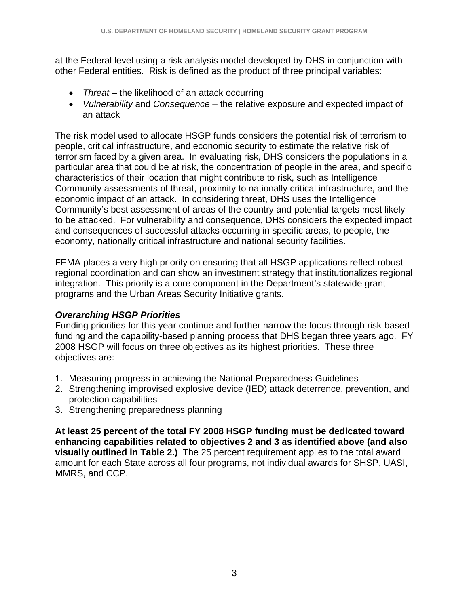at the Federal level using a risk analysis model developed by DHS in conjunction with other Federal entities. Risk is defined as the product of three principal variables:

- *Threat* the likelihood of an attack occurring
- *Vulnerability* and *Consequence* the relative exposure and expected impact of an attack

The risk model used to allocate HSGP funds considers the potential risk of terrorism to people, critical infrastructure, and economic security to estimate the relative risk of terrorism faced by a given area. In evaluating risk, DHS considers the populations in a particular area that could be at risk, the concentration of people in the area, and specific characteristics of their location that might contribute to risk, such as Intelligence Community assessments of threat, proximity to nationally critical infrastructure, and the economic impact of an attack. In considering threat, DHS uses the Intelligence Community's best assessment of areas of the country and potential targets most likely to be attacked. For vulnerability and consequence, DHS considers the expected impact and consequences of successful attacks occurring in specific areas, to people, the economy, nationally critical infrastructure and national security facilities.

FEMA places a very high priority on ensuring that all HSGP applications reflect robust regional coordination and can show an investment strategy that institutionalizes regional integration. This priority is a core component in the Department's statewide grant programs and the Urban Areas Security Initiative grants.

#### *Overarching HSGP Priorities*

Funding priorities for this year continue and further narrow the focus through risk-based funding and the capability-based planning process that DHS began three years ago. FY 2008 HSGP will focus on three objectives as its highest priorities. These three objectives are:

- 1. Measuring progress in achieving the National Preparedness Guidelines
- 2. Strengthening improvised explosive device (IED) attack deterrence, prevention, and protection capabilities
- 3. Strengthening preparedness planning

**At least 25 percent of the total FY 2008 HSGP funding must be dedicated toward enhancing capabilities related to objectives 2 and 3 as identified above (and also visually outlined in Table 2.)** The 25 percent requirement applies to the total award amount for each State across all four programs, not individual awards for SHSP, UASI, MMRS, and CCP.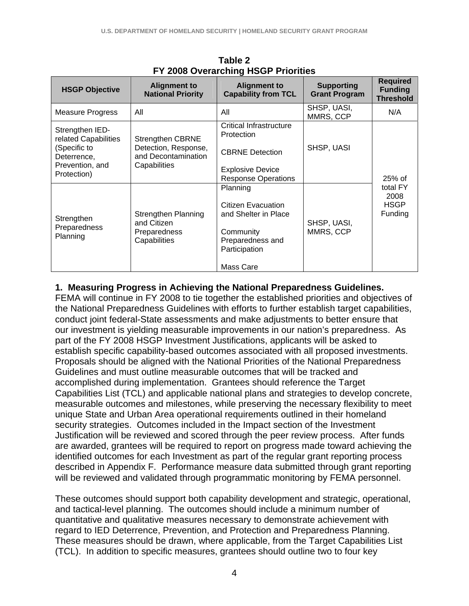| <b>HSGP Objective</b>                                         | <b>Alignment to</b><br><b>National Priority</b>                    | <b>Alignment to</b><br><b>Capability from TCL</b>                                       | <b>Supporting</b><br><b>Grant Program</b> | <b>Required</b><br><b>Funding</b><br><b>Threshold</b> |
|---------------------------------------------------------------|--------------------------------------------------------------------|-----------------------------------------------------------------------------------------|-------------------------------------------|-------------------------------------------------------|
| <b>Measure Progress</b>                                       | All                                                                | All                                                                                     | SHSP, UASI,<br>MMRS, CCP                  | N/A                                                   |
| Strengthen IED-<br>related Capabilities                       | <b>Strengthen CBRNE</b>                                            | <b>Critical Infrastructure</b><br>Protection                                            |                                           |                                                       |
| (Specific to<br>Deterrence,<br>Prevention, and<br>Protection) | Detection, Response,<br>and Decontamination<br>Capabilities        | <b>CBRNE Detection</b>                                                                  | SHSP, UASI                                |                                                       |
|                                                               |                                                                    | <b>Explosive Device</b>                                                                 |                                           |                                                       |
|                                                               |                                                                    | <b>Response Operations</b>                                                              |                                           | 25% of                                                |
| Strengthen<br>Preparedness<br>Planning                        | Strengthen Planning<br>and Citizen<br>Preparedness<br>Capabilities | Planning<br>Citizen Evacuation<br>and Shelter in Place<br>Community<br>Preparedness and | SHSP, UASI,<br>MMRS, CCP                  | total FY<br>2008<br><b>HSGP</b><br>Funding            |
|                                                               |                                                                    | Participation<br>Mass Care                                                              |                                           |                                                       |

**Table 2 FY 2008 Overarching HSGP Priorities** 

#### **1. Measuring Progress in Achieving the National Preparedness Guidelines.**

FEMA will continue in FY 2008 to tie together the established priorities and objectives of the National Preparedness Guidelines with efforts to further establish target capabilities, conduct joint federal-State assessments and make adjustments to better ensure that our investment is yielding measurable improvements in our nation's preparedness. As part of the FY 2008 HSGP Investment Justifications, applicants will be asked to establish specific capability-based outcomes associated with all proposed investments. Proposals should be aligned with the National Priorities of the National Preparedness Guidelines and must outline measurable outcomes that will be tracked and accomplished during implementation. Grantees should reference the Target Capabilities List (TCL) and applicable national plans and strategies to develop concrete, measurable outcomes and milestones, while preserving the necessary flexibility to meet unique State and Urban Area operational requirements outlined in their homeland security strategies. Outcomes included in the Impact section of the Investment Justification will be reviewed and scored through the peer review process. After funds are awarded, grantees will be required to report on progress made toward achieving the identified outcomes for each Investment as part of the regular grant reporting process described in Appendix F. Performance measure data submitted through grant reporting will be reviewed and validated through programmatic monitoring by FEMA personnel.

These outcomes should support both capability development and strategic, operational, and tactical-level planning. The outcomes should include a minimum number of quantitative and qualitative measures necessary to demonstrate achievement with regard to IED Deterrence, Prevention, and Protection and Preparedness Planning. These measures should be drawn, where applicable, from the Target Capabilities List (TCL). In addition to specific measures, grantees should outline two to four key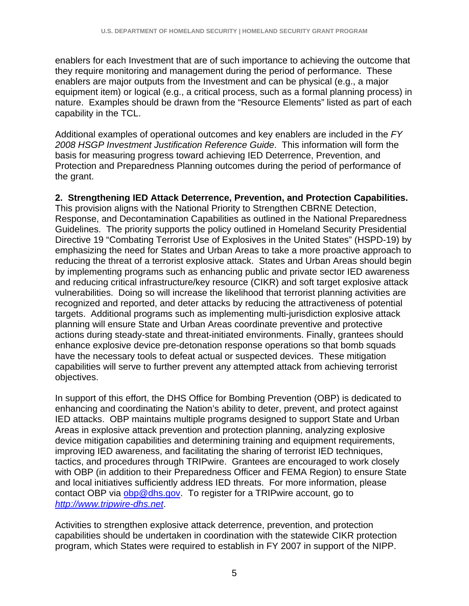enablers for each Investment that are of such importance to achieving the outcome that they require monitoring and management during the period of performance. These enablers are major outputs from the Investment and can be physical (e.g., a major equipment item) or logical (e.g., a critical process, such as a formal planning process) in nature. Examples should be drawn from the "Resource Elements" listed as part of each capability in the TCL.

Additional examples of operational outcomes and key enablers are included in the *FY 2008 HSGP Investment Justification Reference Guide*. This information will form the basis for measuring progress toward achieving IED Deterrence, Prevention, and Protection and Preparedness Planning outcomes during the period of performance of the grant.

#### **2. Strengthening IED Attack Deterrence, Prevention, and Protection Capabilities.**

This provision aligns with the National Priority to Strengthen CBRNE Detection, Response, and Decontamination Capabilities as outlined in the National Preparedness Guidelines. The priority supports the policy outlined in Homeland Security Presidential Directive 19 "Combating Terrorist Use of Explosives in the United States" (HSPD-19) by emphasizing the need for States and Urban Areas to take a more proactive approach to reducing the threat of a terrorist explosive attack. States and Urban Areas should begin by implementing programs such as enhancing public and private sector IED awareness and reducing critical infrastructure/key resource (CIKR) and soft target explosive attack vulnerabilities. Doing so will increase the likelihood that terrorist planning activities are recognized and reported, and deter attacks by reducing the attractiveness of potential targets. Additional programs such as implementing multi-jurisdiction explosive attack planning will ensure State and Urban Areas coordinate preventive and protective actions during steady-state and threat-initiated environments. Finally, grantees should enhance explosive device pre-detonation response operations so that bomb squads have the necessary tools to defeat actual or suspected devices. These mitigation capabilities will serve to further prevent any attempted attack from achieving terrorist objectives.

In support of this effort, the DHS Office for Bombing Prevention (OBP) is dedicated to enhancing and coordinating the Nation's ability to deter, prevent, and protect against IED attacks. OBP maintains multiple programs designed to support State and Urban Areas in explosive attack prevention and protection planning, analyzing explosive device mitigation capabilities and determining training and equipment requirements, improving IED awareness, and facilitating the sharing of terrorist IED techniques, tactics, and procedures through TRIPwire. Grantees are encouraged to work closely with OBP (in addition to their Preparedness Officer and FEMA Region) to ensure State and local initiatives sufficiently address IED threats. For more information, please contact OBP via obp@dhs.gov. To register for a TRIPwire account, go to *http://www.tripwire-dhs.net*.

Activities to strengthen explosive attack deterrence, prevention, and protection capabilities should be undertaken in coordination with the statewide CIKR protection program, which States were required to establish in FY 2007 in support of the NIPP.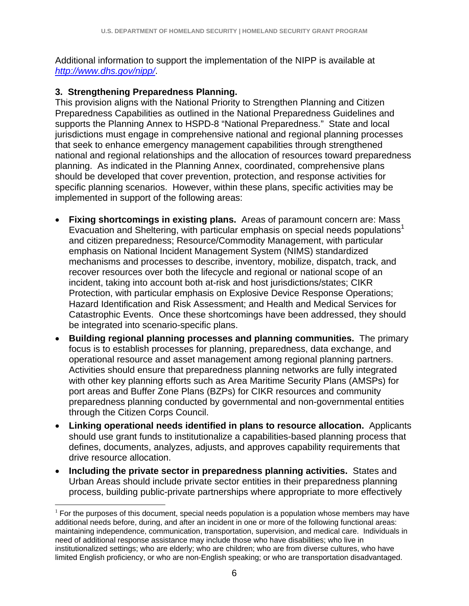Additional information to support the implementation of the NIPP is available at *http://www.dhs.gov/nipp/*.

#### **3. Strengthening Preparedness Planning.**

This provision aligns with the National Priority to Strengthen Planning and Citizen Preparedness Capabilities as outlined in the National Preparedness Guidelines and supports the Planning Annex to HSPD-8 "National Preparedness." State and local jurisdictions must engage in comprehensive national and regional planning processes that seek to enhance emergency management capabilities through strengthened national and regional relationships and the allocation of resources toward preparedness planning. As indicated in the Planning Annex, coordinated, comprehensive plans should be developed that cover prevention, protection, and response activities for specific planning scenarios. However, within these plans, specific activities may be implemented in support of the following areas:

- **Fixing shortcomings in existing plans.** Areas of paramount concern are: Mass Evacuation and Sheltering, with particular emphasis on special needs populations<sup>1</sup> and citizen preparedness; Resource/Commodity Management, with particular emphasis on National Incident Management System (NIMS) standardized mechanisms and processes to describe, inventory, mobilize, dispatch, track, and recover resources over both the lifecycle and regional or national scope of an incident, taking into account both at-risk and host jurisdictions/states; CIKR Protection, with particular emphasis on Explosive Device Response Operations; Hazard Identification and Risk Assessment; and Health and Medical Services for Catastrophic Events. Once these shortcomings have been addressed, they should be integrated into scenario-specific plans.
- **Building regional planning processes and planning communities.** The primary focus is to establish processes for planning, preparedness, data exchange, and operational resource and asset management among regional planning partners. Activities should ensure that preparedness planning networks are fully integrated with other key planning efforts such as Area Maritime Security Plans (AMSPs) for port areas and Buffer Zone Plans (BZPs) for CIKR resources and community preparedness planning conducted by governmental and non-governmental entities through the Citizen Corps Council.
- **Linking operational needs identified in plans to resource allocation.** Applicants should use grant funds to institutionalize a capabilities-based planning process that defines, documents, analyzes, adjusts, and approves capability requirements that drive resource allocation.
- **Including the private sector in preparedness planning activities.** States and Urban Areas should include private sector entities in their preparedness planning process, building public-private partnerships where appropriate to more effectively

<sup>&</sup>lt;u>.</u>  $1$  For the purposes of this document, special needs population is a population whose members may have additional needs before, during, and after an incident in one or more of the following functional areas: maintaining independence, communication, transportation, supervision, and medical care. Individuals in need of additional response assistance may include those who have disabilities; who live in institutionalized settings; who are elderly; who are children; who are from diverse cultures, who have limited English proficiency, or who are non-English speaking; or who are transportation disadvantaged.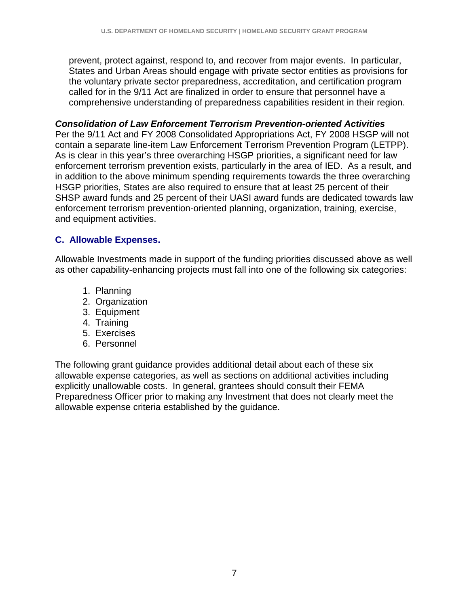prevent, protect against, respond to, and recover from major events. In particular, States and Urban Areas should engage with private sector entities as provisions for the voluntary private sector preparedness, accreditation, and certification program called for in the 9/11 Act are finalized in order to ensure that personnel have a comprehensive understanding of preparedness capabilities resident in their region.

#### *Consolidation of Law Enforcement Terrorism Prevention-oriented Activities*

Per the 9/11 Act and FY 2008 Consolidated Appropriations Act, FY 2008 HSGP will not contain a separate line-item Law Enforcement Terrorism Prevention Program (LETPP). As is clear in this year's three overarching HSGP priorities, a significant need for law enforcement terrorism prevention exists, particularly in the area of IED. As a result, and in addition to the above minimum spending requirements towards the three overarching HSGP priorities, States are also required to ensure that at least 25 percent of their SHSP award funds and 25 percent of their UASI award funds are dedicated towards law enforcement terrorism prevention-oriented planning, organization, training, exercise, and equipment activities.

#### **C. Allowable Expenses.**

Allowable Investments made in support of the funding priorities discussed above as well as other capability-enhancing projects must fall into one of the following six categories:

- 1. Planning
- 2. Organization
- 3. Equipment
- 4. Training
- 5. Exercises
- 6. Personnel

The following grant guidance provides additional detail about each of these six allowable expense categories, as well as sections on additional activities including explicitly unallowable costs. In general, grantees should consult their FEMA Preparedness Officer prior to making any Investment that does not clearly meet the allowable expense criteria established by the guidance.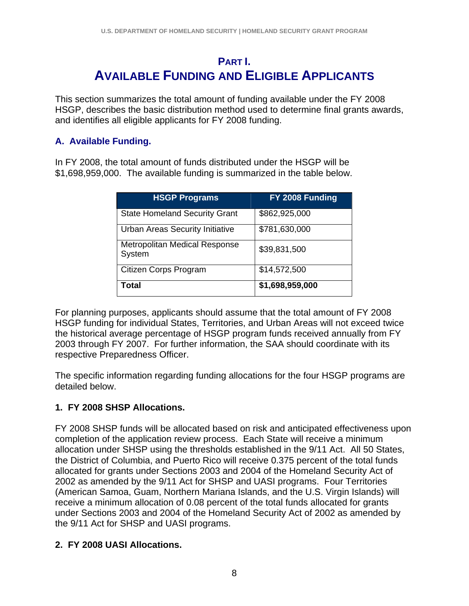### **PART I. AVAILABLE FUNDING AND ELIGIBLE APPLICANTS**

This section summarizes the total amount of funding available under the FY 2008 HSGP, describes the basic distribution method used to determine final grants awards, and identifies all eligible applicants for FY 2008 funding.

#### **A. Available Funding.**

In FY 2008, the total amount of funds distributed under the HSGP will be \$1,698,959,000. The available funding is summarized in the table below.

| <b>HSGP Programs</b>                           | FY 2008 Funding |
|------------------------------------------------|-----------------|
| <b>State Homeland Security Grant</b>           | \$862,925,000   |
| Urban Areas Security Initiative                | \$781,630,000   |
| <b>Metropolitan Medical Response</b><br>System | \$39,831,500    |
| Citizen Corps Program                          | \$14,572,500    |
| Total                                          | \$1,698,959,000 |

For planning purposes, applicants should assume that the total amount of FY 2008 HSGP funding for individual States, Territories, and Urban Areas will not exceed twice the historical average percentage of HSGP program funds received annually from FY 2003 through FY 2007. For further information, the SAA should coordinate with its respective Preparedness Officer.

The specific information regarding funding allocations for the four HSGP programs are detailed below.

#### **1. FY 2008 SHSP Allocations.**

FY 2008 SHSP funds will be allocated based on risk and anticipated effectiveness upon completion of the application review process. Each State will receive a minimum allocation under SHSP using the thresholds established in the 9/11 Act. All 50 States, the District of Columbia, and Puerto Rico will receive 0.375 percent of the total funds allocated for grants under Sections 2003 and 2004 of the Homeland Security Act of 2002 as amended by the 9/11 Act for SHSP and UASI programs. Four Territories (American Samoa, Guam, Northern Mariana Islands, and the U.S. Virgin Islands) will receive a minimum allocation of 0.08 percent of the total funds allocated for grants under Sections 2003 and 2004 of the Homeland Security Act of 2002 as amended by the 9/11 Act for SHSP and UASI programs.

#### **2. FY 2008 UASI Allocations.**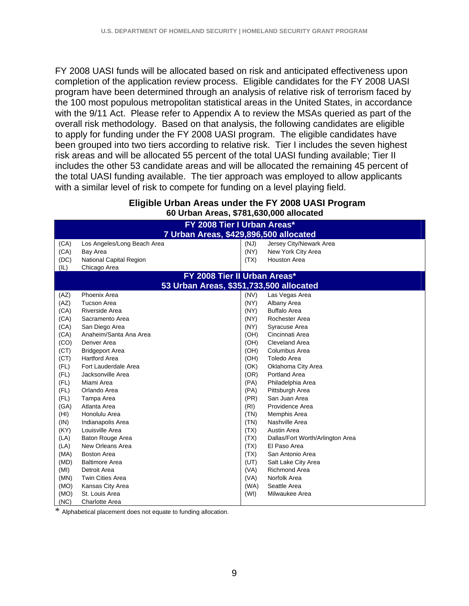FY 2008 UASI funds will be allocated based on risk and anticipated effectiveness upon completion of the application review process. Eligible candidates for the FY 2008 UASI program have been determined through an analysis of relative risk of terrorism faced by the 100 most populous metropolitan statistical areas in the United States, in accordance with the 9/11 Act. Please refer to Appendix A to review the MSAs queried as part of the overall risk methodology. Based on that analysis, the following candidates are eligible to apply for funding under the FY 2008 UASI program. The eligible candidates have been grouped into two tiers according to relative risk. Tier I includes the seven highest risk areas and will be allocated 55 percent of the total UASI funding available; Tier II includes the other 53 candidate areas and will be allocated the remaining 45 percent of the total UASI funding available. The tier approach was employed to allow applicants with a similar level of risk to compete for funding on a level playing field.

| Eligible Urban Areas under the FY 2008 UASI Program |  |
|-----------------------------------------------------|--|
| 60 Urban Areas, \$781,630,000 allocated             |  |

|      | FY 2008 Tier I Urban Areas*             |      |                                  |  |  |
|------|-----------------------------------------|------|----------------------------------|--|--|
|      | 7 Urban Areas, \$429,896,500 allocated  |      |                                  |  |  |
| (CA) | Los Angeles/Long Beach Area             | (NJ) | Jersey City/Newark Area          |  |  |
| (CA) | Bay Area                                | (NY) | New York City Area               |  |  |
| (DC) | <b>National Capital Region</b>          | (TX) | <b>Houston Area</b>              |  |  |
| (IL) | Chicago Area                            |      |                                  |  |  |
|      | FY 2008 Tier II Urban Areas*            |      |                                  |  |  |
|      | 53 Urban Areas, \$351,733,500 allocated |      |                                  |  |  |
| (AZ) | Phoenix Area                            | (NV) | Las Vegas Area                   |  |  |
| (AZ) | <b>Tucson Area</b>                      | (NY) | Albany Area                      |  |  |
| (CA) | Riverside Area                          | (NY) | <b>Buffalo Area</b>              |  |  |
| (CA) | Sacramento Area                         | (NY) | Rochester Area                   |  |  |
| (CA) | San Diego Area                          | (NY) | Syracuse Area                    |  |  |
| (CA) | Anaheim/Santa Ana Area                  | (OH) | Cincinnati Area                  |  |  |
| (CO) | Denver Area                             | (OH) | Cleveland Area                   |  |  |
| (CT) | <b>Bridgeport Area</b>                  | (OH) | Columbus Area                    |  |  |
| (CT) | <b>Hartford Area</b>                    | (OH) | Toledo Area                      |  |  |
| (FL) | Fort Lauderdale Area                    | (OK) | Oklahoma City Area               |  |  |
| (FL) | Jacksonville Area                       | (OR) | Portland Area                    |  |  |
| (FL) | Miami Area                              | (PA) | Philadelphia Area                |  |  |
| (FL) | Orlando Area                            | (PA) | Pittsburgh Area                  |  |  |
| (FL) | Tampa Area                              | (PR) | San Juan Area                    |  |  |
| (GA) | Atlanta Area                            | (RI) | Providence Area                  |  |  |
| (HI) | Honolulu Area                           | (TN) | Memphis Area                     |  |  |
| (IN) | Indianapolis Area                       | (TN) | Nashville Area                   |  |  |
| (KY) | Louisville Area                         | (TX) | Austin Area                      |  |  |
| (LA) | <b>Baton Rouge Area</b>                 | (TX) | Dallas/Fort Worth/Arlington Area |  |  |
| (LA) | New Orleans Area                        | (TX) | El Paso Area                     |  |  |
| (MA) | <b>Boston Area</b>                      | (TX) | San Antonio Area                 |  |  |
| (MD) | <b>Baltimore Area</b>                   | (UT) | Salt Lake City Area              |  |  |
| (MI) | Detroit Area                            | (VA) | <b>Richmond Area</b>             |  |  |
| (MN) | <b>Twin Cities Area</b>                 | (VA) | Norfolk Area                     |  |  |
| (MO) | Kansas City Area                        | (WA) | Seattle Area                     |  |  |
| (MO) | St. Louis Area                          | (WI) | Milwaukee Area                   |  |  |
| (NC) | <b>Charlotte Area</b>                   |      |                                  |  |  |

\* Alphabetical placement does not equate to funding allocation.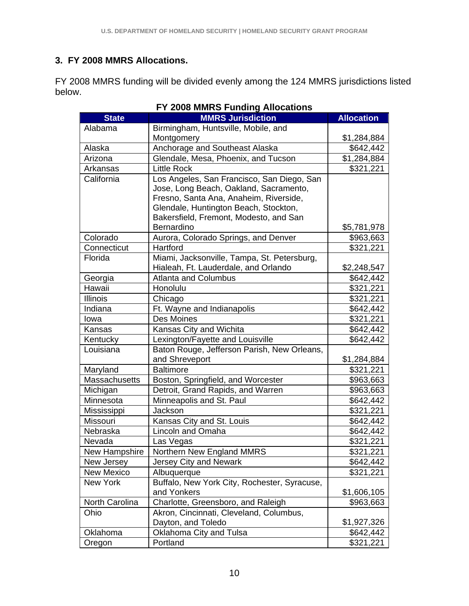#### **3. FY 2008 MMRS Allocations.**

FY 2008 MMRS funding will be divided evenly among the 124 MMRS jurisdictions listed below.

|                      | <b>EUVO MININO LAHAHIY AHUGANUHS</b>         |                   |
|----------------------|----------------------------------------------|-------------------|
| <b>State</b>         | <b>MMRS Jurisdiction</b>                     | <b>Allocation</b> |
| Alabama              | Birmingham, Huntsville, Mobile, and          |                   |
|                      | Montgomery                                   | \$1,284,884       |
| Alaska               | Anchorage and Southeast Alaska               | \$642,442         |
| Arizona              | Glendale, Mesa, Phoenix, and Tucson          | \$1,284,884       |
| Arkansas             | <b>Little Rock</b>                           | \$321,221         |
| California           | Los Angeles, San Francisco, San Diego, San   |                   |
|                      | Jose, Long Beach, Oakland, Sacramento,       |                   |
|                      | Fresno, Santa Ana, Anaheim, Riverside,       |                   |
|                      | Glendale, Huntington Beach, Stockton,        |                   |
|                      | Bakersfield, Fremont, Modesto, and San       |                   |
|                      | Bernardino                                   | \$5,781,978       |
| Colorado             | Aurora, Colorado Springs, and Denver         | \$963,663         |
| Connecticut          | Hartford                                     | \$321,221         |
| Florida              | Miami, Jacksonville, Tampa, St. Petersburg,  |                   |
|                      | Hialeah, Ft. Lauderdale, and Orlando         | \$2,248,547       |
| Georgia              | <b>Atlanta and Columbus</b>                  | \$642,442         |
| Hawaii               | Honolulu                                     | \$321,221         |
| <b>Illinois</b>      | Chicago                                      | \$321,221         |
| Indiana              | Ft. Wayne and Indianapolis                   | \$642,442         |
| lowa                 | Des Moines                                   | \$321,221         |
| Kansas               | Kansas City and Wichita                      | \$642,442         |
| Kentucky             | Lexington/Fayette and Louisville             | \$642,442         |
| Louisiana            | Baton Rouge, Jefferson Parish, New Orleans,  |                   |
|                      | and Shreveport                               | \$1,284,884       |
| Maryland             | <b>Baltimore</b>                             | \$321,221         |
| <b>Massachusetts</b> | Boston, Springfield, and Worcester           | \$963,663         |
| Michigan             | Detroit, Grand Rapids, and Warren            | \$963,663         |
| Minnesota            | Minneapolis and St. Paul                     | \$642,442         |
| Mississippi          | Jackson                                      | \$321,221         |
| Missouri             | Kansas City and St. Louis                    | \$642,442         |
| Nebraska             | Lincoln and Omaha                            | \$642,442         |
| Nevada               | Las Vegas                                    | \$321,221         |
| New Hampshire        | Northern New England MMRS                    | \$321,221         |
| New Jersey           | Jersey City and Newark                       | \$642,442         |
| <b>New Mexico</b>    | Albuquerque                                  | \$321,221         |
| <b>New York</b>      | Buffalo, New York City, Rochester, Syracuse, |                   |
|                      | and Yonkers                                  | \$1,606,105       |
| North Carolina       | Charlotte, Greensboro, and Raleigh           | \$963,663         |
| Ohio                 | Akron, Cincinnati, Cleveland, Columbus,      |                   |
|                      | Dayton, and Toledo                           | \$1,927,326       |
| Oklahoma             | Oklahoma City and Tulsa                      | \$642,442         |
| Oregon               | Portland                                     | \$321,221         |

#### **FY 2008 MMRS Funding Allocations**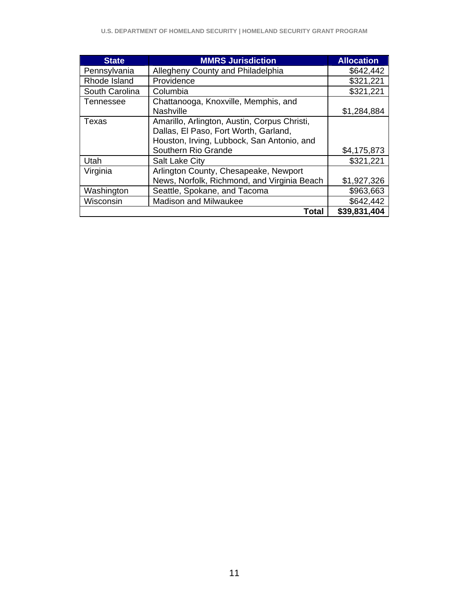| <b>State</b>   | <b>MMRS Jurisdiction</b>                     | <b>Allocation</b> |
|----------------|----------------------------------------------|-------------------|
| Pennsylvania   | Allegheny County and Philadelphia            | \$642,442         |
| Rhode Island   | Providence                                   | \$321,221         |
| South Carolina | Columbia                                     | \$321,221         |
| Tennessee      | Chattanooga, Knoxville, Memphis, and         |                   |
|                | <b>Nashville</b>                             | \$1,284,884       |
| Texas          | Amarillo, Arlington, Austin, Corpus Christi, |                   |
|                | Dallas, El Paso, Fort Worth, Garland,        |                   |
|                | Houston, Irving, Lubbock, San Antonio, and   |                   |
|                | Southern Rio Grande                          | \$4,175,873       |
| Utah           | <b>Salt Lake City</b>                        | \$321,221         |
| Virginia       | Arlington County, Chesapeake, Newport        |                   |
|                | News, Norfolk, Richmond, and Virginia Beach  | \$1,927,326       |
| Washington     | Seattle, Spokane, and Tacoma                 | \$963,663         |
| Wisconsin      | <b>Madison and Milwaukee</b>                 | \$642,442         |
|                | Total                                        | \$39,831,404      |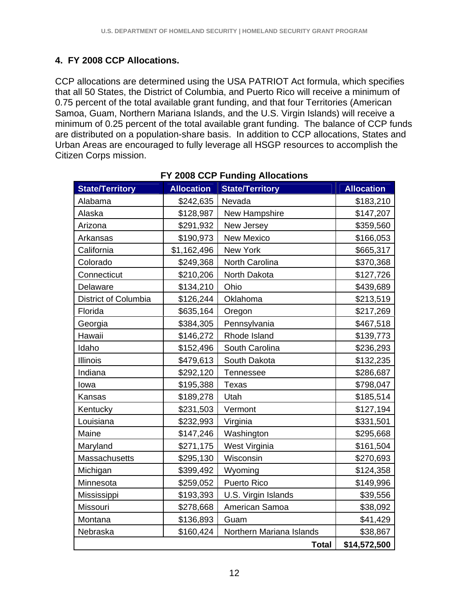#### **4. FY 2008 CCP Allocations.**

CCP allocations are determined using the USA PATRIOT Act formula, which specifies that all 50 States, the District of Columbia, and Puerto Rico will receive a minimum of 0.75 percent of the total available grant funding, and that four Territories (American Samoa, Guam, Northern Mariana Islands, and the U.S. Virgin Islands) will receive a minimum of 0.25 percent of the total available grant funding. The balance of CCP funds are distributed on a population-share basis. In addition to CCP allocations, States and Urban Areas are encouraged to fully leverage all HSGP resources to accomplish the Citizen Corps mission.

| <b>State/Territory</b> | <b>Allocation</b> | <b>State/Territory</b>   | <b>Allocation</b> |
|------------------------|-------------------|--------------------------|-------------------|
| Alabama                | \$242,635         | Nevada                   | \$183,210         |
| Alaska                 | \$128,987         | New Hampshire            | \$147,207         |
| Arizona                | \$291,932         | New Jersey               | \$359,560         |
| Arkansas               | \$190,973         | <b>New Mexico</b>        | \$166,053         |
| California             | \$1,162,496       | New York                 | \$665,317         |
| Colorado               | \$249,368         | North Carolina           | \$370,368         |
| Connecticut            | \$210,206         | North Dakota             | \$127,726         |
| Delaware               | \$134,210         | Ohio                     | \$439,689         |
| District of Columbia   | \$126,244         | Oklahoma                 | \$213,519         |
| Florida                | \$635,164         | Oregon                   | \$217,269         |
| Georgia                | \$384,305         | Pennsylvania             | \$467,518         |
| Hawaii                 | \$146,272         | Rhode Island             | \$139,773         |
| Idaho                  | \$152,496         | South Carolina           | \$236,293         |
| <b>Illinois</b>        | \$479,613         | South Dakota             | \$132,235         |
| Indiana                | \$292,120         | Tennessee                | \$286,687         |
| lowa                   | \$195,388         | <b>Texas</b>             | \$798,047         |
| Kansas                 | \$189,278         | Utah                     | \$185,514         |
| Kentucky               | \$231,503         | Vermont                  | \$127,194         |
| Louisiana              | \$232,993         | Virginia                 | \$331,501         |
| Maine                  | \$147,246         | Washington               | \$295,668         |
| Maryland               | \$271,175         | West Virginia            | \$161,504         |
| <b>Massachusetts</b>   | \$295,130         | Wisconsin                | \$270,693         |
| Michigan               | \$399,492         | Wyoming                  | \$124,358         |
| Minnesota              | \$259,052         | <b>Puerto Rico</b>       | \$149,996         |
| Mississippi            | \$193,393         | U.S. Virgin Islands      | \$39,556          |
| Missouri               | \$278,668         | American Samoa           | \$38,092          |
| Montana                | \$136,893         | Guam                     | \$41,429          |
| Nebraska               | \$160,424         | Northern Mariana Islands | \$38,867          |
|                        |                   | <b>Total</b>             | \$14,572,500      |

#### **FY 2008 CCP Funding Allocations**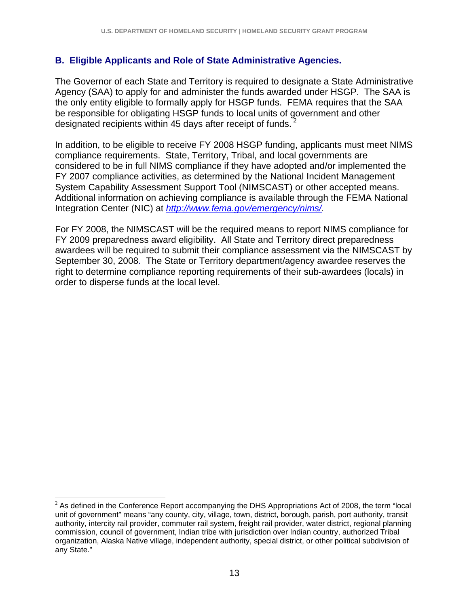#### **B. Eligible Applicants and Role of State Administrative Agencies.**

The Governor of each State and Territory is required to designate a State Administrative Agency (SAA) to apply for and administer the funds awarded under HSGP. The SAA is the only entity eligible to formally apply for HSGP funds. FEMA requires that the SAA be responsible for obligating HSGP funds to local units of government and other designated recipients within 45 days after receipt of funds.

In addition, to be eligible to receive FY 2008 HSGP funding, applicants must meet NIMS compliance requirements. State, Territory, Tribal, and local governments are considered to be in full NIMS compliance if they have adopted and/or implemented the FY 2007 compliance activities, as determined by the National Incident Management System Capability Assessment Support Tool (NIMSCAST) or other accepted means. Additional information on achieving compliance is available through the FEMA National Integration Center (NIC) at *http://www.fema.gov/emergency/nims/.*

For FY 2008, the NIMSCAST will be the required means to report NIMS compliance for FY 2009 preparedness award eligibility. All State and Territory direct preparedness awardees will be required to submit their compliance assessment via the NIMSCAST by September 30, 2008. The State or Territory department/agency awardee reserves the right to determine compliance reporting requirements of their sub-awardees (locals) in order to disperse funds at the local level.

 $\overline{a}$ 

 $2$  As defined in the Conference Report accompanying the DHS Appropriations Act of 2008, the term "local unit of government" means "any county, city, village, town, district, borough, parish, port authority, transit authority, intercity rail provider, commuter rail system, freight rail provider, water district, regional planning commission, council of government, Indian tribe with jurisdiction over Indian country, authorized Tribal organization, Alaska Native village, independent authority, special district, or other political subdivision of any State."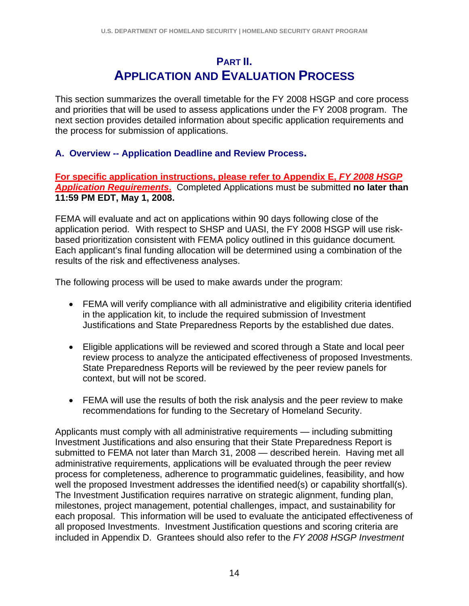### **PART II. APPLICATION AND EVALUATION PROCESS**

This section summarizes the overall timetable for the FY 2008 HSGP and core process and priorities that will be used to assess applications under the FY 2008 program. The next section provides detailed information about specific application requirements and the process for submission of applications.

#### **A. Overview -- Application Deadline and Review Process.**

**For specific application instructions, please refer to Appendix E,** *FY 2008 HSGP Application Requirements***.** Completed Applications must be submitted **no later than 11:59 PM EDT, May 1, 2008.** 

FEMA will evaluate and act on applications within 90 days following close of the application period. With respect to SHSP and UASI, the FY 2008 HSGP will use riskbased prioritization consistent with FEMA policy outlined in this guidance document*.* Each applicant's final funding allocation will be determined using a combination of the results of the risk and effectiveness analyses.

The following process will be used to make awards under the program:

- FEMA will verify compliance with all administrative and eligibility criteria identified in the application kit, to include the required submission of Investment Justifications and State Preparedness Reports by the established due dates.
- Eligible applications will be reviewed and scored through a State and local peer review process to analyze the anticipated effectiveness of proposed Investments. State Preparedness Reports will be reviewed by the peer review panels for context, but will not be scored.
- FEMA will use the results of both the risk analysis and the peer review to make recommendations for funding to the Secretary of Homeland Security.

Applicants must comply with all administrative requirements — including submitting Investment Justifications and also ensuring that their State Preparedness Report is submitted to FEMA not later than March 31, 2008 — described herein. Having met all administrative requirements, applications will be evaluated through the peer review process for completeness, adherence to programmatic guidelines, feasibility, and how well the proposed Investment addresses the identified need(s) or capability shortfall(s). The Investment Justification requires narrative on strategic alignment, funding plan, milestones, project management, potential challenges, impact, and sustainability for each proposal. This information will be used to evaluate the anticipated effectiveness of all proposed Investments. Investment Justification questions and scoring criteria are included in Appendix D. Grantees should also refer to the *FY 2008 HSGP Investment*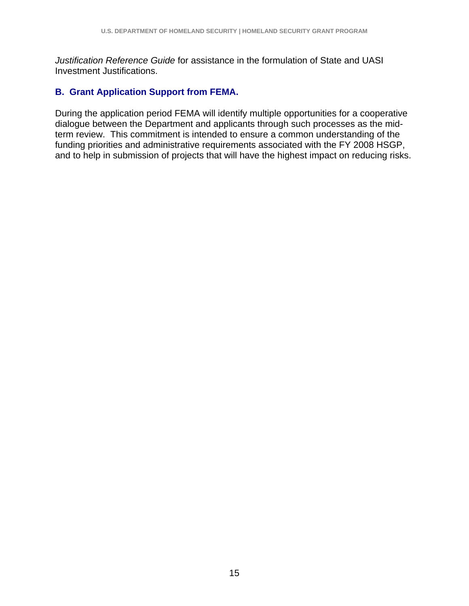*Justification Reference Guide* for assistance in the formulation of State and UASI Investment Justifications.

#### **B. Grant Application Support from FEMA.**

During the application period FEMA will identify multiple opportunities for a cooperative dialogue between the Department and applicants through such processes as the midterm review. This commitment is intended to ensure a common understanding of the funding priorities and administrative requirements associated with the FY 2008 HSGP, and to help in submission of projects that will have the highest impact on reducing risks.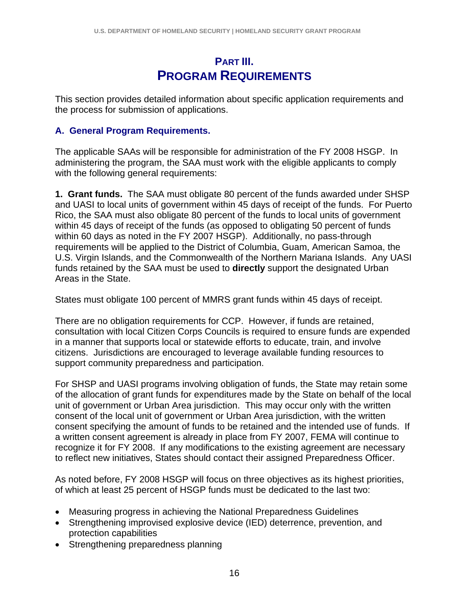## **PART III. PROGRAM REQUIREMENTS**

This section provides detailed information about specific application requirements and the process for submission of applications.

#### **A. General Program Requirements.**

The applicable SAAs will be responsible for administration of the FY 2008 HSGP. In administering the program, the SAA must work with the eligible applicants to comply with the following general requirements:

**1. Grant funds.** The SAA must obligate 80 percent of the funds awarded under SHSP and UASI to local units of government within 45 days of receipt of the funds. For Puerto Rico, the SAA must also obligate 80 percent of the funds to local units of government within 45 days of receipt of the funds (as opposed to obligating 50 percent of funds within 60 days as noted in the FY 2007 HSGP). Additionally, no pass-through requirements will be applied to the District of Columbia, Guam, American Samoa, the U.S. Virgin Islands, and the Commonwealth of the Northern Mariana Islands. Any UASI funds retained by the SAA must be used to **directly** support the designated Urban Areas in the State.

States must obligate 100 percent of MMRS grant funds within 45 days of receipt.

There are no obligation requirements for CCP. However, if funds are retained, consultation with local Citizen Corps Councils is required to ensure funds are expended in a manner that supports local or statewide efforts to educate, train, and involve citizens. Jurisdictions are encouraged to leverage available funding resources to support community preparedness and participation.

For SHSP and UASI programs involving obligation of funds, the State may retain some of the allocation of grant funds for expenditures made by the State on behalf of the local unit of government or Urban Area jurisdiction. This may occur only with the written consent of the local unit of government or Urban Area jurisdiction, with the written consent specifying the amount of funds to be retained and the intended use of funds. If a written consent agreement is already in place from FY 2007, FEMA will continue to recognize it for FY 2008. If any modifications to the existing agreement are necessary to reflect new initiatives, States should contact their assigned Preparedness Officer.

As noted before, FY 2008 HSGP will focus on three objectives as its highest priorities, of which at least 25 percent of HSGP funds must be dedicated to the last two:

- Measuring progress in achieving the National Preparedness Guidelines
- Strengthening improvised explosive device (IED) deterrence, prevention, and protection capabilities
- Strengthening preparedness planning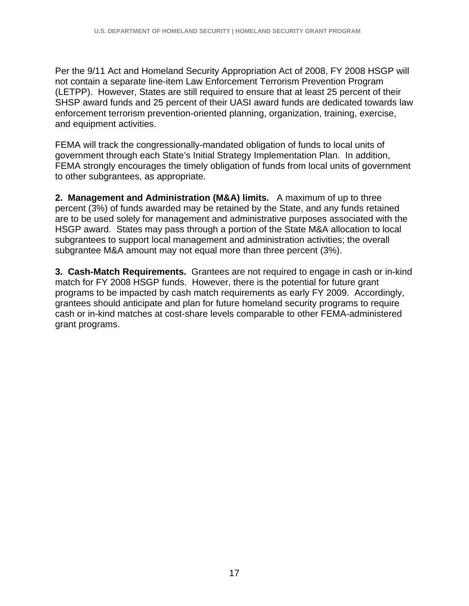Per the 9/11 Act and Homeland Security Appropriation Act of 2008, FY 2008 HSGP will not contain a separate line-item Law Enforcement Terrorism Prevention Program (LETPP). However, States are still required to ensure that at least 25 percent of their SHSP award funds and 25 percent of their UASI award funds are dedicated towards law enforcement terrorism prevention-oriented planning, organization, training, exercise, and equipment activities.

FEMA will track the congressionally-mandated obligation of funds to local units of government through each State's Initial Strategy Implementation Plan. In addition, FEMA strongly encourages the timely obligation of funds from local units of government to other subgrantees, as appropriate.

**2. Management and Administration (M&A) limits.** A maximum of up to three percent (3%) of funds awarded may be retained by the State, and any funds retained are to be used solely for management and administrative purposes associated with the HSGP award. States may pass through a portion of the State M&A allocation to local subgrantees to support local management and administration activities; the overall subgrantee M&A amount may not equal more than three percent (3%).

**3. Cash-Match Requirements.** Grantees are not required to engage in cash or in-kind match for FY 2008 HSGP funds. However, there is the potential for future grant programs to be impacted by cash match requirements as early FY 2009. Accordingly, grantees should anticipate and plan for future homeland security programs to require cash or in-kind matches at cost-share levels comparable to other FEMA-administered grant programs.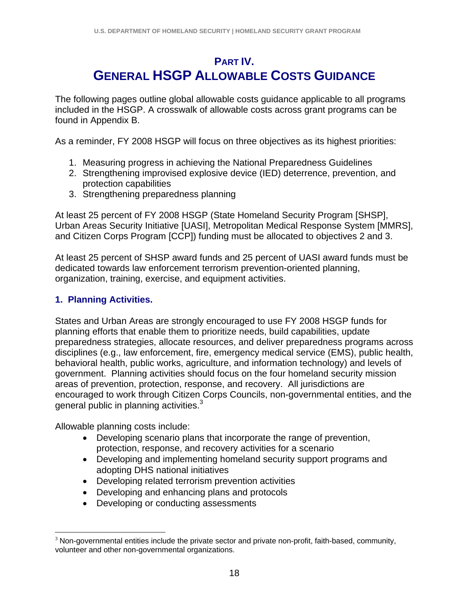## **PART IV. GENERAL HSGP ALLOWABLE COSTS GUIDANCE**

The following pages outline global allowable costs guidance applicable to all programs included in the HSGP. A crosswalk of allowable costs across grant programs can be found in Appendix B.

As a reminder, FY 2008 HSGP will focus on three objectives as its highest priorities:

- 1. Measuring progress in achieving the National Preparedness Guidelines
- 2. Strengthening improvised explosive device (IED) deterrence, prevention, and protection capabilities
- 3. Strengthening preparedness planning

At least 25 percent of FY 2008 HSGP (State Homeland Security Program [SHSP], Urban Areas Security Initiative [UASI], Metropolitan Medical Response System [MMRS], and Citizen Corps Program [CCP]) funding must be allocated to objectives 2 and 3.

At least 25 percent of SHSP award funds and 25 percent of UASI award funds must be dedicated towards law enforcement terrorism prevention-oriented planning, organization, training, exercise, and equipment activities.

#### **1. Planning Activities.**

States and Urban Areas are strongly encouraged to use FY 2008 HSGP funds for planning efforts that enable them to prioritize needs, build capabilities, update preparedness strategies, allocate resources, and deliver preparedness programs across disciplines (e.g., law enforcement, fire, emergency medical service (EMS), public health, behavioral health, public works, agriculture, and information technology) and levels of government. Planning activities should focus on the four homeland security mission areas of prevention, protection, response, and recovery. All jurisdictions are encouraged to work through Citizen Corps Councils, non-governmental entities, and the general public in planning activities. $3$ 

Allowable planning costs include:

- Developing scenario plans that incorporate the range of prevention, protection, response, and recovery activities for a scenario
- Developing and implementing homeland security support programs and adopting DHS national initiatives
- Developing related terrorism prevention activities
- Developing and enhancing plans and protocols
- Developing or conducting assessments

 $\overline{a}$  $3$  Non-governmental entities include the private sector and private non-profit, faith-based, community, volunteer and other non-governmental organizations.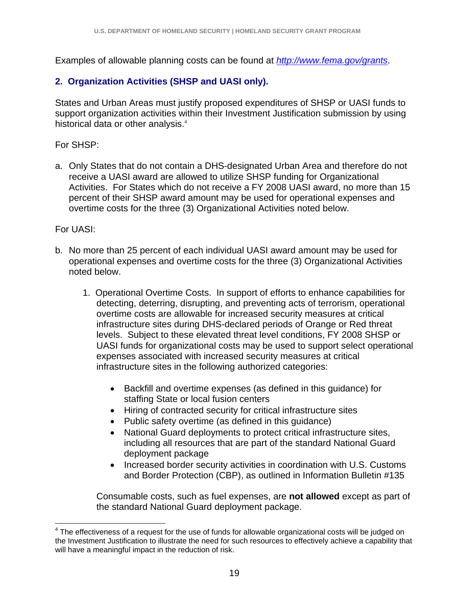Examples of allowable planning costs can be found at *http://www.fema.gov/grants*.

#### **2. Organization Activities (SHSP and UASI only).**

States and Urban Areas must justify proposed expenditures of SHSP or UASI funds to support organization activities within their Investment Justification submission by using historical data or other analysis.<sup>4</sup>

For SHSP:

a. Only States that do not contain a DHS-designated Urban Area and therefore do not receive a UASI award are allowed to utilize SHSP funding for Organizational Activities. For States which do not receive a FY 2008 UASI award, no more than 15 percent of their SHSP award amount may be used for operational expenses and overtime costs for the three (3) Organizational Activities noted below.

For UASI:

 $\overline{a}$ 

- b. No more than 25 percent of each individual UASI award amount may be used for operational expenses and overtime costs for the three (3) Organizational Activities noted below.
	- 1. Operational Overtime Costs. In support of efforts to enhance capabilities for detecting, deterring, disrupting, and preventing acts of terrorism, operational overtime costs are allowable for increased security measures at critical infrastructure sites during DHS-declared periods of Orange or Red threat levels. Subject to these elevated threat level conditions, FY 2008 SHSP or UASI funds for organizational costs may be used to support select operational expenses associated with increased security measures at critical infrastructure sites in the following authorized categories:
		- Backfill and overtime expenses (as defined in this guidance) for staffing State or local fusion centers
		- Hiring of contracted security for critical infrastructure sites
		- Public safety overtime (as defined in this guidance)
		- National Guard deployments to protect critical infrastructure sites, including all resources that are part of the standard National Guard deployment package
		- Increased border security activities in coordination with U.S. Customs and Border Protection (CBP), as outlined in Information Bulletin #135

Consumable costs, such as fuel expenses, are **not allowed** except as part of the standard National Guard deployment package.

 $4$  The effectiveness of a request for the use of funds for allowable organizational costs will be judged on the Investment Justification to illustrate the need for such resources to effectively achieve a capability that will have a meaningful impact in the reduction of risk.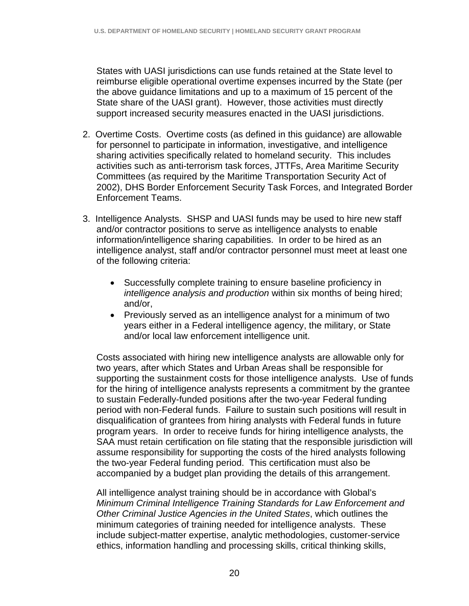States with UASI jurisdictions can use funds retained at the State level to reimburse eligible operational overtime expenses incurred by the State (per the above guidance limitations and up to a maximum of 15 percent of the State share of the UASI grant). However, those activities must directly support increased security measures enacted in the UASI jurisdictions.

- 2. Overtime Costs. Overtime costs (as defined in this guidance) are allowable for personnel to participate in information, investigative, and intelligence sharing activities specifically related to homeland security. This includes activities such as anti-terrorism task forces, JTTFs, Area Maritime Security Committees (as required by the Maritime Transportation Security Act of 2002), DHS Border Enforcement Security Task Forces, and Integrated Border Enforcement Teams.
- 3. Intelligence Analysts. SHSP and UASI funds may be used to hire new staff and/or contractor positions to serve as intelligence analysts to enable information/intelligence sharing capabilities. In order to be hired as an intelligence analyst, staff and/or contractor personnel must meet at least one of the following criteria:
	- Successfully complete training to ensure baseline proficiency in *intelligence analysis and production* within six months of being hired; and/or,
	- Previously served as an intelligence analyst for a minimum of two years either in a Federal intelligence agency, the military, or State and/or local law enforcement intelligence unit.

Costs associated with hiring new intelligence analysts are allowable only for two years, after which States and Urban Areas shall be responsible for supporting the sustainment costs for those intelligence analysts. Use of funds for the hiring of intelligence analysts represents a commitment by the grantee to sustain Federally-funded positions after the two-year Federal funding period with non-Federal funds. Failure to sustain such positions will result in disqualification of grantees from hiring analysts with Federal funds in future program years. In order to receive funds for hiring intelligence analysts, the SAA must retain certification on file stating that the responsible jurisdiction will assume responsibility for supporting the costs of the hired analysts following the two-year Federal funding period. This certification must also be accompanied by a budget plan providing the details of this arrangement.

All intelligence analyst training should be in accordance with Global's *Minimum Criminal Intelligence Training Standards for Law Enforcement and Other Criminal Justice Agencies in the United States*, which outlines the minimum categories of training needed for intelligence analysts. These include subject-matter expertise, analytic methodologies, customer-service ethics, information handling and processing skills, critical thinking skills,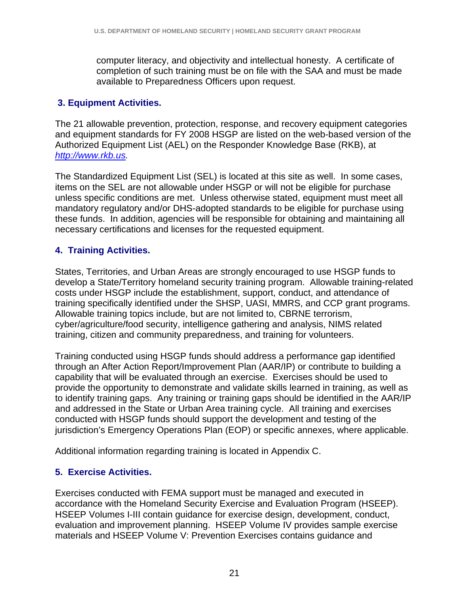computer literacy, and objectivity and intellectual honesty. A certificate of completion of such training must be on file with the SAA and must be made available to Preparedness Officers upon request.

#### **3. Equipment Activities.**

The 21 allowable prevention, protection, response, and recovery equipment categories and equipment standards for FY 2008 HSGP are listed on the web-based version of the Authorized Equipment List (AEL) on the Responder Knowledge Base (RKB), at *http://www.rkb.us.*

The Standardized Equipment List (SEL) is located at this site as well. In some cases, items on the SEL are not allowable under HSGP or will not be eligible for purchase unless specific conditions are met. Unless otherwise stated, equipment must meet all mandatory regulatory and/or DHS-adopted standards to be eligible for purchase using these funds. In addition, agencies will be responsible for obtaining and maintaining all necessary certifications and licenses for the requested equipment.

#### **4. Training Activities.**

States, Territories, and Urban Areas are strongly encouraged to use HSGP funds to develop a State/Territory homeland security training program. Allowable training-related costs under HSGP include the establishment, support, conduct, and attendance of training specifically identified under the SHSP, UASI, MMRS, and CCP grant programs. Allowable training topics include, but are not limited to, CBRNE terrorism, cyber/agriculture/food security, intelligence gathering and analysis, NIMS related training, citizen and community preparedness, and training for volunteers.

Training conducted using HSGP funds should address a performance gap identified through an After Action Report/Improvement Plan (AAR/IP) or contribute to building a capability that will be evaluated through an exercise. Exercises should be used to provide the opportunity to demonstrate and validate skills learned in training, as well as to identify training gaps. Any training or training gaps should be identified in the AAR/IP and addressed in the State or Urban Area training cycle. All training and exercises conducted with HSGP funds should support the development and testing of the jurisdiction's Emergency Operations Plan (EOP) or specific annexes, where applicable.

Additional information regarding training is located in Appendix C.

#### **5. Exercise Activities.**

Exercises conducted with FEMA support must be managed and executed in accordance with the Homeland Security Exercise and Evaluation Program (HSEEP). HSEEP Volumes I-III contain guidance for exercise design, development, conduct, evaluation and improvement planning. HSEEP Volume IV provides sample exercise materials and HSEEP Volume V: Prevention Exercises contains guidance and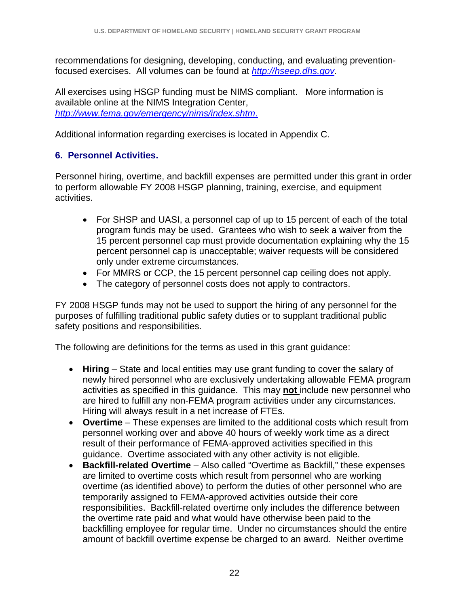recommendations for designing, developing, conducting, and evaluating preventionfocused exercises. All volumes can be found at *http://hseep.dhs.gov.*

All exercises using HSGP funding must be NIMS compliant. More information is available online at the NIMS Integration Center, *http://www.fema.gov/emergency/nims/index.shtm*.

Additional information regarding exercises is located in Appendix C.

#### **6. Personnel Activities.**

Personnel hiring, overtime, and backfill expenses are permitted under this grant in order to perform allowable FY 2008 HSGP planning, training, exercise, and equipment activities.

- For SHSP and UASI, a personnel cap of up to 15 percent of each of the total program funds may be used. Grantees who wish to seek a waiver from the 15 percent personnel cap must provide documentation explaining why the 15 percent personnel cap is unacceptable; waiver requests will be considered only under extreme circumstances.
- For MMRS or CCP, the 15 percent personnel cap ceiling does not apply.
- The category of personnel costs does not apply to contractors.

FY 2008 HSGP funds may not be used to support the hiring of any personnel for the purposes of fulfilling traditional public safety duties or to supplant traditional public safety positions and responsibilities.

The following are definitions for the terms as used in this grant guidance:

- **Hiring** State and local entities may use grant funding to cover the salary of newly hired personnel who are exclusively undertaking allowable FEMA program activities as specified in this guidance. This may **not** include new personnel who are hired to fulfill any non-FEMA program activities under any circumstances. Hiring will always result in a net increase of FTEs.
- **Overtime** These expenses are limited to the additional costs which result from personnel working over and above 40 hours of weekly work time as a direct result of their performance of FEMA-approved activities specified in this guidance. Overtime associated with any other activity is not eligible.
- **Backfill-related Overtime** Also called "Overtime as Backfill," these expenses are limited to overtime costs which result from personnel who are working overtime (as identified above) to perform the duties of other personnel who are temporarily assigned to FEMA-approved activities outside their core responsibilities. Backfill-related overtime only includes the difference between the overtime rate paid and what would have otherwise been paid to the backfilling employee for regular time. Under no circumstances should the entire amount of backfill overtime expense be charged to an award. Neither overtime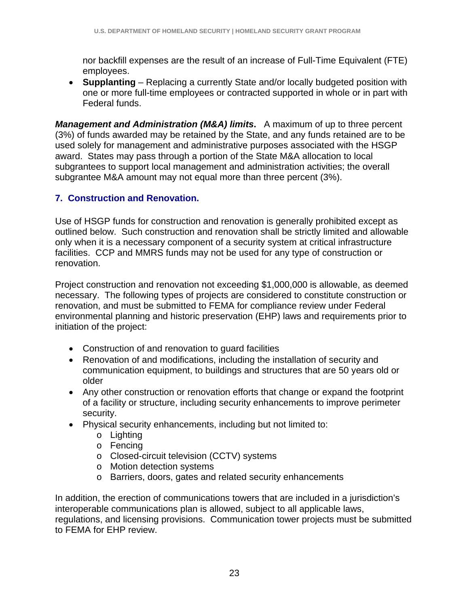nor backfill expenses are the result of an increase of Full-Time Equivalent (FTE) employees.

• **Supplanting** – Replacing a currently State and/or locally budgeted position with one or more full-time employees or contracted supported in whole or in part with Federal funds.

*Management and Administration (M&A) limits***.** A maximum of up to three percent (3%) of funds awarded may be retained by the State, and any funds retained are to be used solely for management and administrative purposes associated with the HSGP award. States may pass through a portion of the State M&A allocation to local subgrantees to support local management and administration activities; the overall subgrantee M&A amount may not equal more than three percent (3%).

#### **7. Construction and Renovation.**

Use of HSGP funds for construction and renovation is generally prohibited except as outlined below. Such construction and renovation shall be strictly limited and allowable only when it is a necessary component of a security system at critical infrastructure facilities. CCP and MMRS funds may not be used for any type of construction or renovation.

Project construction and renovation not exceeding \$1,000,000 is allowable, as deemed necessary. The following types of projects are considered to constitute construction or renovation, and must be submitted to FEMA for compliance review under Federal environmental planning and historic preservation (EHP) laws and requirements prior to initiation of the project:

- Construction of and renovation to guard facilities
- Renovation of and modifications, including the installation of security and communication equipment, to buildings and structures that are 50 years old or older
- Any other construction or renovation efforts that change or expand the footprint of a facility or structure, including security enhancements to improve perimeter security.
- Physical security enhancements, including but not limited to:
	- o Lighting
	- o Fencing
	- o Closed-circuit television (CCTV) systems
	- o Motion detection systems
	- o Barriers, doors, gates and related security enhancements

In addition, the erection of communications towers that are included in a jurisdiction's interoperable communications plan is allowed, subject to all applicable laws, regulations, and licensing provisions. Communication tower projects must be submitted to FEMA for EHP review.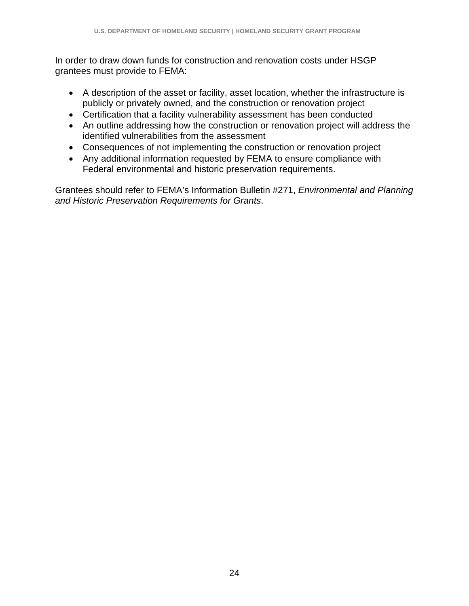In order to draw down funds for construction and renovation costs under HSGP grantees must provide to FEMA:

- A description of the asset or facility, asset location, whether the infrastructure is publicly or privately owned, and the construction or renovation project
- Certification that a facility vulnerability assessment has been conducted
- An outline addressing how the construction or renovation project will address the identified vulnerabilities from the assessment
- Consequences of not implementing the construction or renovation project
- Any additional information requested by FEMA to ensure compliance with Federal environmental and historic preservation requirements.

Grantees should refer to FEMA's Information Bulletin #271, *Environmental and Planning and Historic Preservation Requirements for Grants*.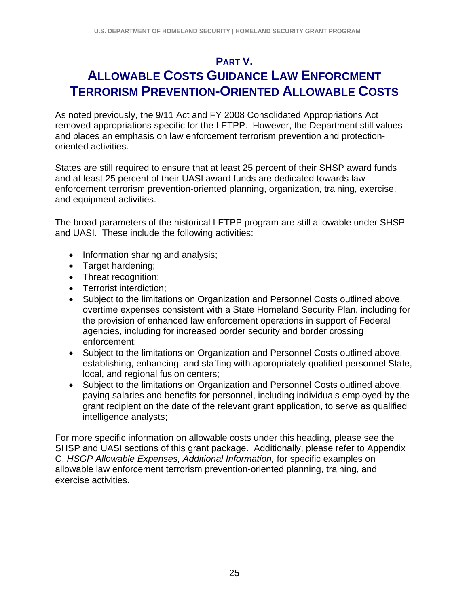### **PART V.**

## **ALLOWABLE COSTS GUIDANCE LAW ENFORCMENT TERRORISM PREVENTION-ORIENTED ALLOWABLE COSTS**

As noted previously, the 9/11 Act and FY 2008 Consolidated Appropriations Act removed appropriations specific for the LETPP. However, the Department still values and places an emphasis on law enforcement terrorism prevention and protectionoriented activities.

States are still required to ensure that at least 25 percent of their SHSP award funds and at least 25 percent of their UASI award funds are dedicated towards law enforcement terrorism prevention-oriented planning, organization, training, exercise, and equipment activities.

The broad parameters of the historical LETPP program are still allowable under SHSP and UASI. These include the following activities:

- Information sharing and analysis;
- Target hardening;
- Threat recognition;
- Terrorist interdiction;
- Subject to the limitations on Organization and Personnel Costs outlined above, overtime expenses consistent with a State Homeland Security Plan, including for the provision of enhanced law enforcement operations in support of Federal agencies, including for increased border security and border crossing enforcement;
- Subject to the limitations on Organization and Personnel Costs outlined above, establishing, enhancing, and staffing with appropriately qualified personnel State, local, and regional fusion centers;
- Subject to the limitations on Organization and Personnel Costs outlined above, paying salaries and benefits for personnel, including individuals employed by the grant recipient on the date of the relevant grant application, to serve as qualified intelligence analysts;

For more specific information on allowable costs under this heading, please see the SHSP and UASI sections of this grant package. Additionally, please refer to Appendix C, *HSGP Allowable Expenses, Additional Information,* for specific examples on allowable law enforcement terrorism prevention-oriented planning, training, and exercise activities.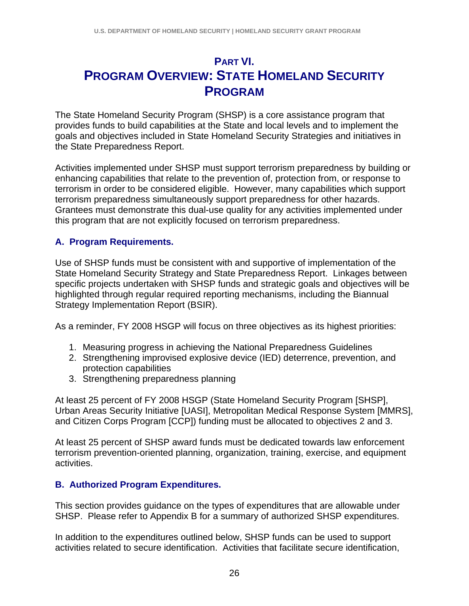## **PART VI. PROGRAM OVERVIEW: STATE HOMELAND SECURITY PROGRAM**

The State Homeland Security Program (SHSP) is a core assistance program that provides funds to build capabilities at the State and local levels and to implement the goals and objectives included in State Homeland Security Strategies and initiatives in the State Preparedness Report.

Activities implemented under SHSP must support terrorism preparedness by building or enhancing capabilities that relate to the prevention of, protection from, or response to terrorism in order to be considered eligible. However, many capabilities which support terrorism preparedness simultaneously support preparedness for other hazards. Grantees must demonstrate this dual-use quality for any activities implemented under this program that are not explicitly focused on terrorism preparedness.

#### **A. Program Requirements.**

Use of SHSP funds must be consistent with and supportive of implementation of the State Homeland Security Strategy and State Preparedness Report. Linkages between specific projects undertaken with SHSP funds and strategic goals and objectives will be highlighted through regular required reporting mechanisms, including the Biannual Strategy Implementation Report (BSIR).

As a reminder, FY 2008 HSGP will focus on three objectives as its highest priorities:

- 1. Measuring progress in achieving the National Preparedness Guidelines
- 2. Strengthening improvised explosive device (IED) deterrence, prevention, and protection capabilities
- 3. Strengthening preparedness planning

At least 25 percent of FY 2008 HSGP (State Homeland Security Program [SHSP], Urban Areas Security Initiative [UASI], Metropolitan Medical Response System [MMRS], and Citizen Corps Program [CCP]) funding must be allocated to objectives 2 and 3.

At least 25 percent of SHSP award funds must be dedicated towards law enforcement terrorism prevention-oriented planning, organization, training, exercise, and equipment activities.

#### **B. Authorized Program Expenditures.**

This section provides guidance on the types of expenditures that are allowable under SHSP. Please refer to Appendix B for a summary of authorized SHSP expenditures.

In addition to the expenditures outlined below, SHSP funds can be used to support activities related to secure identification. Activities that facilitate secure identification,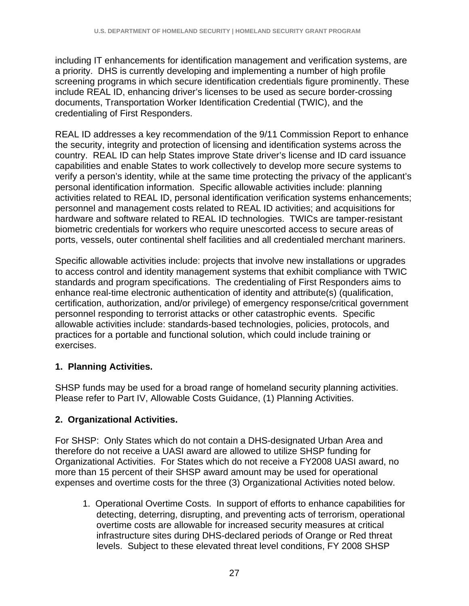including IT enhancements for identification management and verification systems, are a priority. DHS is currently developing and implementing a number of high profile screening programs in which secure identification credentials figure prominently. These include REAL ID, enhancing driver's licenses to be used as secure border-crossing documents, Transportation Worker Identification Credential (TWIC), and the credentialing of First Responders.

REAL ID addresses a key recommendation of the 9/11 Commission Report to enhance the security, integrity and protection of licensing and identification systems across the country. REAL ID can help States improve State driver's license and ID card issuance capabilities and enable States to work collectively to develop more secure systems to verify a person's identity, while at the same time protecting the privacy of the applicant's personal identification information. Specific allowable activities include: planning activities related to REAL ID, personal identification verification systems enhancements; personnel and management costs related to REAL ID activities; and acquisitions for hardware and software related to REAL ID technologies. TWICs are tamper-resistant biometric credentials for workers who require unescorted access to secure areas of ports, vessels, outer continental shelf facilities and all credentialed merchant mariners.

Specific allowable activities include: projects that involve new installations or upgrades to access control and identity management systems that exhibit compliance with TWIC standards and program specifications. The credentialing of First Responders aims to enhance real-time electronic authentication of identity and attribute(s) (qualification, certification, authorization, and/or privilege) of emergency response/critical government personnel responding to terrorist attacks or other catastrophic events. Specific allowable activities include: standards-based technologies, policies, protocols, and practices for a portable and functional solution, which could include training or exercises.

#### **1. Planning Activities.**

SHSP funds may be used for a broad range of homeland security planning activities. Please refer to Part IV, Allowable Costs Guidance, (1) Planning Activities.

#### **2. Organizational Activities.**

For SHSP: Only States which do not contain a DHS-designated Urban Area and therefore do not receive a UASI award are allowed to utilize SHSP funding for Organizational Activities. For States which do not receive a FY2008 UASI award, no more than 15 percent of their SHSP award amount may be used for operational expenses and overtime costs for the three (3) Organizational Activities noted below.

1. Operational Overtime Costs. In support of efforts to enhance capabilities for detecting, deterring, disrupting, and preventing acts of terrorism, operational overtime costs are allowable for increased security measures at critical infrastructure sites during DHS-declared periods of Orange or Red threat levels. Subject to these elevated threat level conditions, FY 2008 SHSP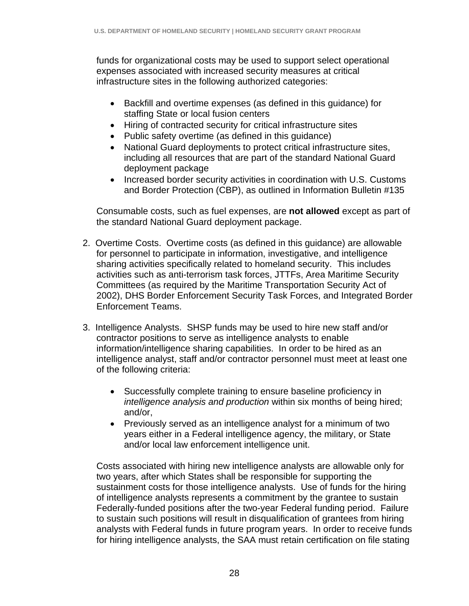funds for organizational costs may be used to support select operational expenses associated with increased security measures at critical infrastructure sites in the following authorized categories:

- Backfill and overtime expenses (as defined in this guidance) for staffing State or local fusion centers
- Hiring of contracted security for critical infrastructure sites
- Public safety overtime (as defined in this guidance)
- National Guard deployments to protect critical infrastructure sites, including all resources that are part of the standard National Guard deployment package
- Increased border security activities in coordination with U.S. Customs and Border Protection (CBP), as outlined in Information Bulletin #135

Consumable costs, such as fuel expenses, are **not allowed** except as part of the standard National Guard deployment package.

- 2. Overtime Costs. Overtime costs (as defined in this guidance) are allowable for personnel to participate in information, investigative, and intelligence sharing activities specifically related to homeland security. This includes activities such as anti-terrorism task forces, JTTFs, Area Maritime Security Committees (as required by the Maritime Transportation Security Act of 2002), DHS Border Enforcement Security Task Forces, and Integrated Border Enforcement Teams.
- 3. Intelligence Analysts. SHSP funds may be used to hire new staff and/or contractor positions to serve as intelligence analysts to enable information/intelligence sharing capabilities. In order to be hired as an intelligence analyst, staff and/or contractor personnel must meet at least one of the following criteria:
	- Successfully complete training to ensure baseline proficiency in *intelligence analysis and production* within six months of being hired; and/or,
	- Previously served as an intelligence analyst for a minimum of two years either in a Federal intelligence agency, the military, or State and/or local law enforcement intelligence unit.

Costs associated with hiring new intelligence analysts are allowable only for two years, after which States shall be responsible for supporting the sustainment costs for those intelligence analysts. Use of funds for the hiring of intelligence analysts represents a commitment by the grantee to sustain Federally-funded positions after the two-year Federal funding period. Failure to sustain such positions will result in disqualification of grantees from hiring analysts with Federal funds in future program years. In order to receive funds for hiring intelligence analysts, the SAA must retain certification on file stating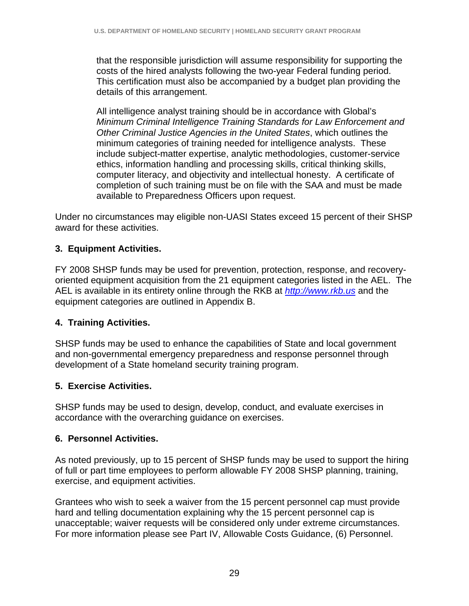that the responsible jurisdiction will assume responsibility for supporting the costs of the hired analysts following the two-year Federal funding period. This certification must also be accompanied by a budget plan providing the details of this arrangement.

All intelligence analyst training should be in accordance with Global's *Minimum Criminal Intelligence Training Standards for Law Enforcement and Other Criminal Justice Agencies in the United States*, which outlines the minimum categories of training needed for intelligence analysts. These include subject-matter expertise, analytic methodologies, customer-service ethics, information handling and processing skills, critical thinking skills, computer literacy, and objectivity and intellectual honesty. A certificate of completion of such training must be on file with the SAA and must be made available to Preparedness Officers upon request.

Under no circumstances may eligible non-UASI States exceed 15 percent of their SHSP award for these activities.

#### **3. Equipment Activities.**

FY 2008 SHSP funds may be used for prevention, protection, response, and recoveryoriented equipment acquisition from the 21 equipment categories listed in the AEL. The AEL is available in its entirety online through the RKB at *http://www.rkb.us* and the equipment categories are outlined in Appendix B.

#### **4. Training Activities.**

SHSP funds may be used to enhance the capabilities of State and local government and non-governmental emergency preparedness and response personnel through development of a State homeland security training program.

#### **5. Exercise Activities.**

SHSP funds may be used to design, develop, conduct, and evaluate exercises in accordance with the overarching guidance on exercises.

#### **6. Personnel Activities.**

As noted previously, up to 15 percent of SHSP funds may be used to support the hiring of full or part time employees to perform allowable FY 2008 SHSP planning, training, exercise, and equipment activities.

Grantees who wish to seek a waiver from the 15 percent personnel cap must provide hard and telling documentation explaining why the 15 percent personnel cap is unacceptable; waiver requests will be considered only under extreme circumstances. For more information please see Part IV, Allowable Costs Guidance, (6) Personnel.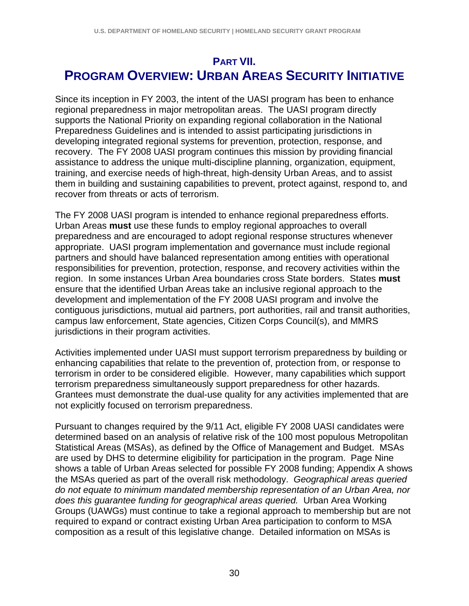## **PART VII. PROGRAM OVERVIEW: URBAN AREAS SECURITY INITIATIVE**

Since its inception in FY 2003, the intent of the UASI program has been to enhance regional preparedness in major metropolitan areas. The UASI program directly supports the National Priority on expanding regional collaboration in the National Preparedness Guidelines and is intended to assist participating jurisdictions in developing integrated regional systems for prevention, protection, response, and recovery. The FY 2008 UASI program continues this mission by providing financial assistance to address the unique multi-discipline planning, organization, equipment, training, and exercise needs of high-threat, high-density Urban Areas, and to assist them in building and sustaining capabilities to prevent, protect against, respond to, and recover from threats or acts of terrorism.

The FY 2008 UASI program is intended to enhance regional preparedness efforts. Urban Areas **must** use these funds to employ regional approaches to overall preparedness and are encouraged to adopt regional response structures whenever appropriate. UASI program implementation and governance must include regional partners and should have balanced representation among entities with operational responsibilities for prevention, protection, response, and recovery activities within the region. In some instances Urban Area boundaries cross State borders. States **must** ensure that the identified Urban Areas take an inclusive regional approach to the development and implementation of the FY 2008 UASI program and involve the contiguous jurisdictions, mutual aid partners, port authorities, rail and transit authorities, campus law enforcement, State agencies, Citizen Corps Council(s), and MMRS jurisdictions in their program activities.

Activities implemented under UASI must support terrorism preparedness by building or enhancing capabilities that relate to the prevention of, protection from, or response to terrorism in order to be considered eligible. However, many capabilities which support terrorism preparedness simultaneously support preparedness for other hazards. Grantees must demonstrate the dual-use quality for any activities implemented that are not explicitly focused on terrorism preparedness.

Pursuant to changes required by the 9/11 Act, eligible FY 2008 UASI candidates were determined based on an analysis of relative risk of the 100 most populous Metropolitan Statistical Areas (MSAs), as defined by the Office of Management and Budget. MSAs are used by DHS to determine eligibility for participation in the program. Page Nine shows a table of Urban Areas selected for possible FY 2008 funding; Appendix A shows the MSAs queried as part of the overall risk methodology. *Geographical areas queried do not equate to minimum mandated membership representation of an Urban Area, nor does this guarantee funding for geographical areas queried.* Urban Area Working Groups (UAWGs) must continue to take a regional approach to membership but are not required to expand or contract existing Urban Area participation to conform to MSA composition as a result of this legislative change. Detailed information on MSAs is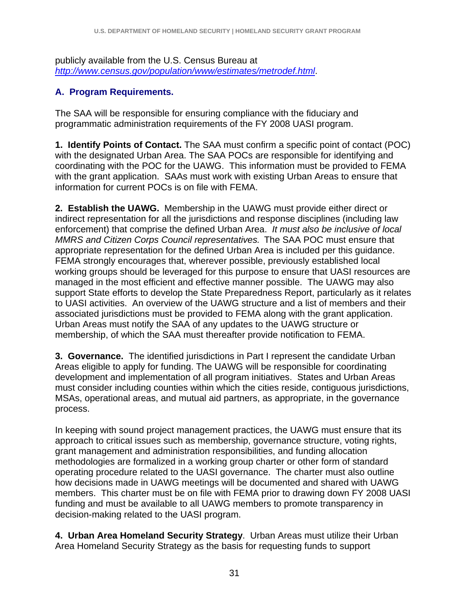publicly available from the U.S. Census Bureau at *http://www.census.gov/population/www/estimates/metrodef.html*.

#### **A. Program Requirements.**

The SAA will be responsible for ensuring compliance with the fiduciary and programmatic administration requirements of the FY 2008 UASI program.

**1. Identify Points of Contact.** The SAA must confirm a specific point of contact (POC) with the designated Urban Area. The SAA POCs are responsible for identifying and coordinating with the POC for the UAWG. This information must be provided to FEMA with the grant application. SAAs must work with existing Urban Areas to ensure that information for current POCs is on file with FEMA.

**2. Establish the UAWG.** Membership in the UAWG must provide either direct or indirect representation for all the jurisdictions and response disciplines (including law enforcement) that comprise the defined Urban Area. *It must also be inclusive of local MMRS and Citizen Corps Council representatives.* The SAA POC must ensure that appropriate representation for the defined Urban Area is included per this guidance. FEMA strongly encourages that, wherever possible, previously established local working groups should be leveraged for this purpose to ensure that UASI resources are managed in the most efficient and effective manner possible. The UAWG may also support State efforts to develop the State Preparedness Report, particularly as it relates to UASI activities. An overview of the UAWG structure and a list of members and their associated jurisdictions must be provided to FEMA along with the grant application. Urban Areas must notify the SAA of any updates to the UAWG structure or membership, of which the SAA must thereafter provide notification to FEMA.

**3. Governance.** The identified jurisdictions in Part I represent the candidate Urban Areas eligible to apply for funding. The UAWG will be responsible for coordinating development and implementation of all program initiatives. States and Urban Areas must consider including counties within which the cities reside, contiguous jurisdictions, MSAs, operational areas, and mutual aid partners, as appropriate, in the governance process.

In keeping with sound project management practices, the UAWG must ensure that its approach to critical issues such as membership, governance structure, voting rights, grant management and administration responsibilities, and funding allocation methodologies are formalized in a working group charter or other form of standard operating procedure related to the UASI governance. The charter must also outline how decisions made in UAWG meetings will be documented and shared with UAWG members. This charter must be on file with FEMA prior to drawing down FY 2008 UASI funding and must be available to all UAWG members to promote transparency in decision-making related to the UASI program.

**4. Urban Area Homeland Security Strategy**. Urban Areas must utilize their Urban Area Homeland Security Strategy as the basis for requesting funds to support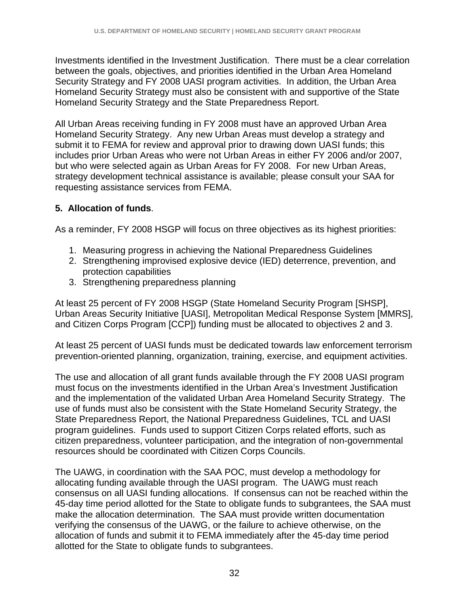Investments identified in the Investment Justification. There must be a clear correlation between the goals, objectives, and priorities identified in the Urban Area Homeland Security Strategy and FY 2008 UASI program activities. In addition, the Urban Area Homeland Security Strategy must also be consistent with and supportive of the State Homeland Security Strategy and the State Preparedness Report.

All Urban Areas receiving funding in FY 2008 must have an approved Urban Area Homeland Security Strategy. Any new Urban Areas must develop a strategy and submit it to FEMA for review and approval prior to drawing down UASI funds; this includes prior Urban Areas who were not Urban Areas in either FY 2006 and/or 2007, but who were selected again as Urban Areas for FY 2008. For new Urban Areas, strategy development technical assistance is available; please consult your SAA for requesting assistance services from FEMA.

#### **5. Allocation of funds**.

As a reminder, FY 2008 HSGP will focus on three objectives as its highest priorities:

- 1. Measuring progress in achieving the National Preparedness Guidelines
- 2. Strengthening improvised explosive device (IED) deterrence, prevention, and protection capabilities
- 3. Strengthening preparedness planning

At least 25 percent of FY 2008 HSGP (State Homeland Security Program [SHSP], Urban Areas Security Initiative [UASI], Metropolitan Medical Response System [MMRS], and Citizen Corps Program [CCP]) funding must be allocated to objectives 2 and 3.

At least 25 percent of UASI funds must be dedicated towards law enforcement terrorism prevention-oriented planning, organization, training, exercise, and equipment activities.

The use and allocation of all grant funds available through the FY 2008 UASI program must focus on the investments identified in the Urban Area's Investment Justification and the implementation of the validated Urban Area Homeland Security Strategy. The use of funds must also be consistent with the State Homeland Security Strategy, the State Preparedness Report, the National Preparedness Guidelines, TCL and UASI program guidelines. Funds used to support Citizen Corps related efforts, such as citizen preparedness, volunteer participation, and the integration of non-governmental resources should be coordinated with Citizen Corps Councils.

The UAWG, in coordination with the SAA POC, must develop a methodology for allocating funding available through the UASI program. The UAWG must reach consensus on all UASI funding allocations. If consensus can not be reached within the 45-day time period allotted for the State to obligate funds to subgrantees, the SAA must make the allocation determination. The SAA must provide written documentation verifying the consensus of the UAWG, or the failure to achieve otherwise, on the allocation of funds and submit it to FEMA immediately after the 45-day time period allotted for the State to obligate funds to subgrantees.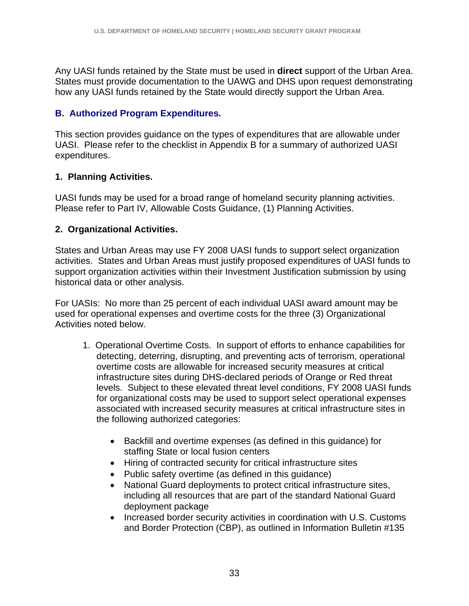Any UASI funds retained by the State must be used in **direct** support of the Urban Area. States must provide documentation to the UAWG and DHS upon request demonstrating how any UASI funds retained by the State would directly support the Urban Area.

### **B. Authorized Program Expenditures.**

This section provides guidance on the types of expenditures that are allowable under UASI. Please refer to the checklist in Appendix B for a summary of authorized UASI expenditures.

### **1. Planning Activities.**

UASI funds may be used for a broad range of homeland security planning activities. Please refer to Part IV, Allowable Costs Guidance, (1) Planning Activities.

### **2. Organizational Activities.**

States and Urban Areas may use FY 2008 UASI funds to support select organization activities. States and Urban Areas must justify proposed expenditures of UASI funds to support organization activities within their Investment Justification submission by using historical data or other analysis.

For UASIs: No more than 25 percent of each individual UASI award amount may be used for operational expenses and overtime costs for the three (3) Organizational Activities noted below.

- 1. Operational Overtime Costs. In support of efforts to enhance capabilities for detecting, deterring, disrupting, and preventing acts of terrorism, operational overtime costs are allowable for increased security measures at critical infrastructure sites during DHS-declared periods of Orange or Red threat levels. Subject to these elevated threat level conditions, FY 2008 UASI funds for organizational costs may be used to support select operational expenses associated with increased security measures at critical infrastructure sites in the following authorized categories:
	- Backfill and overtime expenses (as defined in this guidance) for staffing State or local fusion centers
	- Hiring of contracted security for critical infrastructure sites
	- Public safety overtime (as defined in this guidance)
	- National Guard deployments to protect critical infrastructure sites, including all resources that are part of the standard National Guard deployment package
	- Increased border security activities in coordination with U.S. Customs and Border Protection (CBP), as outlined in Information Bulletin #135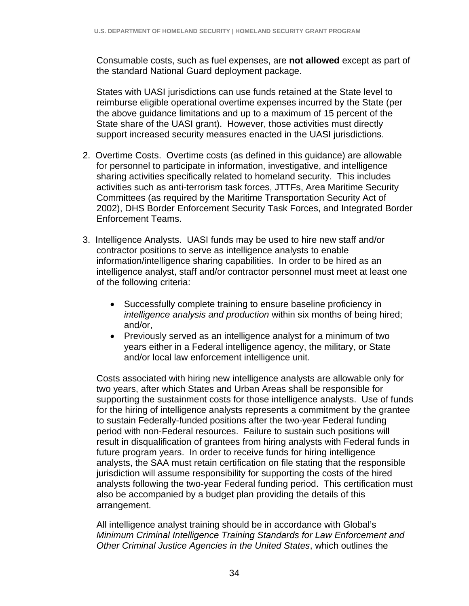Consumable costs, such as fuel expenses, are **not allowed** except as part of the standard National Guard deployment package.

States with UASI jurisdictions can use funds retained at the State level to reimburse eligible operational overtime expenses incurred by the State (per the above guidance limitations and up to a maximum of 15 percent of the State share of the UASI grant). However, those activities must directly support increased security measures enacted in the UASI jurisdictions.

- 2. Overtime Costs. Overtime costs (as defined in this guidance) are allowable for personnel to participate in information, investigative, and intelligence sharing activities specifically related to homeland security. This includes activities such as anti-terrorism task forces, JTTFs, Area Maritime Security Committees (as required by the Maritime Transportation Security Act of 2002), DHS Border Enforcement Security Task Forces, and Integrated Border Enforcement Teams.
- 3. Intelligence Analysts. UASI funds may be used to hire new staff and/or contractor positions to serve as intelligence analysts to enable information/intelligence sharing capabilities. In order to be hired as an intelligence analyst, staff and/or contractor personnel must meet at least one of the following criteria:
	- Successfully complete training to ensure baseline proficiency in *intelligence analysis and production* within six months of being hired; and/or,
	- Previously served as an intelligence analyst for a minimum of two years either in a Federal intelligence agency, the military, or State and/or local law enforcement intelligence unit.

Costs associated with hiring new intelligence analysts are allowable only for two years, after which States and Urban Areas shall be responsible for supporting the sustainment costs for those intelligence analysts. Use of funds for the hiring of intelligence analysts represents a commitment by the grantee to sustain Federally-funded positions after the two-year Federal funding period with non-Federal resources. Failure to sustain such positions will result in disqualification of grantees from hiring analysts with Federal funds in future program years. In order to receive funds for hiring intelligence analysts, the SAA must retain certification on file stating that the responsible jurisdiction will assume responsibility for supporting the costs of the hired analysts following the two-year Federal funding period. This certification must also be accompanied by a budget plan providing the details of this arrangement.

All intelligence analyst training should be in accordance with Global's *Minimum Criminal Intelligence Training Standards for Law Enforcement and Other Criminal Justice Agencies in the United States*, which outlines the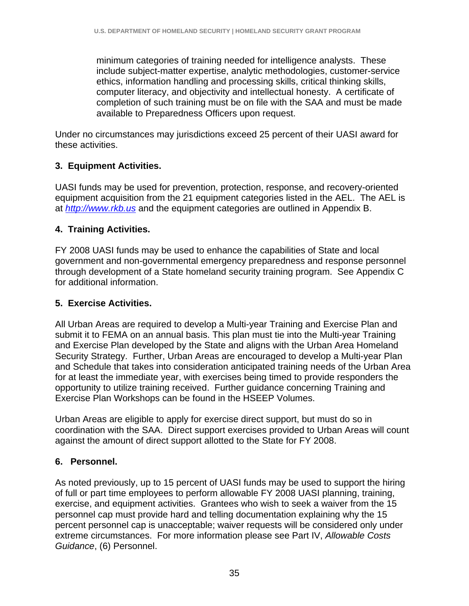minimum categories of training needed for intelligence analysts. These include subject-matter expertise, analytic methodologies, customer-service ethics, information handling and processing skills, critical thinking skills, computer literacy, and objectivity and intellectual honesty. A certificate of completion of such training must be on file with the SAA and must be made available to Preparedness Officers upon request.

Under no circumstances may jurisdictions exceed 25 percent of their UASI award for these activities.

## **3. Equipment Activities.**

UASI funds may be used for prevention, protection, response, and recovery-oriented equipment acquisition from the 21 equipment categories listed in the AEL. The AEL is at *http://www.rkb.us* and the equipment categories are outlined in Appendix B.

## **4. Training Activities.**

FY 2008 UASI funds may be used to enhance the capabilities of State and local government and non-governmental emergency preparedness and response personnel through development of a State homeland security training program. See Appendix C for additional information.

## **5. Exercise Activities.**

All Urban Areas are required to develop a Multi-year Training and Exercise Plan and submit it to FEMA on an annual basis. This plan must tie into the Multi-year Training and Exercise Plan developed by the State and aligns with the Urban Area Homeland Security Strategy. Further, Urban Areas are encouraged to develop a Multi-year Plan and Schedule that takes into consideration anticipated training needs of the Urban Area for at least the immediate year, with exercises being timed to provide responders the opportunity to utilize training received. Further guidance concerning Training and Exercise Plan Workshops can be found in the HSEEP Volumes.

Urban Areas are eligible to apply for exercise direct support, but must do so in coordination with the SAA. Direct support exercises provided to Urban Areas will count against the amount of direct support allotted to the State for FY 2008.

## **6. Personnel.**

As noted previously, up to 15 percent of UASI funds may be used to support the hiring of full or part time employees to perform allowable FY 2008 UASI planning, training, exercise, and equipment activities. Grantees who wish to seek a waiver from the 15 personnel cap must provide hard and telling documentation explaining why the 15 percent personnel cap is unacceptable; waiver requests will be considered only under extreme circumstances. For more information please see Part IV, *Allowable Costs Guidance*, (6) Personnel.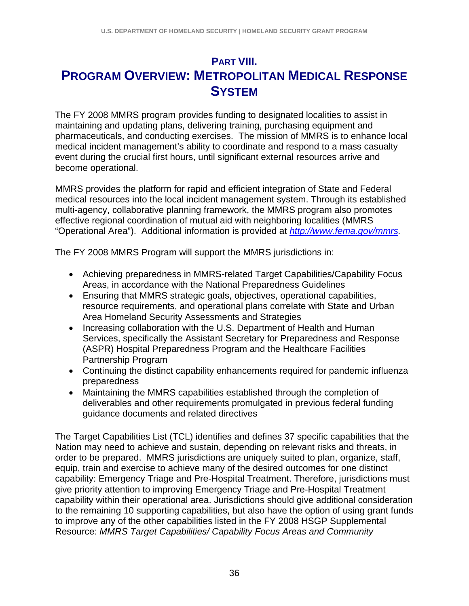# **PART VIII. PROGRAM OVERVIEW: METROPOLITAN MEDICAL RESPONSE SYSTEM**

The FY 2008 MMRS program provides funding to designated localities to assist in maintaining and updating plans, delivering training, purchasing equipment and pharmaceuticals, and conducting exercises. The mission of MMRS is to enhance local medical incident management's ability to coordinate and respond to a mass casualty event during the crucial first hours, until significant external resources arrive and become operational.

MMRS provides the platform for rapid and efficient integration of State and Federal medical resources into the local incident management system. Through its established multi-agency, collaborative planning framework, the MMRS program also promotes effective regional coordination of mutual aid with neighboring localities (MMRS "Operational Area"). Additional information is provided at *http://www.fema.gov/mmrs.*

The FY 2008 MMRS Program will support the MMRS jurisdictions in:

- Achieving preparedness in MMRS-related Target Capabilities/Capability Focus Areas, in accordance with the National Preparedness Guidelines
- Ensuring that MMRS strategic goals, objectives, operational capabilities, resource requirements, and operational plans correlate with State and Urban Area Homeland Security Assessments and Strategies
- Increasing collaboration with the U.S. Department of Health and Human Services, specifically the Assistant Secretary for Preparedness and Response (ASPR) Hospital Preparedness Program and the Healthcare Facilities Partnership Program
- Continuing the distinct capability enhancements required for pandemic influenza preparedness
- Maintaining the MMRS capabilities established through the completion of deliverables and other requirements promulgated in previous federal funding guidance documents and related directives

The Target Capabilities List (TCL) identifies and defines 37 specific capabilities that the Nation may need to achieve and sustain, depending on relevant risks and threats, in order to be prepared. MMRS jurisdictions are uniquely suited to plan, organize, staff, equip, train and exercise to achieve many of the desired outcomes for one distinct capability: Emergency Triage and Pre-Hospital Treatment. Therefore, jurisdictions must give priority attention to improving Emergency Triage and Pre-Hospital Treatment capability within their operational area. Jurisdictions should give additional consideration to the remaining 10 supporting capabilities, but also have the option of using grant funds to improve any of the other capabilities listed in the FY 2008 HSGP Supplemental Resource: *MMRS Target Capabilities/ Capability Focus Areas and Community*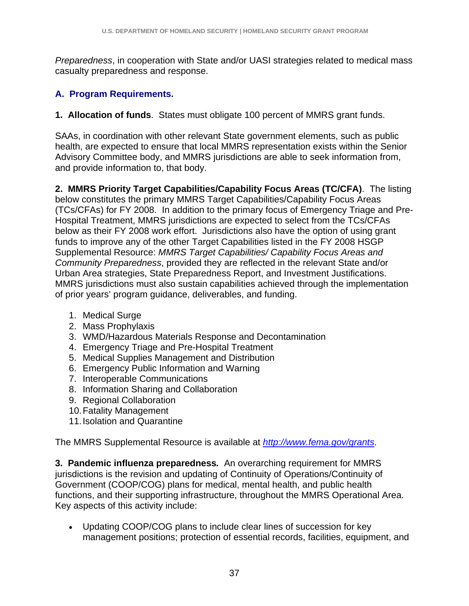*Preparedness*, in cooperation with State and/or UASI strategies related to medical mass casualty preparedness and response.

## **A. Program Requirements.**

**1. Allocation of funds**. States must obligate 100 percent of MMRS grant funds.

SAAs, in coordination with other relevant State government elements, such as public health, are expected to ensure that local MMRS representation exists within the Senior Advisory Committee body, and MMRS jurisdictions are able to seek information from, and provide information to, that body.

**2. MMRS Priority Target Capabilities/Capability Focus Areas (TC/CFA)**. The listing below constitutes the primary MMRS Target Capabilities/Capability Focus Areas (TCs/CFAs) for FY 2008. In addition to the primary focus of Emergency Triage and Pre-Hospital Treatment, MMRS jurisdictions are expected to select from the TCs/CFAs below as their FY 2008 work effort. Jurisdictions also have the option of using grant funds to improve any of the other Target Capabilities listed in the FY 2008 HSGP Supplemental Resource: *MMRS Target Capabilities/ Capability Focus Areas and Community Preparedness*, provided they are reflected in the relevant State and/or Urban Area strategies, State Preparedness Report, and Investment Justifications. MMRS jurisdictions must also sustain capabilities achieved through the implementation of prior years' program guidance, deliverables, and funding.

- 1. Medical Surge
- 2. Mass Prophylaxis
- 3. WMD/Hazardous Materials Response and Decontamination
- 4. Emergency Triage and Pre-Hospital Treatment
- 5. Medical Supplies Management and Distribution
- 6. Emergency Public Information and Warning
- 7. Interoperable Communications
- 8. Information Sharing and Collaboration
- 9. Regional Collaboration
- 10. Fatality Management
- 11. Isolation and Quarantine

The MMRS Supplemental Resource is available at *http://www.fema.gov/grants*.

**3. Pandemic influenza preparedness***.* An overarching requirement for MMRS jurisdictions is the revision and updating of Continuity of Operations/Continuity of Government (COOP/COG) plans for medical, mental health, and public health functions, and their supporting infrastructure, throughout the MMRS Operational Area. Key aspects of this activity include:

• Updating COOP/COG plans to include clear lines of succession for key management positions; protection of essential records, facilities, equipment, and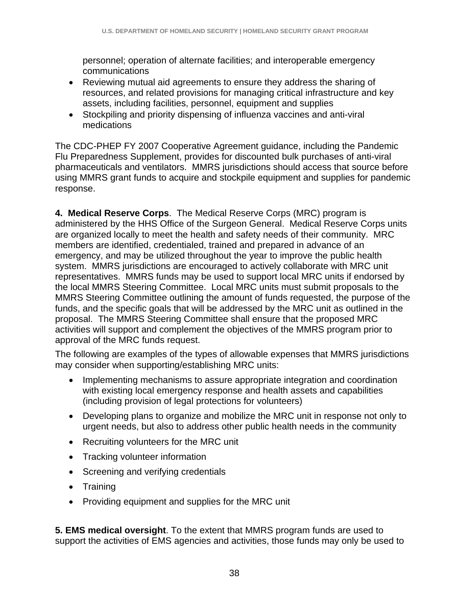personnel; operation of alternate facilities; and interoperable emergency communications

- Reviewing mutual aid agreements to ensure they address the sharing of resources, and related provisions for managing critical infrastructure and key assets, including facilities, personnel, equipment and supplies
- Stockpiling and priority dispensing of influenza vaccines and anti-viral medications

The CDC-PHEP FY 2007 Cooperative Agreement guidance, including the Pandemic Flu Preparedness Supplement, provides for discounted bulk purchases of anti-viral pharmaceuticals and ventilators. MMRS jurisdictions should access that source before using MMRS grant funds to acquire and stockpile equipment and supplies for pandemic response.

**4. Medical Reserve Corps**. The Medical Reserve Corps (MRC) program is administered by the HHS Office of the Surgeon General. Medical Reserve Corps units are organized locally to meet the health and safety needs of their community. MRC members are identified, credentialed, trained and prepared in advance of an emergency, and may be utilized throughout the year to improve the public health system. MMRS jurisdictions are encouraged to actively collaborate with MRC unit representatives. MMRS funds may be used to support local MRC units if endorsed by the local MMRS Steering Committee. Local MRC units must submit proposals to the MMRS Steering Committee outlining the amount of funds requested, the purpose of the funds, and the specific goals that will be addressed by the MRC unit as outlined in the proposal. The MMRS Steering Committee shall ensure that the proposed MRC activities will support and complement the objectives of the MMRS program prior to approval of the MRC funds request.

The following are examples of the types of allowable expenses that MMRS jurisdictions may consider when supporting/establishing MRC units:

- Implementing mechanisms to assure appropriate integration and coordination with existing local emergency response and health assets and capabilities (including provision of legal protections for volunteers)
- Developing plans to organize and mobilize the MRC unit in response not only to urgent needs, but also to address other public health needs in the community
- Recruiting volunteers for the MRC unit
- Tracking volunteer information
- Screening and verifying credentials
- Training
- Providing equipment and supplies for the MRC unit

**5. EMS medical oversight**. To the extent that MMRS program funds are used to support the activities of EMS agencies and activities, those funds may only be used to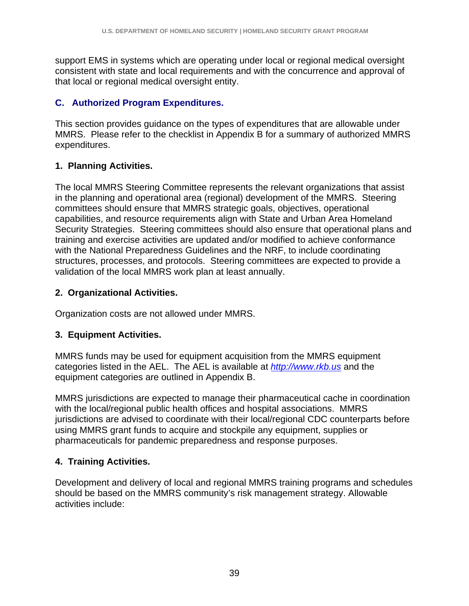support EMS in systems which are operating under local or regional medical oversight consistent with state and local requirements and with the concurrence and approval of that local or regional medical oversight entity.

### **C. Authorized Program Expenditures.**

This section provides guidance on the types of expenditures that are allowable under MMRS. Please refer to the checklist in Appendix B for a summary of authorized MMRS expenditures.

### **1. Planning Activities.**

The local MMRS Steering Committee represents the relevant organizations that assist in the planning and operational area (regional) development of the MMRS. Steering committees should ensure that MMRS strategic goals, objectives, operational capabilities, and resource requirements align with State and Urban Area Homeland Security Strategies. Steering committees should also ensure that operational plans and training and exercise activities are updated and/or modified to achieve conformance with the National Preparedness Guidelines and the NRF, to include coordinating structures, processes, and protocols. Steering committees are expected to provide a validation of the local MMRS work plan at least annually.

### **2. Organizational Activities.**

Organization costs are not allowed under MMRS.

### **3. Equipment Activities.**

MMRS funds may be used for equipment acquisition from the MMRS equipment categories listed in the AEL. The AEL is available at *http://www.rkb.us* and the equipment categories are outlined in Appendix B.

MMRS jurisdictions are expected to manage their pharmaceutical cache in coordination with the local/regional public health offices and hospital associations. MMRS jurisdictions are advised to coordinate with their local/regional CDC counterparts before using MMRS grant funds to acquire and stockpile any equipment, supplies or pharmaceuticals for pandemic preparedness and response purposes.

### **4. Training Activities.**

Development and delivery of local and regional MMRS training programs and schedules should be based on the MMRS community's risk management strategy. Allowable activities include: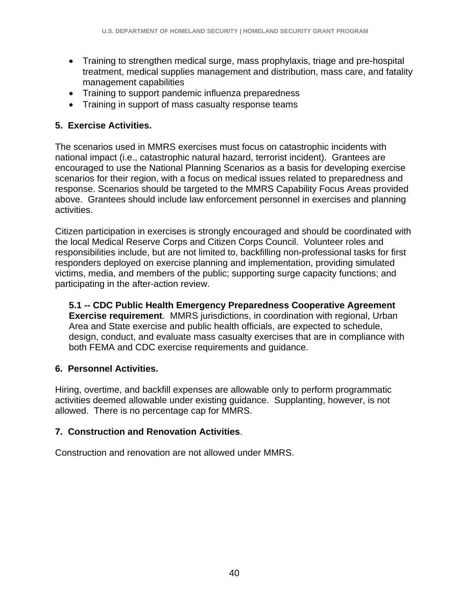- Training to strengthen medical surge, mass prophylaxis, triage and pre-hospital treatment, medical supplies management and distribution, mass care, and fatality management capabilities
- Training to support pandemic influenza preparedness
- Training in support of mass casualty response teams

### **5. Exercise Activities.**

The scenarios used in MMRS exercises must focus on catastrophic incidents with national impact (i.e., catastrophic natural hazard, terrorist incident). Grantees are encouraged to use the National Planning Scenarios as a basis for developing exercise scenarios for their region, with a focus on medical issues related to preparedness and response. Scenarios should be targeted to the MMRS Capability Focus Areas provided above. Grantees should include law enforcement personnel in exercises and planning activities.

Citizen participation in exercises is strongly encouraged and should be coordinated with the local Medical Reserve Corps and Citizen Corps Council. Volunteer roles and responsibilities include, but are not limited to, backfilling non-professional tasks for first responders deployed on exercise planning and implementation, providing simulated victims, media, and members of the public; supporting surge capacity functions; and participating in the after-action review.

**5.1 -- CDC Public Health Emergency Preparedness Cooperative Agreement Exercise requirement**. MMRS jurisdictions, in coordination with regional, Urban Area and State exercise and public health officials, are expected to schedule, design, conduct, and evaluate mass casualty exercises that are in compliance with both FEMA and CDC exercise requirements and guidance.

### **6. Personnel Activities.**

Hiring, overtime, and backfill expenses are allowable only to perform programmatic activities deemed allowable under existing guidance. Supplanting, however, is not allowed. There is no percentage cap for MMRS.

### **7. Construction and Renovation Activities**.

Construction and renovation are not allowed under MMRS.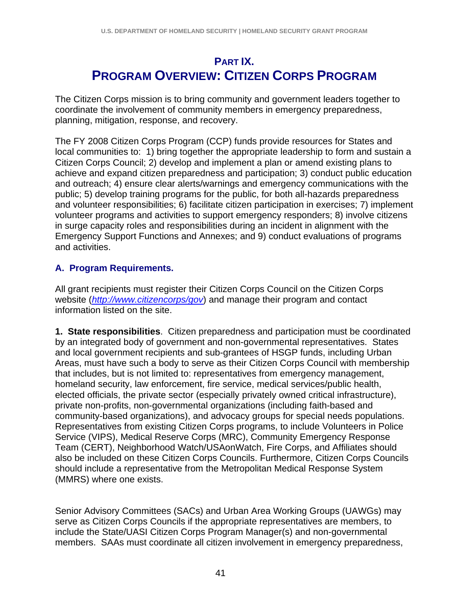# **PART IX. PROGRAM OVERVIEW: CITIZEN CORPS PROGRAM**

The Citizen Corps mission is to bring community and government leaders together to coordinate the involvement of community members in emergency preparedness, planning, mitigation, response, and recovery.

The FY 2008 Citizen Corps Program (CCP) funds provide resources for States and local communities to: 1) bring together the appropriate leadership to form and sustain a Citizen Corps Council; 2) develop and implement a plan or amend existing plans to achieve and expand citizen preparedness and participation; 3) conduct public education and outreach; 4) ensure clear alerts/warnings and emergency communications with the public; 5) develop training programs for the public, for both all-hazards preparedness and volunteer responsibilities; 6) facilitate citizen participation in exercises; 7) implement volunteer programs and activities to support emergency responders; 8) involve citizens in surge capacity roles and responsibilities during an incident in alignment with the Emergency Support Functions and Annexes; and 9) conduct evaluations of programs and activities.

## **A. Program Requirements.**

All grant recipients must register their Citizen Corps Council on the Citizen Corps website (*http://www.citizencorps/gov*) and manage their program and contact information listed on the site.

**1. State responsibilities**. Citizen preparedness and participation must be coordinated by an integrated body of government and non-governmental representatives. States and local government recipients and sub-grantees of HSGP funds, including Urban Areas, must have such a body to serve as their Citizen Corps Council with membership that includes, but is not limited to: representatives from emergency management, homeland security, law enforcement, fire service, medical services/public health, elected officials, the private sector (especially privately owned critical infrastructure), private non-profits, non-governmental organizations (including faith-based and community-based organizations), and advocacy groups for special needs populations. Representatives from existing Citizen Corps programs, to include Volunteers in Police Service (VIPS), Medical Reserve Corps (MRC), Community Emergency Response Team (CERT), Neighborhood Watch/USAonWatch, Fire Corps, and Affiliates should also be included on these Citizen Corps Councils. Furthermore, Citizen Corps Councils should include a representative from the Metropolitan Medical Response System (MMRS) where one exists.

Senior Advisory Committees (SACs) and Urban Area Working Groups (UAWGs) may serve as Citizen Corps Councils if the appropriate representatives are members, to include the State/UASI Citizen Corps Program Manager(s) and non-governmental members. SAAs must coordinate all citizen involvement in emergency preparedness,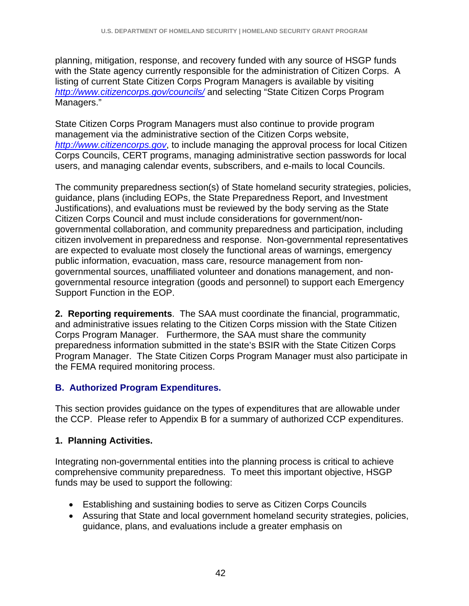planning, mitigation, response, and recovery funded with any source of HSGP funds with the State agency currently responsible for the administration of Citizen Corps. A listing of current State Citizen Corps Program Managers is available by visiting *http://www.citizencorps.gov/councils/* and selecting "State Citizen Corps Program Managers."

State Citizen Corps Program Managers must also continue to provide program management via the administrative section of the Citizen Corps website, *http://www.citizencorps.gov*, to include managing the approval process for local Citizen Corps Councils, CERT programs, managing administrative section passwords for local users, and managing calendar events, subscribers, and e-mails to local Councils.

The community preparedness section(s) of State homeland security strategies, policies, guidance, plans (including EOPs, the State Preparedness Report, and Investment Justifications), and evaluations must be reviewed by the body serving as the State Citizen Corps Council and must include considerations for government/nongovernmental collaboration, and community preparedness and participation, including citizen involvement in preparedness and response. Non-governmental representatives are expected to evaluate most closely the functional areas of warnings, emergency public information, evacuation, mass care, resource management from nongovernmental sources, unaffiliated volunteer and donations management, and nongovernmental resource integration (goods and personnel) to support each Emergency Support Function in the EOP.

**2. Reporting requirements**. The SAA must coordinate the financial, programmatic, and administrative issues relating to the Citizen Corps mission with the State Citizen Corps Program Manager. Furthermore, the SAA must share the community preparedness information submitted in the state's BSIR with the State Citizen Corps Program Manager. The State Citizen Corps Program Manager must also participate in the FEMA required monitoring process.

## **B. Authorized Program Expenditures.**

This section provides guidance on the types of expenditures that are allowable under the CCP. Please refer to Appendix B for a summary of authorized CCP expenditures.

## **1. Planning Activities.**

Integrating non-governmental entities into the planning process is critical to achieve comprehensive community preparedness. To meet this important objective, HSGP funds may be used to support the following:

- Establishing and sustaining bodies to serve as Citizen Corps Councils
- Assuring that State and local government homeland security strategies, policies, guidance, plans, and evaluations include a greater emphasis on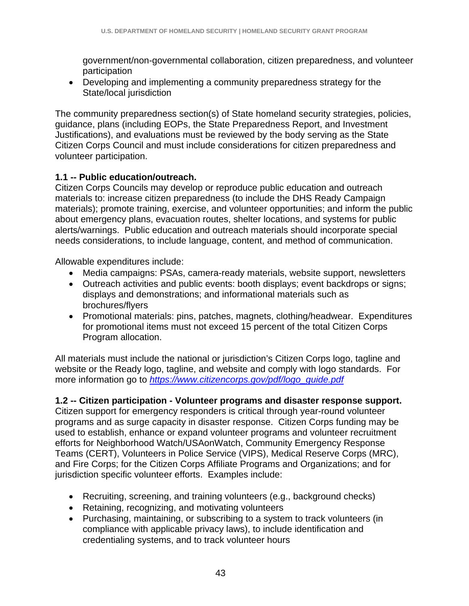government/non-governmental collaboration, citizen preparedness, and volunteer participation

• Developing and implementing a community preparedness strategy for the State/local jurisdiction

The community preparedness section(s) of State homeland security strategies, policies, guidance, plans (including EOPs, the State Preparedness Report, and Investment Justifications), and evaluations must be reviewed by the body serving as the State Citizen Corps Council and must include considerations for citizen preparedness and volunteer participation.

### **1.1 -- Public education/outreach.**

Citizen Corps Councils may develop or reproduce public education and outreach materials to: increase citizen preparedness (to include the DHS Ready Campaign materials); promote training, exercise, and volunteer opportunities; and inform the public about emergency plans, evacuation routes, shelter locations, and systems for public alerts/warnings. Public education and outreach materials should incorporate special needs considerations, to include language, content, and method of communication.

Allowable expenditures include:

- Media campaigns: PSAs, camera-ready materials, website support, newsletters
- Outreach activities and public events: booth displays; event backdrops or signs; displays and demonstrations; and informational materials such as brochures/flyers
- Promotional materials: pins, patches, magnets, clothing/headwear. Expenditures for promotional items must not exceed 15 percent of the total Citizen Corps Program allocation.

All materials must include the national or jurisdiction's Citizen Corps logo, tagline and website or the Ready logo, tagline, and website and comply with logo standards. For more information go to *https://www.citizencorps.gov/pdf/logo\_guide.pdf*

### **1.2 -- Citizen participation - Volunteer programs and disaster response support.**

Citizen support for emergency responders is critical through year-round volunteer programs and as surge capacity in disaster response. Citizen Corps funding may be used to establish, enhance or expand volunteer programs and volunteer recruitment efforts for Neighborhood Watch/USAonWatch, Community Emergency Response Teams (CERT), Volunteers in Police Service (VIPS), Medical Reserve Corps (MRC), and Fire Corps; for the Citizen Corps Affiliate Programs and Organizations; and for jurisdiction specific volunteer efforts. Examples include:

- Recruiting, screening, and training volunteers (e.g., background checks)
- Retaining, recognizing, and motivating volunteers
- Purchasing, maintaining, or subscribing to a system to track volunteers (in compliance with applicable privacy laws), to include identification and credentialing systems, and to track volunteer hours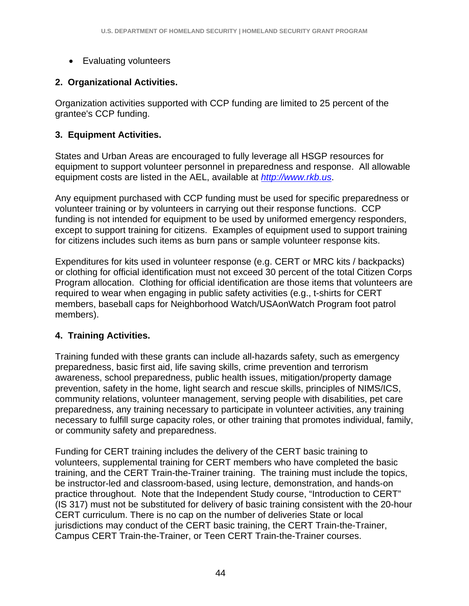• Evaluating volunteers

## **2. Organizational Activities.**

Organization activities supported with CCP funding are limited to 25 percent of the grantee's CCP funding.

### **3. Equipment Activities.**

States and Urban Areas are encouraged to fully leverage all HSGP resources for equipment to support volunteer personnel in preparedness and response. All allowable equipment costs are listed in the AEL, available at *http://www.rkb.us*.

Any equipment purchased with CCP funding must be used for specific preparedness or volunteer training or by volunteers in carrying out their response functions. CCP funding is not intended for equipment to be used by uniformed emergency responders, except to support training for citizens. Examples of equipment used to support training for citizens includes such items as burn pans or sample volunteer response kits.

Expenditures for kits used in volunteer response (e.g. CERT or MRC kits / backpacks) or clothing for official identification must not exceed 30 percent of the total Citizen Corps Program allocation. Clothing for official identification are those items that volunteers are required to wear when engaging in public safety activities (e.g., t-shirts for CERT members, baseball caps for Neighborhood Watch/USAonWatch Program foot patrol members).

### **4. Training Activities.**

Training funded with these grants can include all-hazards safety, such as emergency preparedness, basic first aid, life saving skills, crime prevention and terrorism awareness, school preparedness, public health issues, mitigation/property damage prevention, safety in the home, light search and rescue skills, principles of NIMS/ICS, community relations, volunteer management, serving people with disabilities, pet care preparedness, any training necessary to participate in volunteer activities, any training necessary to fulfill surge capacity roles, or other training that promotes individual, family, or community safety and preparedness.

Funding for CERT training includes the delivery of the CERT basic training to volunteers, supplemental training for CERT members who have completed the basic training, and the CERT Train-the-Trainer training. The training must include the topics, be instructor-led and classroom-based, using lecture, demonstration, and hands-on practice throughout. Note that the Independent Study course, "Introduction to CERT" (IS 317) must not be substituted for delivery of basic training consistent with the 20-hour CERT curriculum. There is no cap on the number of deliveries State or local jurisdictions may conduct of the CERT basic training, the CERT Train-the-Trainer, Campus CERT Train-the-Trainer, or Teen CERT Train-the-Trainer courses.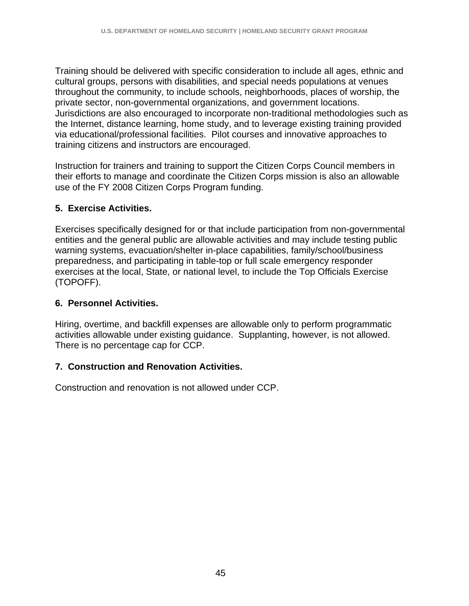Training should be delivered with specific consideration to include all ages, ethnic and cultural groups, persons with disabilities, and special needs populations at venues throughout the community, to include schools, neighborhoods, places of worship, the private sector, non-governmental organizations, and government locations. Jurisdictions are also encouraged to incorporate non-traditional methodologies such as the Internet, distance learning, home study, and to leverage existing training provided via educational/professional facilities. Pilot courses and innovative approaches to training citizens and instructors are encouraged.

Instruction for trainers and training to support the Citizen Corps Council members in their efforts to manage and coordinate the Citizen Corps mission is also an allowable use of the FY 2008 Citizen Corps Program funding.

### **5. Exercise Activities.**

Exercises specifically designed for or that include participation from non-governmental entities and the general public are allowable activities and may include testing public warning systems, evacuation/shelter in-place capabilities, family/school/business preparedness, and participating in table-top or full scale emergency responder exercises at the local, State, or national level, to include the Top Officials Exercise (TOPOFF).

### **6. Personnel Activities.**

Hiring, overtime, and backfill expenses are allowable only to perform programmatic activities allowable under existing guidance. Supplanting, however, is not allowed. There is no percentage cap for CCP.

### **7. Construction and Renovation Activities.**

Construction and renovation is not allowed under CCP.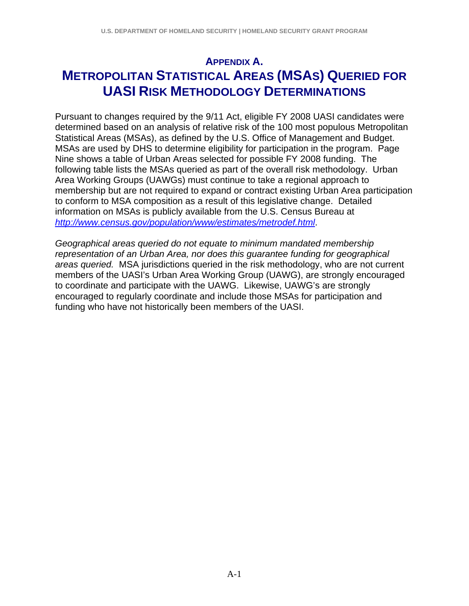# **APPENDIX A. METROPOLITAN STATISTICAL AREAS (MSAS) QUERIED FOR UASI RISK METHODOLOGY DETERMINATIONS**

Pursuant to changes required by the 9/11 Act, eligible FY 2008 UASI candidates were determined based on an analysis of relative risk of the 100 most populous Metropolitan Statistical Areas (MSAs), as defined by the U.S. Office of Management and Budget. MSAs are used by DHS to determine eligibility for participation in the program. Page Nine shows a table of Urban Areas selected for possible FY 2008 funding. The following table lists the MSAs queried as part of the overall risk methodology. Urban Area Working Groups (UAWGs) must continue to take a regional approach to membership but are not required to expand or contract existing Urban Area participation to conform to MSA composition as a result of this legislative change. Detailed information on MSAs is publicly available from the U.S. Census Bureau at *http://www.census.gov/population/www/estimates/metrodef.html*.

*Geographical areas queried do not equate to minimum mandated membership representation of an Urban Area, nor does this guarantee funding for geographical areas queried.* MSA jurisdictions queried in the risk methodology, who are not current members of the UASI's Urban Area Working Group (UAWG), are strongly encouraged to coordinate and participate with the UAWG. Likewise, UAWG's are strongly encouraged to regularly coordinate and include those MSAs for participation and funding who have not historically been members of the UASI.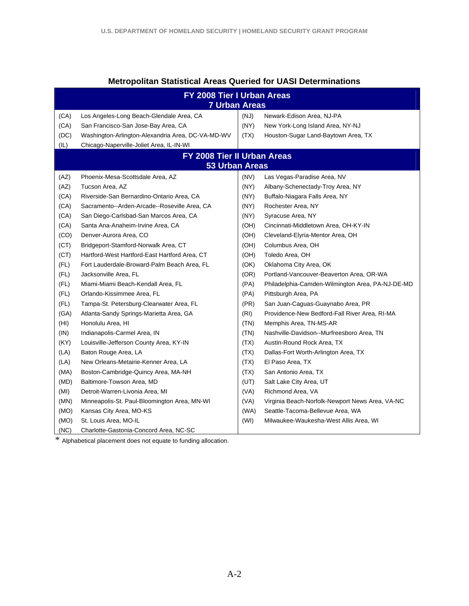| FY 2008 Tier I Urban Areas<br><b>7 Urban Areas</b> |                                                   |      |                                                  |  |  |  |
|----------------------------------------------------|---------------------------------------------------|------|--------------------------------------------------|--|--|--|
| (CA)                                               | Los Angeles-Long Beach-Glendale Area, CA          | (NJ) | Newark-Edison Area, NJ-PA                        |  |  |  |
| (CA)                                               | San Francisco-San Jose-Bay Area, CA               | (NY) | New York-Long Island Area, NY-NJ                 |  |  |  |
| (DC)                                               | Washington-Arlington-Alexandria Area, DC-VA-MD-WV | (TX) | Houston-Sugar Land-Baytown Area, TX              |  |  |  |
| (IL)                                               | Chicago-Naperville-Joliet Area, IL-IN-WI          |      |                                                  |  |  |  |
|                                                    | FY 2008 Tier II Urban Areas                       |      |                                                  |  |  |  |
|                                                    | <b>53 Urban Areas</b>                             |      |                                                  |  |  |  |
| (AZ)                                               | Phoenix-Mesa-Scottsdale Area, AZ                  | (NV) | Las Vegas-Paradise Area, NV                      |  |  |  |
| (AZ)                                               | Tucson Area, AZ                                   | (NY) | Albany-Schenectady-Troy Area, NY                 |  |  |  |
| (CA)                                               | Riverside-San Bernardino-Ontario Area, CA         | (NY) | Buffalo-Niagara Falls Area, NY                   |  |  |  |
| (CA)                                               | Sacramento--Arden-Arcade--Roseville Area, CA      | (NY) | Rochester Area, NY                               |  |  |  |
| (CA)                                               | San Diego-Carlsbad-San Marcos Area, CA            | (NY) | Syracuse Area, NY                                |  |  |  |
| (CA)                                               | Santa Ana-Anaheim-Irvine Area, CA                 | (OH) | Cincinnati-Middletown Area, OH-KY-IN             |  |  |  |
| (CO)                                               | Denver-Aurora Area, CO                            | (OH) | Cleveland-Elyria-Mentor Area, OH                 |  |  |  |
| (CT)                                               | Bridgeport-Stamford-Norwalk Area, CT              | (OH) | Columbus Area, OH                                |  |  |  |
| (CT)                                               | Hartford-West Hartford-East Hartford Area, CT     | (OH) | Toledo Area, OH                                  |  |  |  |
| (FL)                                               | Fort Lauderdale-Broward-Palm Beach Area, FL       | (OK) | Oklahoma City Area, OK                           |  |  |  |
| (FL)                                               | Jacksonville Area, FL                             | (OR) | Portland-Vancouver-Beaverton Area, OR-WA         |  |  |  |
| (FL)                                               | Miami-Miami Beach-Kendall Area, FL                | (PA) | Philadelphia-Camden-Wilmington Area, PA-NJ-DE-MD |  |  |  |
| (FL)                                               | Orlando-Kissimmee Area, FL                        | (PA) | Pittsburgh Area, PA                              |  |  |  |
| (FL)                                               | Tampa-St. Petersburg-Clearwater Area, FL          | (PR) | San Juan-Caguas-Guaynabo Area, PR                |  |  |  |
| (GA)                                               | Atlanta-Sandy Springs-Marietta Area, GA           | (RI) | Providence-New Bedford-Fall River Area, RI-MA    |  |  |  |
| (HI)                                               | Honolulu Area, HI                                 | (TN) | Memphis Area, TN-MS-AR                           |  |  |  |
| (IN)                                               | Indianapolis-Carmel Area, IN                      | (TN) | Nashville-Davidson--Murfreesboro Area, TN        |  |  |  |
| (KY)                                               | Louisville-Jefferson County Area, KY-IN           | (TX) | Austin-Round Rock Area, TX                       |  |  |  |
| (LA)                                               | Baton Rouge Area, LA                              | (TX) | Dallas-Fort Worth-Arlington Area, TX             |  |  |  |
| (LA)                                               | New Orleans-Metairie-Kenner Area, LA              | (TX) | El Paso Area, TX                                 |  |  |  |
| (MA)                                               | Boston-Cambridge-Quincy Area, MA-NH               | (TX) | San Antonio Area, TX                             |  |  |  |
| (MD)                                               | Baltimore-Towson Area, MD                         | (UT) | Salt Lake City Area, UT                          |  |  |  |
| (MI)                                               | Detroit-Warren-Livonia Area, MI                   | (VA) | Richmond Area, VA                                |  |  |  |
| (MN)                                               | Minneapolis-St. Paul-Bloomington Area, MN-WI      | (VA) | Virginia Beach-Norfolk-Newport News Area, VA-NC  |  |  |  |
| (MO)                                               | Kansas City Area, MO-KS                           | (WA) | Seattle-Tacoma-Bellevue Area, WA                 |  |  |  |
| (MO)                                               | St. Louis Area, MO-IL                             | (WI) | Milwaukee-Waukesha-West Allis Area, WI           |  |  |  |
| (NC)                                               | Charlotte-Gastonia-Concord Area, NC-SC            |      |                                                  |  |  |  |

### **Metropolitan Statistical Areas Queried for UASI Determinations**

\* Alphabetical placement does not equate to funding allocation.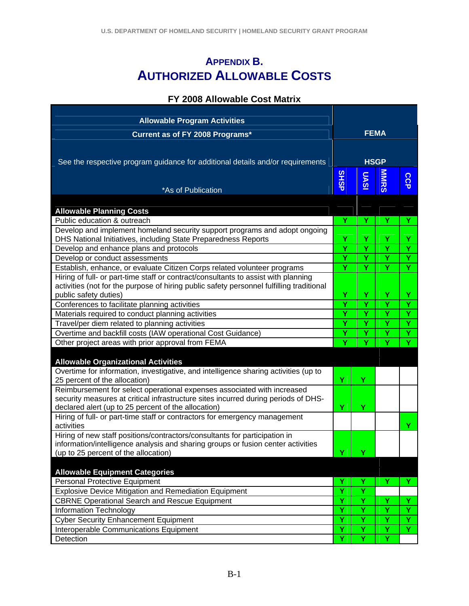# **APPENDIX B. AUTHORIZED ALLOWABLE COSTS**

### **FY 2008 Allowable Cost Matrix**

| <b>Allowable Program Activities</b>                                                                                                          |             |             |             |     |  |  |
|----------------------------------------------------------------------------------------------------------------------------------------------|-------------|-------------|-------------|-----|--|--|
| Current as of FY 2008 Programs*                                                                                                              |             |             | <b>FEMA</b> |     |  |  |
|                                                                                                                                              |             |             |             |     |  |  |
| See the respective program guidance for additional details and/or requirements                                                               |             | <b>HSGP</b> |             |     |  |  |
|                                                                                                                                              |             |             |             |     |  |  |
|                                                                                                                                              | <b>SHSP</b> | <b>UASI</b> | <b>MNRS</b> | CCP |  |  |
| *As of Publication                                                                                                                           |             |             |             |     |  |  |
|                                                                                                                                              |             |             |             |     |  |  |
| <b>Allowable Planning Costs</b><br>Public education & outreach                                                                               | Y           | Y           | Y           |     |  |  |
|                                                                                                                                              |             |             |             | Y.  |  |  |
| Develop and implement homeland security support programs and adopt ongoing<br>DHS National Initiatives, including State Preparedness Reports | Ÿ           | Ÿ           | Y           | Y   |  |  |
| Develop and enhance plans and protocols                                                                                                      | Ÿ           | Ÿ           | Ÿ           | Ÿ   |  |  |
| Develop or conduct assessments                                                                                                               | Ÿ           | Ÿ           | Ÿ           | Y   |  |  |
| Establish, enhance, or evaluate Citizen Corps related volunteer programs                                                                     | Y           | Y           | Y           | Y   |  |  |
| Hiring of full- or part-time staff or contract/consultants to assist with planning                                                           |             |             |             |     |  |  |
| activities (not for the purpose of hiring public safety personnel fulfilling traditional                                                     |             |             |             |     |  |  |
| public safety duties)                                                                                                                        | Υ           | Y           | Y           | Y   |  |  |
| Conferences to facilitate planning activities                                                                                                | Y           | Y           | Y           | Y   |  |  |
| Materials required to conduct planning activities                                                                                            | Ÿ           | Y           | Ÿ           | Y   |  |  |
| Travel/per diem related to planning activities                                                                                               | Ÿ           | Ÿ           | Ÿ           | Y   |  |  |
| Overtime and backfill costs (IAW operational Cost Guidance)                                                                                  | Y           | Y           | Y           | Ÿ   |  |  |
| Other project areas with prior approval from FEMA                                                                                            |             | Ÿ           | Ÿ           | Ÿ   |  |  |
|                                                                                                                                              |             |             |             |     |  |  |
| <b>Allowable Organizational Activities</b>                                                                                                   |             |             |             |     |  |  |
| Overtime for information, investigative, and intelligence sharing activities (up to<br>25 percent of the allocation)                         | Ÿ           | Ÿ           |             |     |  |  |
| Reimbursement for select operational expenses associated with increased                                                                      |             |             |             |     |  |  |
| security measures at critical infrastructure sites incurred during periods of DHS-                                                           |             |             |             |     |  |  |
| declared alert (up to 25 percent of the allocation)                                                                                          | Ÿ           | Ÿ           |             |     |  |  |
| Hiring of full- or part-time staff or contractors for emergency management<br>activities                                                     |             |             |             | Y   |  |  |
| Hiring of new staff positions/contractors/consultants for participation in                                                                   |             |             |             |     |  |  |
| information/intelligence analysis and sharing groups or fusion center activities                                                             |             |             |             |     |  |  |
| (up to 25 percent of the allocation)                                                                                                         | v           |             |             |     |  |  |
|                                                                                                                                              |             |             |             |     |  |  |
| <b>Allowable Equipment Categories</b>                                                                                                        |             |             |             |     |  |  |
| <b>Personal Protective Equipment</b>                                                                                                         | Y           | Y           | Y           | Y.  |  |  |
| Explosive Device Mitigation and Remediation Equipment                                                                                        | Ÿ           | Ÿ           |             |     |  |  |
| <b>CBRNE Operational Search and Rescue Equipment</b>                                                                                         | Y           | Y           | Y           | Υ   |  |  |
| Information Technology                                                                                                                       | Ý           | Ÿ           | Ÿ           | Ÿ   |  |  |
| <b>Cyber Security Enhancement Equipment</b>                                                                                                  | Y           | Y           | Y           | Y   |  |  |
| Interoperable Communications Equipment                                                                                                       | Y           | Y           | Y           | Y.  |  |  |
| Detection                                                                                                                                    | Ÿ           | Y           | Y           |     |  |  |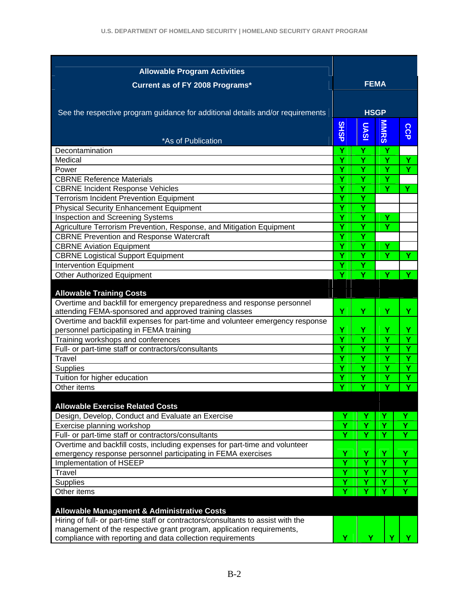| <b>Allowable Program Activities</b>                                              |             |        |             |        |  |  |
|----------------------------------------------------------------------------------|-------------|--------|-------------|--------|--|--|
|                                                                                  |             |        | <b>FEMA</b> |        |  |  |
| Current as of FY 2008 Programs*                                                  |             |        |             |        |  |  |
|                                                                                  |             |        |             |        |  |  |
| See the respective program guidance for additional details and/or requirements   |             |        | <b>HSGP</b> |        |  |  |
|                                                                                  |             |        |             |        |  |  |
|                                                                                  | <b>SHSP</b> | UASI   | <b>MMRS</b> | CCP    |  |  |
| *As of Publication                                                               |             |        |             |        |  |  |
| Decontamination<br>Medical                                                       | Ÿ<br>Y      | Ÿ      | Ÿ           |        |  |  |
|                                                                                  | Y           | Y<br>Y | Y<br>Y      | Y<br>Y |  |  |
| Power<br><b>CBRNE Reference Materials</b>                                        | Y           | Ÿ      | Ÿ           |        |  |  |
|                                                                                  |             |        |             |        |  |  |
| <b>CBRNE Incident Response Vehicles</b>                                          | Ÿ           | Ÿ      | Ÿ           | Y      |  |  |
| <b>Terrorism Incident Prevention Equipment</b>                                   | Y           | Ÿ      |             |        |  |  |
| <b>Physical Security Enhancement Equipment</b>                                   | Y           | Ÿ      |             |        |  |  |
| Inspection and Screening Systems                                                 | Y           | Y      | Y           |        |  |  |
| Agriculture Terrorism Prevention, Response, and Mitigation Equipment             | Y           | Ÿ      | Y           |        |  |  |
| <b>CBRNE Prevention and Response Watercraft</b>                                  | Y           | Ÿ      |             |        |  |  |
| <b>CBRNE Aviation Equipment</b>                                                  | Y           | Y      | Y           |        |  |  |
| <b>CBRNE Logistical Support Equipment</b>                                        | Ÿ           | Ÿ      | Ÿ           | Y      |  |  |
| <b>Intervention Equipment</b>                                                    | Υ           | Υ      |             |        |  |  |
| <b>Other Authorized Equipment</b>                                                | ۷           | Y      | Y           | Y.     |  |  |
| <b>Allowable Training Costs</b>                                                  |             |        |             |        |  |  |
| Overtime and backfill for emergency preparedness and response personnel          |             |        |             |        |  |  |
| attending FEMA-sponsored and approved training classes                           | Ÿ           | Y      | Ÿ           | Y      |  |  |
| Overtime and backfill expenses for part-time and volunteer emergency response    |             |        |             |        |  |  |
| personnel participating in FEMA training                                         | Ÿ<br>Y      | Y      | Y           | Y      |  |  |
| Training workshops and conferences                                               |             | Y      | Y           | Y      |  |  |
| Full- or part-time staff or contractors/consultants                              |             | Y      | Ÿ           | Y      |  |  |
| <b>Travel</b>                                                                    | Ÿ           | Y      | Ÿ           | Y      |  |  |
| <b>Supplies</b>                                                                  | Ÿ           | Ÿ      | Ÿ           | Y      |  |  |
| Tuition for higher education                                                     | Ÿ           | Ý      | Ÿ           | Y      |  |  |
| Other items                                                                      | v           | Y      | Y           | v      |  |  |
| <b>Allowable Exercise Related Costs</b>                                          |             |        |             |        |  |  |
| Design, Develop, Conduct and Evaluate an Exercise                                | Y           | Y      | Y           |        |  |  |
| Exercise planning workshop                                                       | Y           | Ÿ      | Ÿ           | Ÿ      |  |  |
| Full- or part-time staff or contractors/consultants                              | Ÿ           | Y      | Y           |        |  |  |
| Overtime and backfill costs, including expenses for part-time and volunteer      |             |        |             |        |  |  |
| emergency response personnel participating in FEMA exercises                     | Y           | Y      | Y           | Y      |  |  |
| Implementation of HSEEP                                                          | Ÿ           | Ý      | Y           | Ý      |  |  |
| <b>Travel</b>                                                                    | Y           | Ÿ      | Y           | Ÿ      |  |  |
| <b>Supplies</b>                                                                  | Y           | Ÿ      | Y           | Ÿ      |  |  |
| Other items                                                                      | Y           | Ÿ      | Ÿ           | Ý      |  |  |
|                                                                                  |             |        |             |        |  |  |
| <b>Allowable Management &amp; Administrative Costs</b>                           |             |        |             |        |  |  |
| Hiring of full- or part-time staff or contractors/consultants to assist with the |             |        |             |        |  |  |
| management of the respective grant program, application requirements,            |             |        |             |        |  |  |
| compliance with reporting and data collection requirements                       | Y           |        |             |        |  |  |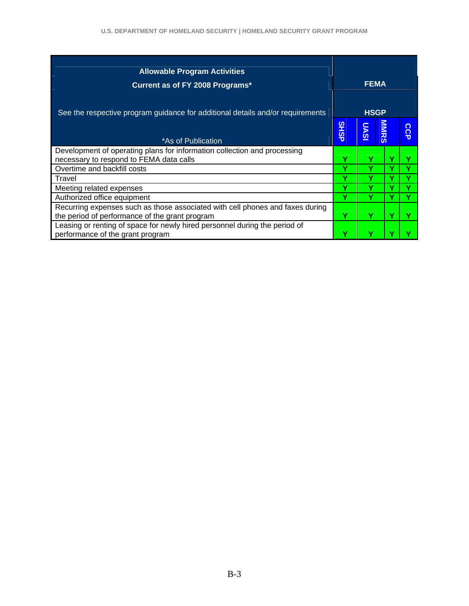| <b>Allowable Program Activities</b><br>Current as of FY 2008 Programs*                                                          |             | <b>FEMA</b> |             |               |
|---------------------------------------------------------------------------------------------------------------------------------|-------------|-------------|-------------|---------------|
| See the respective program guidance for additional details and/or requirements                                                  |             | <b>HSGP</b> |             |               |
| *As of Publication                                                                                                              | <b>SHSP</b> | <b>UASI</b> | <b>MNRS</b> | ဂ<br>$\Omega$ |
| Development of operating plans for information collection and processing                                                        |             |             |             |               |
| necessary to respond to FEMA data calls                                                                                         | v           |             |             |               |
| Overtime and backfill costs                                                                                                     |             |             |             |               |
| Travel                                                                                                                          | Y           |             |             |               |
| Meeting related expenses                                                                                                        | Y           |             |             |               |
| Authorized office equipment                                                                                                     |             |             |             |               |
| Recurring expenses such as those associated with cell phones and faxes during<br>the period of performance of the grant program | Y           |             | v           |               |
| Leasing or renting of space for newly hired personnel during the period of<br>performance of the grant program                  | v           |             |             |               |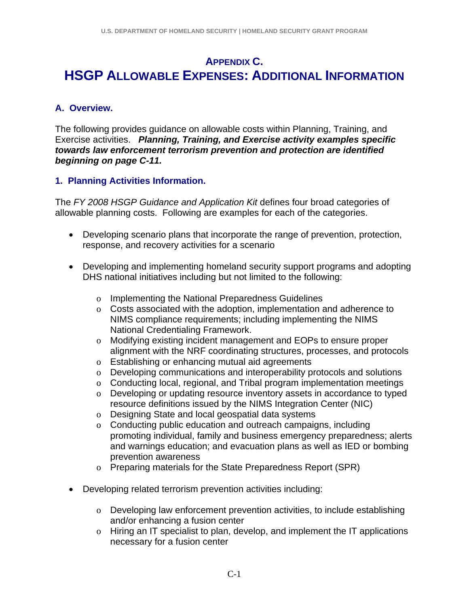## **APPENDIX C. HSGP ALLOWABLE EXPENSES: ADDITIONAL INFORMATION**

### **A. Overview.**

The following provides guidance on allowable costs within Planning, Training, and Exercise activities. *Planning, Training, and Exercise activity examples specific towards law enforcement terrorism prevention and protection are identified beginning on page C-11.* 

### **1. Planning Activities Information.**

The *FY 2008 HSGP Guidance and Application Kit* defines four broad categories of allowable planning costs. Following are examples for each of the categories.

- Developing scenario plans that incorporate the range of prevention, protection, response, and recovery activities for a scenario
- Developing and implementing homeland security support programs and adopting DHS national initiatives including but not limited to the following:
	- o Implementing the National Preparedness Guidelines
	- o Costs associated with the adoption, implementation and adherence to NIMS compliance requirements; including implementing the NIMS National Credentialing Framework.
	- o Modifying existing incident management and EOPs to ensure proper alignment with the NRF coordinating structures, processes, and protocols
	- o Establishing or enhancing mutual aid agreements
	- o Developing communications and interoperability protocols and solutions
	- o Conducting local, regional, and Tribal program implementation meetings
	- o Developing or updating resource inventory assets in accordance to typed resource definitions issued by the NIMS Integration Center (NIC)
	- o Designing State and local geospatial data systems
	- o Conducting public education and outreach campaigns, including promoting individual, family and business emergency preparedness; alerts and warnings education; and evacuation plans as well as IED or bombing prevention awareness
	- o Preparing materials for the State Preparedness Report (SPR)
- Developing related terrorism prevention activities including:
	- o Developing law enforcement prevention activities, to include establishing and/or enhancing a fusion center
	- o Hiring an IT specialist to plan, develop, and implement the IT applications necessary for a fusion center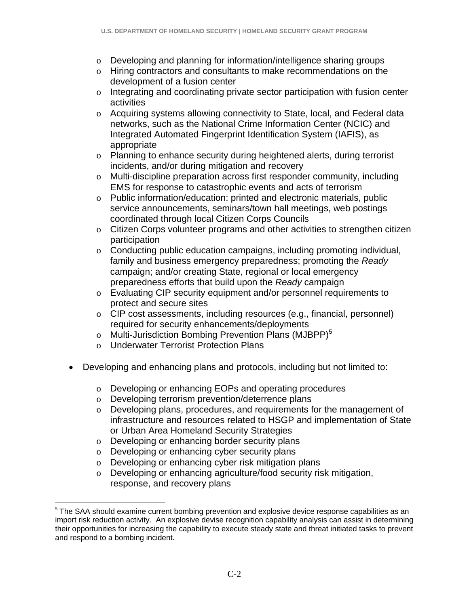- o Developing and planning for information/intelligence sharing groups
- o Hiring contractors and consultants to make recommendations on the development of a fusion center
- o Integrating and coordinating private sector participation with fusion center activities
- o Acquiring systems allowing connectivity to State, local, and Federal data networks, such as the National Crime Information Center (NCIC) and Integrated Automated Fingerprint Identification System (IAFIS), as appropriate
- o Planning to enhance security during heightened alerts, during terrorist incidents, and/or during mitigation and recovery
- o Multi-discipline preparation across first responder community, including EMS for response to catastrophic events and acts of terrorism
- o Public information/education: printed and electronic materials, public service announcements, seminars/town hall meetings, web postings coordinated through local Citizen Corps Councils
- o Citizen Corps volunteer programs and other activities to strengthen citizen participation
- o Conducting public education campaigns, including promoting individual, family and business emergency preparedness; promoting the *Ready*  campaign; and/or creating State, regional or local emergency preparedness efforts that build upon the *Ready* campaign
- o Evaluating CIP security equipment and/or personnel requirements to protect and secure sites
- o CIP cost assessments, including resources (e.g., financial, personnel) required for security enhancements/deployments
- o Multi-Jurisdiction Bombing Prevention Plans (MJBPP)<sup>5</sup>
- o Underwater Terrorist Protection Plans
- Developing and enhancing plans and protocols, including but not limited to:
	- o Developing or enhancing EOPs and operating procedures
	- o Developing terrorism prevention/deterrence plans
	- o Developing plans, procedures, and requirements for the management of infrastructure and resources related to HSGP and implementation of State or Urban Area Homeland Security Strategies
	- o Developing or enhancing border security plans
	- o Developing or enhancing cyber security plans

1

- o Developing or enhancing cyber risk mitigation plans
- o Developing or enhancing agriculture/food security risk mitigation, response, and recovery plans

<sup>&</sup>lt;sup>5</sup> The SAA should examine current bombing prevention and explosive device response capabilities as an import risk reduction activity. An explosive devise recognition capability analysis can assist in determining their opportunities for increasing the capability to execute steady state and threat initiated tasks to prevent and respond to a bombing incident.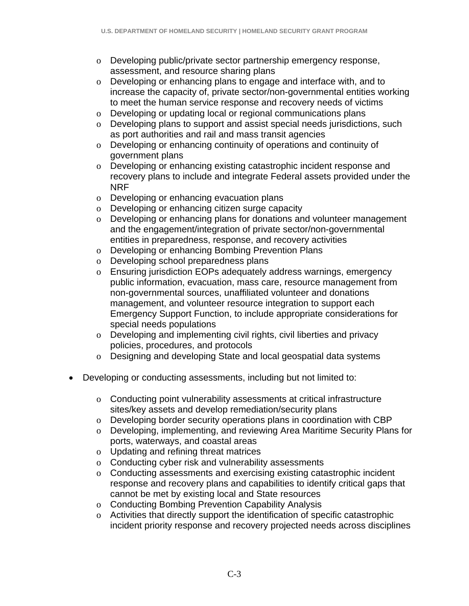- o Developing public/private sector partnership emergency response, assessment, and resource sharing plans
- o Developing or enhancing plans to engage and interface with, and to increase the capacity of, private sector/non-governmental entities working to meet the human service response and recovery needs of victims
- o Developing or updating local or regional communications plans
- o Developing plans to support and assist special needs jurisdictions, such as port authorities and rail and mass transit agencies
- o Developing or enhancing continuity of operations and continuity of government plans
- o Developing or enhancing existing catastrophic incident response and recovery plans to include and integrate Federal assets provided under the NRF
- o Developing or enhancing evacuation plans
- o Developing or enhancing citizen surge capacity
- o Developing or enhancing plans for donations and volunteer management and the engagement/integration of private sector/non-governmental entities in preparedness, response, and recovery activities
- o Developing or enhancing Bombing Prevention Plans
- o Developing school preparedness plans
- o Ensuring jurisdiction EOPs adequately address warnings, emergency public information, evacuation, mass care, resource management from non-governmental sources, unaffiliated volunteer and donations management, and volunteer resource integration to support each Emergency Support Function, to include appropriate considerations for special needs populations
- o Developing and implementing civil rights, civil liberties and privacy policies, procedures, and protocols
- o Designing and developing State and local geospatial data systems
- Developing or conducting assessments, including but not limited to:
	- o Conducting point vulnerability assessments at critical infrastructure sites/key assets and develop remediation/security plans
	- o Developing border security operations plans in coordination with CBP
	- o Developing, implementing, and reviewing Area Maritime Security Plans for ports, waterways, and coastal areas
	- o Updating and refining threat matrices
	- o Conducting cyber risk and vulnerability assessments
	- o Conducting assessments and exercising existing catastrophic incident response and recovery plans and capabilities to identify critical gaps that cannot be met by existing local and State resources
	- o Conducting Bombing Prevention Capability Analysis
	- o Activities that directly support the identification of specific catastrophic incident priority response and recovery projected needs across disciplines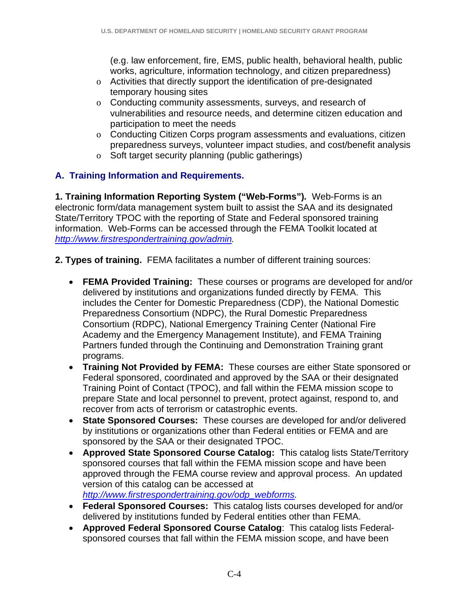(e.g. law enforcement, fire, EMS, public health, behavioral health, public works, agriculture, information technology, and citizen preparedness)

- o Activities that directly support the identification of pre-designated temporary housing sites
- o Conducting community assessments, surveys, and research of vulnerabilities and resource needs, and determine citizen education and participation to meet the needs
- o Conducting Citizen Corps program assessments and evaluations, citizen preparedness surveys, volunteer impact studies, and cost/benefit analysis
- o Soft target security planning (public gatherings)

### **A. Training Information and Requirements.**

**1. Training Information Reporting System ("Web-Forms")***.* Web-Forms is an electronic form/data management system built to assist the SAA and its designated State/Territory TPOC with the reporting of State and Federal sponsored training information. Web-Forms can be accessed through the FEMA Toolkit located at *http://www.firstrespondertraining.gov/admin.*

- **2. Types of training.** FEMA facilitates a number of different training sources:
	- **FEMA Provided Training:** These courses or programs are developed for and/or delivered by institutions and organizations funded directly by FEMA. This includes the Center for Domestic Preparedness (CDP), the National Domestic Preparedness Consortium (NDPC), the Rural Domestic Preparedness Consortium (RDPC), National Emergency Training Center (National Fire Academy and the Emergency Management Institute), and FEMA Training Partners funded through the Continuing and Demonstration Training grant programs.
	- **Training Not Provided by FEMA:** These courses are either State sponsored or Federal sponsored, coordinated and approved by the SAA or their designated Training Point of Contact (TPOC), and fall within the FEMA mission scope to prepare State and local personnel to prevent, protect against, respond to, and recover from acts of terrorism or catastrophic events.
	- **State Sponsored Courses:** These courses are developed for and/or delivered by institutions or organizations other than Federal entities or FEMA and are sponsored by the SAA or their designated TPOC.
	- **Approved State Sponsored Course Catalog:** This catalog lists State/Territory sponsored courses that fall within the FEMA mission scope and have been approved through the FEMA course review and approval process. An updated version of this catalog can be accessed at *http://www.firstrespondertraining.gov/odp\_webforms.*
	- **Federal Sponsored Courses:** This catalog lists courses developed for and/or delivered by institutions funded by Federal entities other than FEMA.
	- **Approved Federal Sponsored Course Catalog**: This catalog lists Federalsponsored courses that fall within the FEMA mission scope, and have been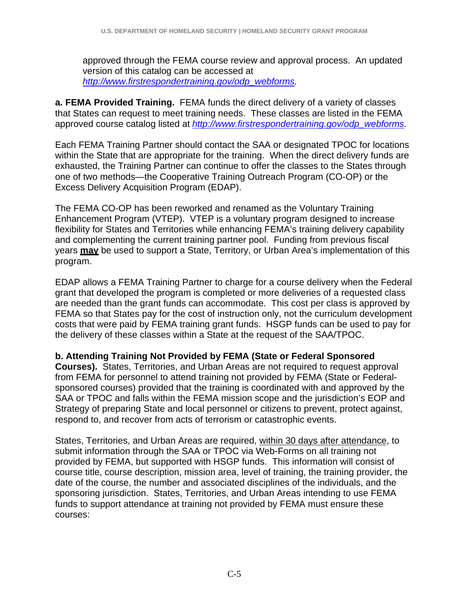approved through the FEMA course review and approval process. An updated version of this catalog can be accessed at *http://www.firstrespondertraining.gov/odp\_webforms.*

**a. FEMA Provided Training.** FEMA funds the direct delivery of a variety of classes that States can request to meet training needs. These classes are listed in the FEMA approved course catalog listed at *http://www.firstrespondertraining.gov/odp\_webforms.*

Each FEMA Training Partner should contact the SAA or designated TPOC for locations within the State that are appropriate for the training. When the direct delivery funds are exhausted, the Training Partner can continue to offer the classes to the States through one of two methods—the Cooperative Training Outreach Program (CO-OP) or the Excess Delivery Acquisition Program (EDAP).

The FEMA CO-OP has been reworked and renamed as the Voluntary Training Enhancement Program (VTEP). VTEP is a voluntary program designed to increase flexibility for States and Territories while enhancing FEMA's training delivery capability and complementing the current training partner pool. Funding from previous fiscal years **may** be used to support a State, Territory, or Urban Area's implementation of this program.

EDAP allows a FEMA Training Partner to charge for a course delivery when the Federal grant that developed the program is completed or more deliveries of a requested class are needed than the grant funds can accommodate. This cost per class is approved by FEMA so that States pay for the cost of instruction only, not the curriculum development costs that were paid by FEMA training grant funds. HSGP funds can be used to pay for the delivery of these classes within a State at the request of the SAA/TPOC.

**b. Attending Training Not Provided by FEMA (State or Federal Sponsored** 

**Courses).** States, Territories, and Urban Areas are not required to request approval from FEMA for personnel to attend training not provided by FEMA (State or Federalsponsored courses) provided that the training is coordinated with and approved by the SAA or TPOC and falls within the FEMA mission scope and the jurisdiction's EOP and Strategy of preparing State and local personnel or citizens to prevent, protect against, respond to, and recover from acts of terrorism or catastrophic events.

States, Territories, and Urban Areas are required, within 30 days after attendance, to submit information through the SAA or TPOC via Web-Forms on all training not provided by FEMA, but supported with HSGP funds. This information will consist of course title, course description, mission area, level of training, the training provider, the date of the course, the number and associated disciplines of the individuals, and the sponsoring jurisdiction. States, Territories, and Urban Areas intending to use FEMA funds to support attendance at training not provided by FEMA must ensure these courses: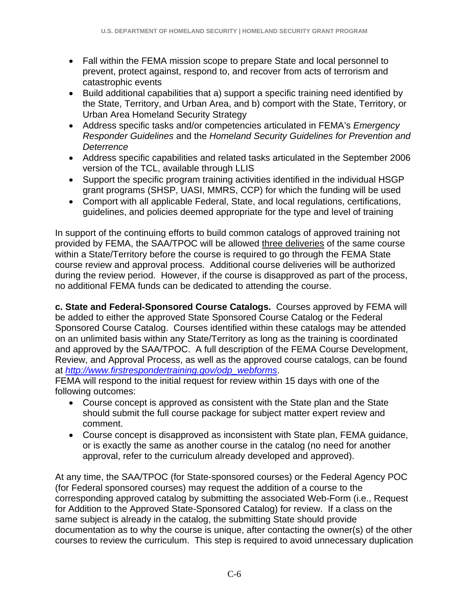- Fall within the FEMA mission scope to prepare State and local personnel to prevent, protect against, respond to, and recover from acts of terrorism and catastrophic events
- Build additional capabilities that a) support a specific training need identified by the State, Territory, and Urban Area, and b) comport with the State, Territory, or Urban Area Homeland Security Strategy
- Address specific tasks and/or competencies articulated in FEMA's *Emergency Responder Guidelines* and the *Homeland Security Guidelines for Prevention and Deterrence*
- Address specific capabilities and related tasks articulated in the September 2006 version of the TCL, available through LLIS
- Support the specific program training activities identified in the individual HSGP grant programs (SHSP, UASI, MMRS, CCP) for which the funding will be used
- Comport with all applicable Federal, State, and local regulations, certifications, guidelines, and policies deemed appropriate for the type and level of training

In support of the continuing efforts to build common catalogs of approved training not provided by FEMA, the SAA/TPOC will be allowed three deliveries of the same course within a State/Territory before the course is required to go through the FEMA State course review and approval process. Additional course deliveries will be authorized during the review period. However, if the course is disapproved as part of the process, no additional FEMA funds can be dedicated to attending the course.

**c. State and Federal-Sponsored Course Catalogs.** Courses approved by FEMA will be added to either the approved State Sponsored Course Catalog or the Federal Sponsored Course Catalog. Courses identified within these catalogs may be attended on an unlimited basis within any State/Territory as long as the training is coordinated and approved by the SAA/TPOC. A full description of the FEMA Course Development, Review, and Approval Process, as well as the approved course catalogs, can be found at *http://www.firstrespondertraining.gov/odp\_webforms*.

FEMA will respond to the initial request for review within 15 days with one of the following outcomes:

- Course concept is approved as consistent with the State plan and the State should submit the full course package for subject matter expert review and comment.
- Course concept is disapproved as inconsistent with State plan, FEMA guidance, or is exactly the same as another course in the catalog (no need for another approval, refer to the curriculum already developed and approved).

At any time, the SAA/TPOC (for State-sponsored courses) or the Federal Agency POC (for Federal sponsored courses) may request the addition of a course to the corresponding approved catalog by submitting the associated Web-Form (i.e., Request for Addition to the Approved State-Sponsored Catalog) for review. If a class on the same subject is already in the catalog, the submitting State should provide documentation as to why the course is unique, after contacting the owner(s) of the other courses to review the curriculum. This step is required to avoid unnecessary duplication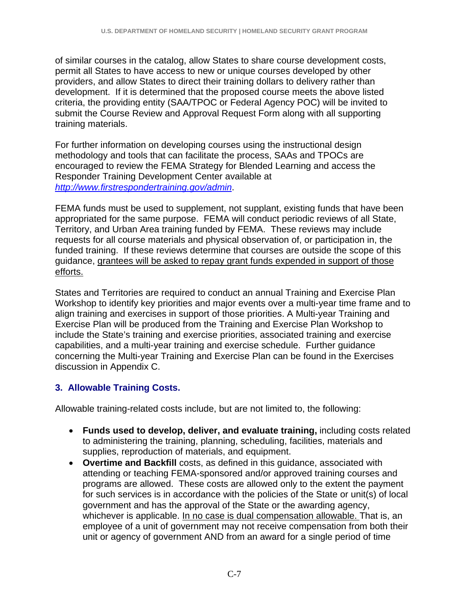of similar courses in the catalog, allow States to share course development costs, permit all States to have access to new or unique courses developed by other providers, and allow States to direct their training dollars to delivery rather than development. If it is determined that the proposed course meets the above listed criteria, the providing entity (SAA/TPOC or Federal Agency POC) will be invited to submit the Course Review and Approval Request Form along with all supporting training materials.

For further information on developing courses using the instructional design methodology and tools that can facilitate the process, SAAs and TPOCs are encouraged to review the FEMA Strategy for Blended Learning and access the Responder Training Development Center available at *http://www.firstrespondertraining.gov/admin*.

FEMA funds must be used to supplement, not supplant, existing funds that have been appropriated for the same purpose. FEMA will conduct periodic reviews of all State, Territory, and Urban Area training funded by FEMA. These reviews may include requests for all course materials and physical observation of, or participation in, the funded training. If these reviews determine that courses are outside the scope of this guidance, grantees will be asked to repay grant funds expended in support of those efforts.

States and Territories are required to conduct an annual Training and Exercise Plan Workshop to identify key priorities and major events over a multi-year time frame and to align training and exercises in support of those priorities. A Multi-year Training and Exercise Plan will be produced from the Training and Exercise Plan Workshop to include the State's training and exercise priorities, associated training and exercise capabilities, and a multi-year training and exercise schedule. Further guidance concerning the Multi-year Training and Exercise Plan can be found in the Exercises discussion in Appendix C.

## **3. Allowable Training Costs.**

Allowable training-related costs include, but are not limited to, the following:

- **Funds used to develop, deliver, and evaluate training,** including costs related to administering the training, planning, scheduling, facilities, materials and supplies, reproduction of materials, and equipment.
- **Overtime and Backfill** costs, as defined in this guidance, associated with attending or teaching FEMA-sponsored and/or approved training courses and programs are allowed. These costs are allowed only to the extent the payment for such services is in accordance with the policies of the State or unit(s) of local government and has the approval of the State or the awarding agency, whichever is applicable. In no case is dual compensation allowable. That is, an employee of a unit of government may not receive compensation from both their unit or agency of government AND from an award for a single period of time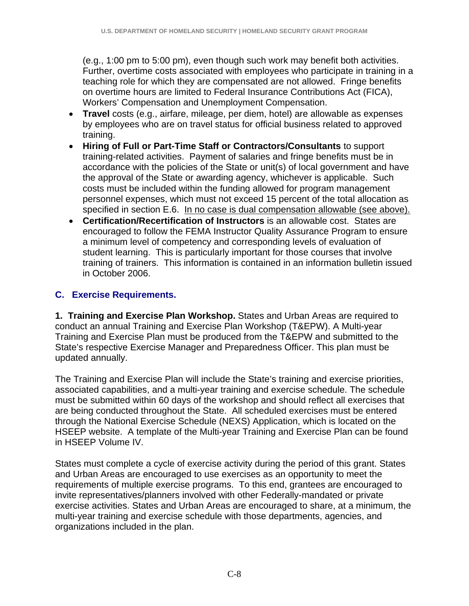(e.g., 1:00 pm to 5:00 pm), even though such work may benefit both activities. Further, overtime costs associated with employees who participate in training in a teaching role for which they are compensated are not allowed. Fringe benefits on overtime hours are limited to Federal Insurance Contributions Act (FICA), Workers' Compensation and Unemployment Compensation.

- **Travel** costs (e.g., airfare, mileage, per diem, hotel) are allowable as expenses by employees who are on travel status for official business related to approved training.
- **Hiring of Full or Part-Time Staff or Contractors/Consultants** to support training-related activities. Payment of salaries and fringe benefits must be in accordance with the policies of the State or unit(s) of local government and have the approval of the State or awarding agency, whichever is applicable. Such costs must be included within the funding allowed for program management personnel expenses, which must not exceed 15 percent of the total allocation as specified in section E.6. In no case is dual compensation allowable (see above).
- **Certification/Recertification of Instructors** is an allowable cost. States are encouraged to follow the FEMA Instructor Quality Assurance Program to ensure a minimum level of competency and corresponding levels of evaluation of student learning. This is particularly important for those courses that involve training of trainers. This information is contained in an information bulletin issued in October 2006.

### **C. Exercise Requirements.**

**1. Training and Exercise Plan Workshop.** States and Urban Areas are required to conduct an annual Training and Exercise Plan Workshop (T&EPW). A Multi-year Training and Exercise Plan must be produced from the T&EPW and submitted to the State's respective Exercise Manager and Preparedness Officer. This plan must be updated annually.

The Training and Exercise Plan will include the State's training and exercise priorities, associated capabilities, and a multi-year training and exercise schedule. The schedule must be submitted within 60 days of the workshop and should reflect all exercises that are being conducted throughout the State. All scheduled exercises must be entered through the National Exercise Schedule (NEXS) Application, which is located on the HSEEP website. A template of the Multi-year Training and Exercise Plan can be found in HSEEP Volume IV.

States must complete a cycle of exercise activity during the period of this grant. States and Urban Areas are encouraged to use exercises as an opportunity to meet the requirements of multiple exercise programs. To this end, grantees are encouraged to invite representatives/planners involved with other Federally-mandated or private exercise activities. States and Urban Areas are encouraged to share, at a minimum, the multi-year training and exercise schedule with those departments, agencies, and organizations included in the plan.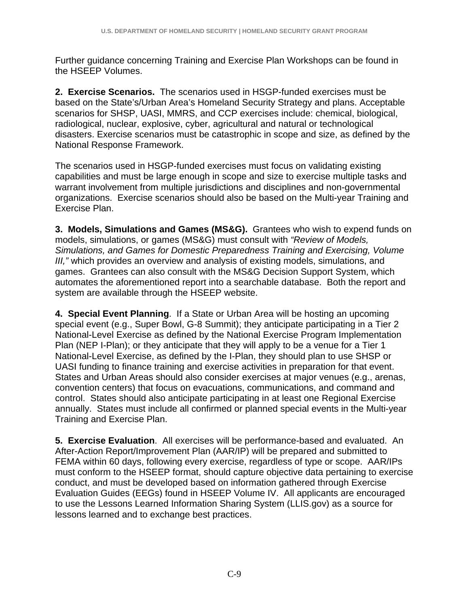Further guidance concerning Training and Exercise Plan Workshops can be found in the HSEEP Volumes.

**2. Exercise Scenarios.** The scenarios used in HSGP-funded exercises must be based on the State's/Urban Area's Homeland Security Strategy and plans. Acceptable scenarios for SHSP, UASI, MMRS, and CCP exercises include: chemical, biological, radiological, nuclear, explosive, cyber, agricultural and natural or technological disasters. Exercise scenarios must be catastrophic in scope and size, as defined by the National Response Framework.

The scenarios used in HSGP-funded exercises must focus on validating existing capabilities and must be large enough in scope and size to exercise multiple tasks and warrant involvement from multiple jurisdictions and disciplines and non-governmental organizations. Exercise scenarios should also be based on the Multi-year Training and Exercise Plan.

**3. Models, Simulations and Games (MS&G).** Grantees who wish to expend funds on models, simulations, or games (MS&G) must consult with *"Review of Models, Simulations, and Games for Domestic Preparedness Training and Exercising, Volume III,"* which provides an overview and analysis of existing models, simulations, and games. Grantees can also consult with the MS&G Decision Support System, which automates the aforementioned report into a searchable database. Both the report and system are available through the HSEEP website.

**4. Special Event Planning**. If a State or Urban Area will be hosting an upcoming special event (e.g., Super Bowl, G-8 Summit); they anticipate participating in a Tier 2 National-Level Exercise as defined by the National Exercise Program Implementation Plan (NEP I-Plan); or they anticipate that they will apply to be a venue for a Tier 1 National-Level Exercise, as defined by the I-Plan, they should plan to use SHSP or UASI funding to finance training and exercise activities in preparation for that event. States and Urban Areas should also consider exercises at major venues (e.g., arenas, convention centers) that focus on evacuations, communications, and command and control. States should also anticipate participating in at least one Regional Exercise annually. States must include all confirmed or planned special events in the Multi-year Training and Exercise Plan.

**5. Exercise Evaluation**. All exercises will be performance-based and evaluated. An After-Action Report/Improvement Plan (AAR/IP) will be prepared and submitted to FEMA within 60 days, following every exercise, regardless of type or scope. AAR/IPs must conform to the HSEEP format, should capture objective data pertaining to exercise conduct, and must be developed based on information gathered through Exercise Evaluation Guides (EEGs) found in HSEEP Volume IV. All applicants are encouraged to use the Lessons Learned Information Sharing System (LLIS.gov) as a source for lessons learned and to exchange best practices.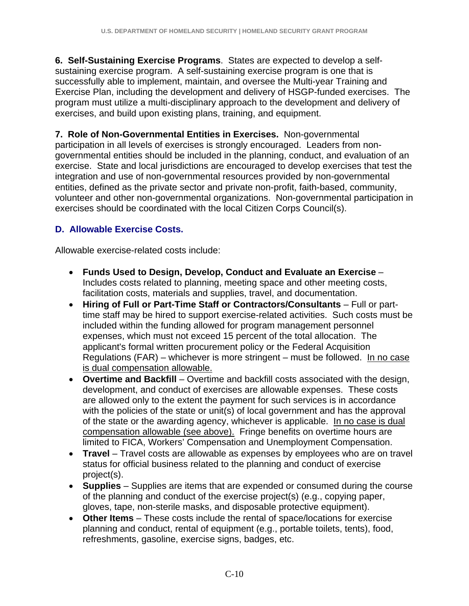**6. Self-Sustaining Exercise Programs**. States are expected to develop a selfsustaining exercise program. A self-sustaining exercise program is one that is successfully able to implement, maintain, and oversee the Multi-year Training and Exercise Plan, including the development and delivery of HSGP-funded exercises. The program must utilize a multi-disciplinary approach to the development and delivery of exercises, and build upon existing plans, training, and equipment.

**7. Role of Non-Governmental Entities in Exercises.** Non-governmental participation in all levels of exercises is strongly encouraged. Leaders from nongovernmental entities should be included in the planning, conduct, and evaluation of an exercise. State and local jurisdictions are encouraged to develop exercises that test the integration and use of non-governmental resources provided by non-governmental entities, defined as the private sector and private non-profit, faith-based, community, volunteer and other non-governmental organizations. Non-governmental participation in exercises should be coordinated with the local Citizen Corps Council(s).

## **D. Allowable Exercise Costs.**

Allowable exercise-related costs include:

- **Funds Used to Design, Develop, Conduct and Evaluate an Exercise** Includes costs related to planning, meeting space and other meeting costs, facilitation costs, materials and supplies, travel, and documentation.
- Hiring of Full or Part-Time Staff or Contractors/Consultants Full or parttime staff may be hired to support exercise-related activities. Such costs must be included within the funding allowed for program management personnel expenses, which must not exceed 15 percent of the total allocation. The applicant's formal written procurement policy or the Federal Acquisition Regulations (FAR) – whichever is more stringent – must be followed. In no case is dual compensation allowable.
- **Overtime and Backfill** Overtime and backfill costs associated with the design, development, and conduct of exercises are allowable expenses. These costs are allowed only to the extent the payment for such services is in accordance with the policies of the state or unit(s) of local government and has the approval of the state or the awarding agency, whichever is applicable. In no case is dual compensation allowable (see above). Fringe benefits on overtime hours are limited to FICA, Workers' Compensation and Unemployment Compensation.
- **Travel** Travel costs are allowable as expenses by employees who are on travel status for official business related to the planning and conduct of exercise project(s).
- **Supplies**  Supplies are items that are expended or consumed during the course of the planning and conduct of the exercise project(s) (e.g., copying paper, gloves, tape, non-sterile masks, and disposable protective equipment).
- **Other Items**  These costs include the rental of space/locations for exercise planning and conduct, rental of equipment (e.g., portable toilets, tents), food, refreshments, gasoline, exercise signs, badges, etc.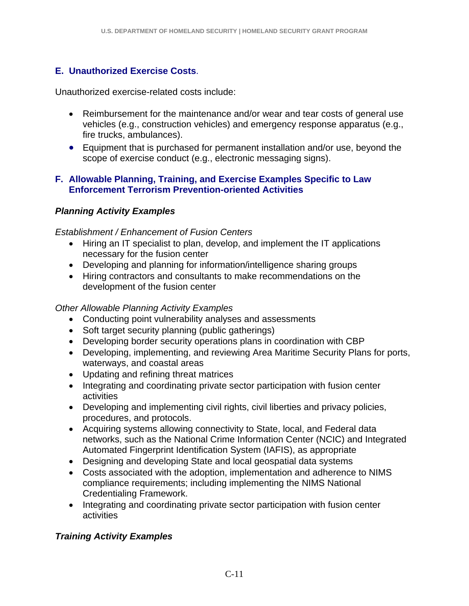### **E. Unauthorized Exercise Costs**.

Unauthorized exercise-related costs include:

- Reimbursement for the maintenance and/or wear and tear costs of general use vehicles (e.g., construction vehicles) and emergency response apparatus (e.g., fire trucks, ambulances).
- Equipment that is purchased for permanent installation and/or use, beyond the scope of exercise conduct (e.g., electronic messaging signs).

### **F. Allowable Planning, Training, and Exercise Examples Specific to Law Enforcement Terrorism Prevention-oriented Activities**

### *Planning Activity Examples*

#### *Establishment / Enhancement of Fusion Centers*

- Hiring an IT specialist to plan, develop, and implement the IT applications necessary for the fusion center
- Developing and planning for information/intelligence sharing groups
- Hiring contractors and consultants to make recommendations on the development of the fusion center

### *Other Allowable Planning Activity Examples*

- Conducting point vulnerability analyses and assessments
- Soft target security planning (public gatherings)
- Developing border security operations plans in coordination with CBP
- Developing, implementing, and reviewing Area Maritime Security Plans for ports, waterways, and coastal areas
- Updating and refining threat matrices
- Integrating and coordinating private sector participation with fusion center activities
- Developing and implementing civil rights, civil liberties and privacy policies, procedures, and protocols.
- Acquiring systems allowing connectivity to State, local, and Federal data networks, such as the National Crime Information Center (NCIC) and Integrated Automated Fingerprint Identification System (IAFIS), as appropriate
- Designing and developing State and local geospatial data systems
- Costs associated with the adoption, implementation and adherence to NIMS compliance requirements; including implementing the NIMS National Credentialing Framework.
- Integrating and coordinating private sector participation with fusion center activities

## *Training Activity Examples*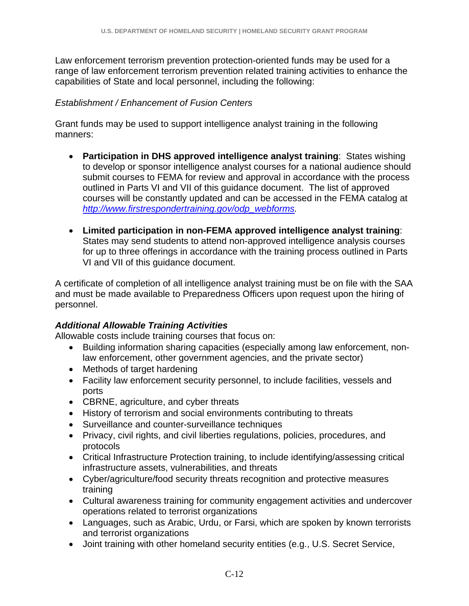Law enforcement terrorism prevention protection-oriented funds may be used for a range of law enforcement terrorism prevention related training activities to enhance the capabilities of State and local personnel, including the following:

### *Establishment / Enhancement of Fusion Centers*

Grant funds may be used to support intelligence analyst training in the following manners:

- **Participation in DHS approved intelligence analyst training**: States wishing to develop or sponsor intelligence analyst courses for a national audience should submit courses to FEMA for review and approval in accordance with the process outlined in Parts VI and VII of this guidance document. The list of approved courses will be constantly updated and can be accessed in the FEMA catalog at *http://www.firstrespondertraining.gov/odp\_webforms.*
- **Limited participation in non-FEMA approved intelligence analyst training**: States may send students to attend non-approved intelligence analysis courses for up to three offerings in accordance with the training process outlined in Parts VI and VII of this guidance document.

A certificate of completion of all intelligence analyst training must be on file with the SAA and must be made available to Preparedness Officers upon request upon the hiring of personnel.

#### *Additional Allowable Training Activities*

Allowable costs include training courses that focus on:

- Building information sharing capacities (especially among law enforcement, nonlaw enforcement, other government agencies, and the private sector)
- Methods of target hardening
- Facility law enforcement security personnel, to include facilities, vessels and ports
- CBRNE, agriculture, and cyber threats
- History of terrorism and social environments contributing to threats
- Surveillance and counter-surveillance techniques
- Privacy, civil rights, and civil liberties regulations, policies, procedures, and protocols
- Critical Infrastructure Protection training, to include identifying/assessing critical infrastructure assets, vulnerabilities, and threats
- Cyber/agriculture/food security threats recognition and protective measures training
- Cultural awareness training for community engagement activities and undercover operations related to terrorist organizations
- Languages, such as Arabic, Urdu, or Farsi, which are spoken by known terrorists and terrorist organizations
- Joint training with other homeland security entities (e.g., U.S. Secret Service,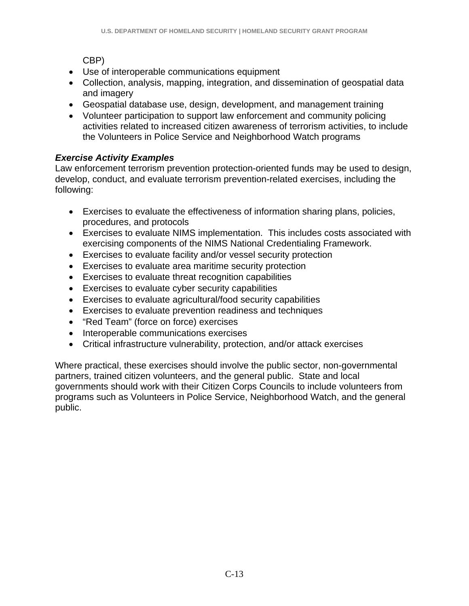CBP)

- Use of interoperable communications equipment
- Collection, analysis, mapping, integration, and dissemination of geospatial data and imagery
- Geospatial database use, design, development, and management training
- Volunteer participation to support law enforcement and community policing activities related to increased citizen awareness of terrorism activities, to include the Volunteers in Police Service and Neighborhood Watch programs

## *Exercise Activity Examples*

Law enforcement terrorism prevention protection-oriented funds may be used to design, develop, conduct, and evaluate terrorism prevention-related exercises, including the following:

- Exercises to evaluate the effectiveness of information sharing plans, policies, procedures, and protocols
- Exercises to evaluate NIMS implementation. This includes costs associated with exercising components of the NIMS National Credentialing Framework.
- Exercises to evaluate facility and/or vessel security protection
- Exercises to evaluate area maritime security protection
- Exercises to evaluate threat recognition capabilities
- Exercises to evaluate cyber security capabilities
- Exercises to evaluate agricultural/food security capabilities
- Exercises to evaluate prevention readiness and techniques
- "Red Team" (force on force) exercises
- Interoperable communications exercises
- Critical infrastructure vulnerability, protection, and/or attack exercises

Where practical, these exercises should involve the public sector, non-governmental partners, trained citizen volunteers, and the general public. State and local governments should work with their Citizen Corps Councils to include volunteers from programs such as Volunteers in Police Service, Neighborhood Watch, and the general public.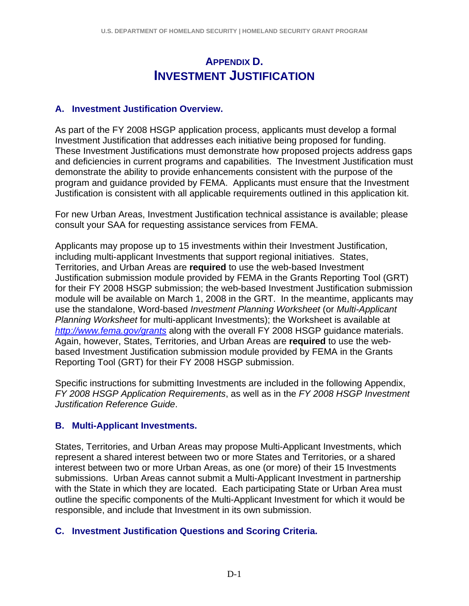## **APPENDIX D. INVESTMENT JUSTIFICATION**

### **A. Investment Justification Overview.**

As part of the FY 2008 HSGP application process, applicants must develop a formal Investment Justification that addresses each initiative being proposed for funding. These Investment Justifications must demonstrate how proposed projects address gaps and deficiencies in current programs and capabilities. The Investment Justification must demonstrate the ability to provide enhancements consistent with the purpose of the program and guidance provided by FEMA. Applicants must ensure that the Investment Justification is consistent with all applicable requirements outlined in this application kit.

For new Urban Areas, Investment Justification technical assistance is available; please consult your SAA for requesting assistance services from FEMA.

Applicants may propose up to 15 investments within their Investment Justification, including multi-applicant Investments that support regional initiatives. States, Territories, and Urban Areas are **required** to use the web-based Investment Justification submission module provided by FEMA in the Grants Reporting Tool (GRT) for their FY 2008 HSGP submission; the web-based Investment Justification submission module will be available on March 1, 2008 in the GRT. In the meantime, applicants may use the standalone, Word-based *Investment Planning Worksheet* (or *Multi-Applicant Planning Worksheet* for multi-applicant Investments); the Worksheet is available at *http://www.fema.gov/grants* along with the overall FY 2008 HSGP guidance materials. Again, however, States, Territories, and Urban Areas are **required** to use the webbased Investment Justification submission module provided by FEMA in the Grants Reporting Tool (GRT) for their FY 2008 HSGP submission.

Specific instructions for submitting Investments are included in the following Appendix, *FY 2008 HSGP Application Requirements*, as well as in the *FY 2008 HSGP Investment Justification Reference Guide*.

#### **B. Multi-Applicant Investments.**

States, Territories, and Urban Areas may propose Multi-Applicant Investments, which represent a shared interest between two or more States and Territories, or a shared interest between two or more Urban Areas, as one (or more) of their 15 Investments submissions. Urban Areas cannot submit a Multi-Applicant Investment in partnership with the State in which they are located. Each participating State or Urban Area must outline the specific components of the Multi-Applicant Investment for which it would be responsible, and include that Investment in its own submission.

#### **C. Investment Justification Questions and Scoring Criteria.**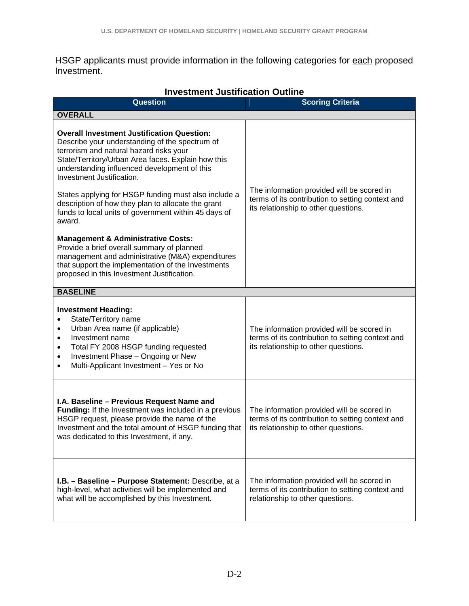HSGP applicants must provide information in the following categories for each proposed Investment.

| IIIVESUNENI JUSUNCANON OUUINE<br><b>Question</b>                                                                                                                                                                                                                                         | <b>Scoring Criteria</b>                                                                                                                |  |  |  |  |
|------------------------------------------------------------------------------------------------------------------------------------------------------------------------------------------------------------------------------------------------------------------------------------------|----------------------------------------------------------------------------------------------------------------------------------------|--|--|--|--|
| <b>OVERALL</b>                                                                                                                                                                                                                                                                           |                                                                                                                                        |  |  |  |  |
| <b>Overall Investment Justification Question:</b><br>Describe your understanding of the spectrum of<br>terrorism and natural hazard risks your<br>State/Territory/Urban Area faces. Explain how this<br>understanding influenced development of this<br>Investment Justification.        |                                                                                                                                        |  |  |  |  |
| States applying for HSGP funding must also include a<br>description of how they plan to allocate the grant<br>funds to local units of government within 45 days of<br>award.                                                                                                             | The information provided will be scored in<br>terms of its contribution to setting context and<br>its relationship to other questions. |  |  |  |  |
| <b>Management &amp; Administrative Costs:</b><br>Provide a brief overall summary of planned<br>management and administrative (M&A) expenditures<br>that support the implementation of the Investments<br>proposed in this Investment Justification.                                      |                                                                                                                                        |  |  |  |  |
| <b>BASELINE</b>                                                                                                                                                                                                                                                                          |                                                                                                                                        |  |  |  |  |
| <b>Investment Heading:</b><br>State/Territory name<br>Urban Area name (if applicable)<br>$\bullet$<br>Investment name<br>$\bullet$<br>Total FY 2008 HSGP funding requested<br>٠<br>Investment Phase - Ongoing or New<br>$\bullet$<br>Multi-Applicant Investment - Yes or No<br>$\bullet$ | The information provided will be scored in<br>terms of its contribution to setting context and<br>its relationship to other questions. |  |  |  |  |
| I.A. Baseline - Previous Request Name and<br>Funding: If the Investment was included in a previous<br>HSGP request, please provide the name of the<br>Investment and the total amount of HSGP funding that<br>was dedicated to this Investment, if any.                                  | The information provided will be scored in<br>terms of its contribution to setting context and<br>its relationship to other questions. |  |  |  |  |
| <b>I.B. - Baseline - Purpose Statement:</b> Describe, at a<br>high-level, what activities will be implemented and<br>what will be accomplished by this Investment.                                                                                                                       | The information provided will be scored in<br>terms of its contribution to setting context and<br>relationship to other questions.     |  |  |  |  |

### **Investment Justification Outline**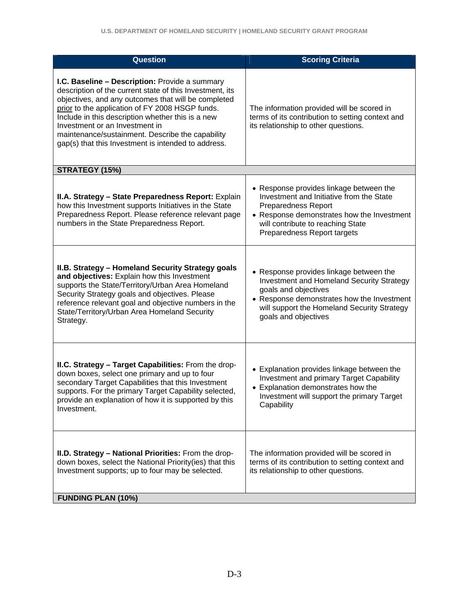| <b>Question</b>                                                                                                                                                                                                                                                                                                                                                                                                        | <b>Scoring Criteria</b>                                                                                                                                                                                                             |
|------------------------------------------------------------------------------------------------------------------------------------------------------------------------------------------------------------------------------------------------------------------------------------------------------------------------------------------------------------------------------------------------------------------------|-------------------------------------------------------------------------------------------------------------------------------------------------------------------------------------------------------------------------------------|
| I.C. Baseline - Description: Provide a summary<br>description of the current state of this Investment, its<br>objectives, and any outcomes that will be completed<br>prior to the application of FY 2008 HSGP funds.<br>Include in this description whether this is a new<br>Investment or an Investment in<br>maintenance/sustainment. Describe the capability<br>gap(s) that this Investment is intended to address. | The information provided will be scored in<br>terms of its contribution to setting context and<br>its relationship to other questions.                                                                                              |
| STRATEGY (15%)                                                                                                                                                                                                                                                                                                                                                                                                         |                                                                                                                                                                                                                                     |
| II.A. Strategy - State Preparedness Report: Explain<br>how this Investment supports Initiatives in the State<br>Preparedness Report. Please reference relevant page<br>numbers in the State Preparedness Report.                                                                                                                                                                                                       | • Response provides linkage between the<br>Investment and Initiative from the State<br><b>Preparedness Report</b><br>• Response demonstrates how the Investment<br>will contribute to reaching State<br>Preparedness Report targets |
| II.B. Strategy - Homeland Security Strategy goals<br>and objectives: Explain how this Investment<br>supports the State/Territory/Urban Area Homeland<br>Security Strategy goals and objectives. Please<br>reference relevant goal and objective numbers in the<br>State/Territory/Urban Area Homeland Security<br>Strategy.                                                                                            | • Response provides linkage between the<br>Investment and Homeland Security Strategy<br>goals and objectives<br>• Response demonstrates how the Investment<br>will support the Homeland Security Strategy<br>goals and objectives   |
| II.C. Strategy - Target Capabilities: From the drop-<br>down boxes, select one primary and up to four<br>secondary Target Capabilities that this Investment<br>supports. For the primary Target Capability selected,<br>provide an explanation of how it is supported by this<br>Investment.                                                                                                                           | • Explanation provides linkage between the<br>Investment and primary Target Capability<br>• Explanation demonstrates how the<br>Investment will support the primary Target<br>Capability                                            |
| II.D. Strategy - National Priorities: From the drop-<br>down boxes, select the National Priority(ies) that this<br>Investment supports; up to four may be selected.                                                                                                                                                                                                                                                    | The information provided will be scored in<br>terms of its contribution to setting context and<br>its relationship to other questions.                                                                                              |
| <b>FUNDING PLAN (10%)</b>                                                                                                                                                                                                                                                                                                                                                                                              |                                                                                                                                                                                                                                     |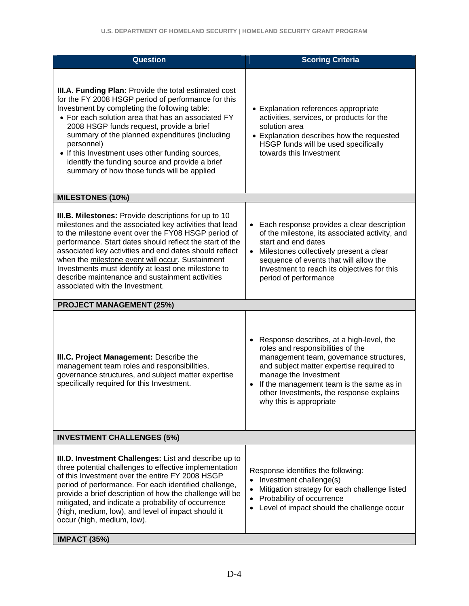| Question                                                                                                                                                                                                                                                                                                                                                                                                                                                                                     | <b>Scoring Criteria</b>                                                                                                                                                                                                                                                                                                       |  |  |  |
|----------------------------------------------------------------------------------------------------------------------------------------------------------------------------------------------------------------------------------------------------------------------------------------------------------------------------------------------------------------------------------------------------------------------------------------------------------------------------------------------|-------------------------------------------------------------------------------------------------------------------------------------------------------------------------------------------------------------------------------------------------------------------------------------------------------------------------------|--|--|--|
| III.A. Funding Plan: Provide the total estimated cost<br>for the FY 2008 HSGP period of performance for this<br>Investment by completing the following table:<br>• For each solution area that has an associated FY<br>2008 HSGP funds request, provide a brief<br>summary of the planned expenditures (including<br>personnel)<br>• If this Investment uses other funding sources,<br>identify the funding source and provide a brief<br>summary of how those funds will be applied         | • Explanation references appropriate<br>activities, services, or products for the<br>solution area<br>• Explanation describes how the requested<br>HSGP funds will be used specifically<br>towards this Investment                                                                                                            |  |  |  |
| <b>MILESTONES (10%)</b>                                                                                                                                                                                                                                                                                                                                                                                                                                                                      |                                                                                                                                                                                                                                                                                                                               |  |  |  |
| III.B. Milestones: Provide descriptions for up to 10<br>milestones and the associated key activities that lead<br>to the milestone event over the FY08 HSGP period of<br>performance. Start dates should reflect the start of the<br>associated key activities and end dates should reflect<br>when the milestone event will occur. Sustainment<br>Investments must identify at least one milestone to<br>describe maintenance and sustainment activities<br>associated with the Investment. | Each response provides a clear description<br>$\bullet$<br>of the milestone, its associated activity, and<br>start and end dates<br>Milestones collectively present a clear<br>$\bullet$<br>sequence of events that will allow the<br>Investment to reach its objectives for this<br>period of performance                    |  |  |  |
| <b>PROJECT MANAGEMENT (25%)</b>                                                                                                                                                                                                                                                                                                                                                                                                                                                              |                                                                                                                                                                                                                                                                                                                               |  |  |  |
| <b>III.C. Project Management: Describe the</b><br>management team roles and responsibilities,<br>governance structures, and subject matter expertise<br>specifically required for this Investment.                                                                                                                                                                                                                                                                                           | Response describes, at a high-level, the<br>$\bullet$<br>roles and responsibilities of the<br>management team, governance structures,<br>and subject matter expertise required to<br>manage the Investment<br>If the management team is the same as in<br>other Investments, the response explains<br>why this is appropriate |  |  |  |
| <b>INVESTMENT CHALLENGES (5%)</b>                                                                                                                                                                                                                                                                                                                                                                                                                                                            |                                                                                                                                                                                                                                                                                                                               |  |  |  |
| III.D. Investment Challenges: List and describe up to<br>three potential challenges to effective implementation<br>of this Investment over the entire FY 2008 HSGP<br>period of performance. For each identified challenge,<br>provide a brief description of how the challenge will be<br>mitigated, and indicate a probability of occurrence<br>(high, medium, low), and level of impact should it<br>occur (high, medium, low).                                                           | Response identifies the following:<br>Investment challenge(s)<br>$\bullet$<br>Mitigation strategy for each challenge listed<br>$\bullet$<br>Probability of occurrence<br>$\bullet$<br>Level of impact should the challenge occur<br>$\bullet$                                                                                 |  |  |  |
| <b>IMPACT (35%)</b>                                                                                                                                                                                                                                                                                                                                                                                                                                                                          |                                                                                                                                                                                                                                                                                                                               |  |  |  |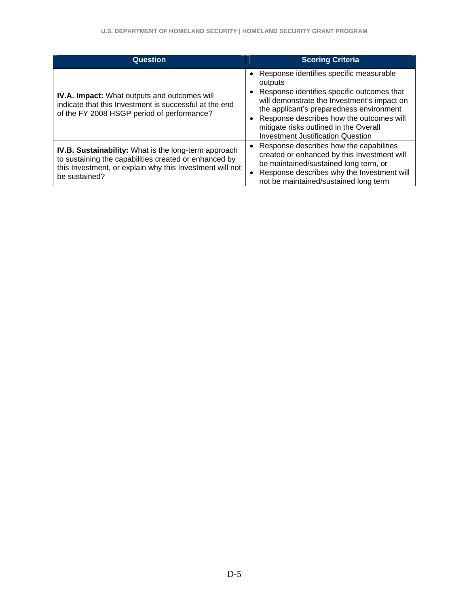| Question                                                                                                                                                                                          | <b>Scoring Criteria</b>                                                                                                                                                                                                                                                                                                         |
|---------------------------------------------------------------------------------------------------------------------------------------------------------------------------------------------------|---------------------------------------------------------------------------------------------------------------------------------------------------------------------------------------------------------------------------------------------------------------------------------------------------------------------------------|
| <b>IV.A. Impact:</b> What outputs and outcomes will<br>indicate that this Investment is successful at the end<br>of the FY 2008 HSGP period of performance?                                       | Response identifies specific measurable<br>outputs<br>Response identifies specific outcomes that<br>will demonstrate the Investment's impact on<br>the applicant's preparedness environment<br>• Response describes how the outcomes will<br>mitigate risks outlined in the Overall<br><b>Investment Justification Question</b> |
| <b>IV.B. Sustainability:</b> What is the long-term approach<br>to sustaining the capabilities created or enhanced by<br>this Investment, or explain why this Investment will not<br>be sustained? | • Response describes how the capabilities<br>created or enhanced by this Investment will<br>be maintained/sustained long term, or<br>Response describes why the Investment will<br>not be maintained/sustained long term                                                                                                        |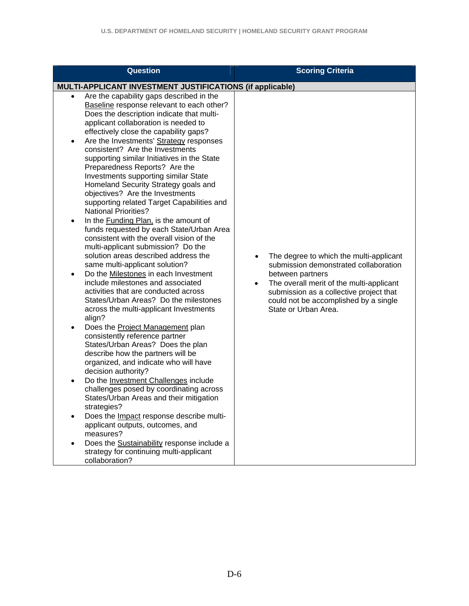| Question                                                                                                                                                                                                                                                                                                                                                                                                                                                                                                                                                                                                                                                                                                                                                                                                                                                                                                                                                                                                                                                                                                                                                                                                                                                                                                                                                                                                                                                                                                                                                                                                                                                                                                        | <b>Scoring Criteria</b>                                                                                                                                                                                                                                      |
|-----------------------------------------------------------------------------------------------------------------------------------------------------------------------------------------------------------------------------------------------------------------------------------------------------------------------------------------------------------------------------------------------------------------------------------------------------------------------------------------------------------------------------------------------------------------------------------------------------------------------------------------------------------------------------------------------------------------------------------------------------------------------------------------------------------------------------------------------------------------------------------------------------------------------------------------------------------------------------------------------------------------------------------------------------------------------------------------------------------------------------------------------------------------------------------------------------------------------------------------------------------------------------------------------------------------------------------------------------------------------------------------------------------------------------------------------------------------------------------------------------------------------------------------------------------------------------------------------------------------------------------------------------------------------------------------------------------------|--------------------------------------------------------------------------------------------------------------------------------------------------------------------------------------------------------------------------------------------------------------|
| MULTI-APPLICANT INVESTMENT JUSTIFICATIONS (if applicable)                                                                                                                                                                                                                                                                                                                                                                                                                                                                                                                                                                                                                                                                                                                                                                                                                                                                                                                                                                                                                                                                                                                                                                                                                                                                                                                                                                                                                                                                                                                                                                                                                                                       |                                                                                                                                                                                                                                                              |
| Are the capability gaps described in the<br>$\bullet$<br>Baseline response relevant to each other?<br>Does the description indicate that multi-<br>applicant collaboration is needed to<br>effectively close the capability gaps?<br>Are the Investments' Strategy responses<br>$\bullet$<br>consistent? Are the Investments<br>supporting similar Initiatives in the State<br>Preparedness Reports? Are the<br>Investments supporting similar State<br>Homeland Security Strategy goals and<br>objectives? Are the Investments<br>supporting related Target Capabilities and<br><b>National Priorities?</b><br>In the Funding Plan, is the amount of<br>٠<br>funds requested by each State/Urban Area<br>consistent with the overall vision of the<br>multi-applicant submission? Do the<br>solution areas described address the<br>same multi-applicant solution?<br>Do the Milestones in each Investment<br>$\bullet$<br>include milestones and associated<br>activities that are conducted across<br>States/Urban Areas? Do the milestones<br>across the multi-applicant Investments<br>align?<br>Does the <b>Project Management</b> plan<br>$\bullet$<br>consistently reference partner<br>States/Urban Areas? Does the plan<br>describe how the partners will be<br>organized, and indicate who will have<br>decision authority?<br>Do the Investment Challenges include<br>$\bullet$<br>challenges posed by coordinating across<br>States/Urban Areas and their mitigation<br>strategies?<br>Does the <i>Impact</i> response describe multi-<br>applicant outputs, outcomes, and<br>measures?<br>Does the Sustainability response include a<br>strategy for continuing multi-applicant<br>collaboration? | The degree to which the multi-applicant<br>submission demonstrated collaboration<br>between partners<br>The overall merit of the multi-applicant<br>submission as a collective project that<br>could not be accomplished by a single<br>State or Urban Area. |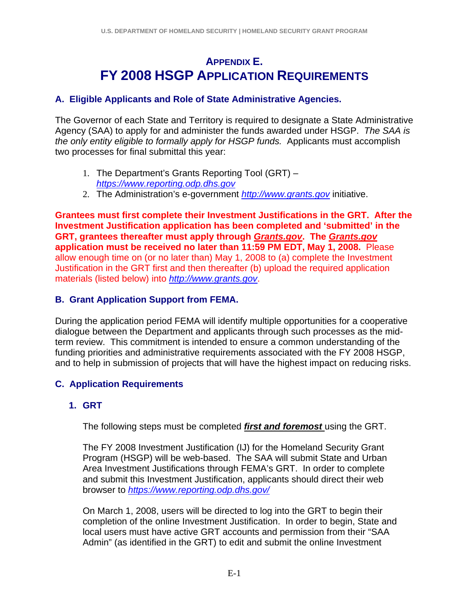# **APPENDIX E. FY 2008 HSGP APPLICATION REQUIREMENTS**

### **A. Eligible Applicants and Role of State Administrative Agencies.**

The Governor of each State and Territory is required to designate a State Administrative Agency (SAA) to apply for and administer the funds awarded under HSGP. *The SAA is the only entity eligible to formally apply for HSGP funds.* Applicants must accomplish two processes for final submittal this year:

- 1. The Department's Grants Reporting Tool (GRT) *https://www.reporting.odp.dhs.gov*
- 2. The Administration's e-government *http://www.grants.gov* initiative.

**Grantees must first complete their Investment Justifications in the GRT. After the Investment Justification application has been completed and 'submitted' in the GRT, grantees thereafter must apply through** *Grants.gov***. The** *Grants.gov* **application must be received no later than 11:59 PM EDT, May 1, 2008.** Please allow enough time on (or no later than) May 1, 2008 to (a) complete the Investment Justification in the GRT first and then thereafter (b) upload the required application materials (listed below) into *http://www.grants.gov*.

## **B. Grant Application Support from FEMA.**

During the application period FEMA will identify multiple opportunities for a cooperative dialogue between the Department and applicants through such processes as the midterm review. This commitment is intended to ensure a common understanding of the funding priorities and administrative requirements associated with the FY 2008 HSGP, and to help in submission of projects that will have the highest impact on reducing risks.

# **C. Application Requirements**

## **1. GRT**

The following steps must be completed *first and foremost* using the GRT.

The FY 2008 Investment Justification (IJ) for the Homeland Security Grant Program (HSGP) will be web-based. The SAA will submit State and Urban Area Investment Justifications through FEMA's GRT. In order to complete and submit this Investment Justification, applicants should direct their web browser to *https://www.reporting.odp.dhs.gov/*

On March 1, 2008, users will be directed to log into the GRT to begin their completion of the online Investment Justification. In order to begin, State and local users must have active GRT accounts and permission from their "SAA Admin" (as identified in the GRT) to edit and submit the online Investment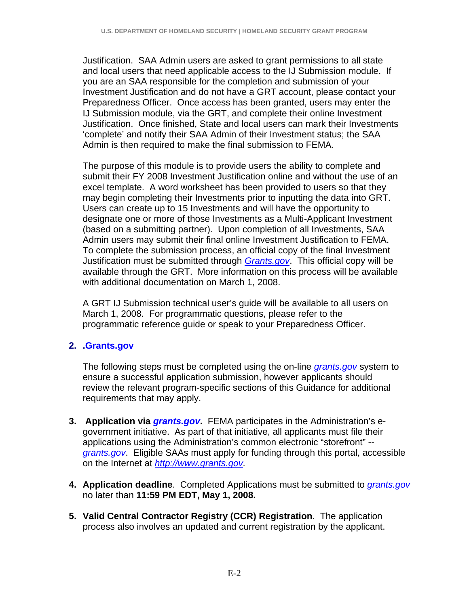Justification. SAA Admin users are asked to grant permissions to all state and local users that need applicable access to the IJ Submission module. If you are an SAA responsible for the completion and submission of your Investment Justification and do not have a GRT account, please contact your Preparedness Officer. Once access has been granted, users may enter the IJ Submission module, via the GRT, and complete their online Investment Justification. Once finished, State and local users can mark their Investments 'complete' and notify their SAA Admin of their Investment status; the SAA Admin is then required to make the final submission to FEMA.

The purpose of this module is to provide users the ability to complete and submit their FY 2008 Investment Justification online and without the use of an excel template. A word worksheet has been provided to users so that they may begin completing their Investments prior to inputting the data into GRT. Users can create up to 15 Investments and will have the opportunity to designate one or more of those Investments as a Multi-Applicant Investment (based on a submitting partner). Upon completion of all Investments, SAA Admin users may submit their final online Investment Justification to FEMA. To complete the submission process, an official copy of the final Investment Justification must be submitted through *Grants.gov*. This official copy will be available through the GRT. More information on this process will be available with additional documentation on March 1, 2008.

A GRT IJ Submission technical user's guide will be available to all users on March 1, 2008. For programmatic questions, please refer to the programmatic reference guide or speak to your Preparedness Officer.

## **2. .Grants.gov**

The following steps must be completed using the on-line *grants.gov* system to ensure a successful application submission, however applicants should review the relevant program-specific sections of this Guidance for additional requirements that may apply.

- **3. Application via** *grants.gov***.** FEMA participates in the Administration's egovernment initiative. As part of that initiative, all applicants must file their applications using the Administration's common electronic "storefront" - *grants.gov*. Eligible SAAs must apply for funding through this portal, accessible on the Internet at *http://www.grants.gov.*
- **4. Application deadline**. Completed Applications must be submitted to *grants.gov* no later than **11:59 PM EDT, May 1, 2008.**
- **5. Valid Central Contractor Registry (CCR) Registration**. The application process also involves an updated and current registration by the applicant.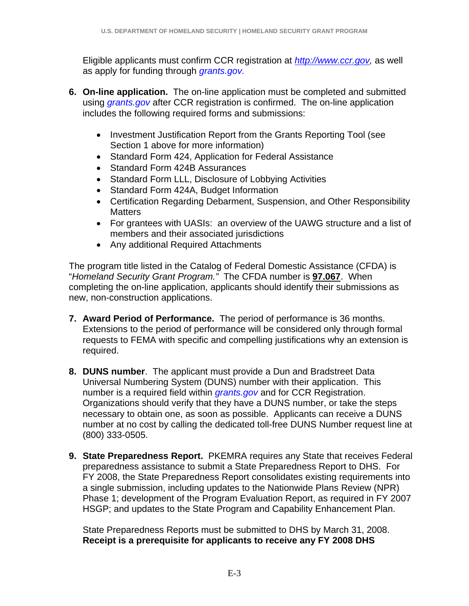Eligible applicants must confirm CCR registration at *http://www.ccr.gov,* as well as apply for funding through *grants.gov.*

- **6. On-line application.** The on-line application must be completed and submitted using *grants.gov* after CCR registration is confirmed. The on-line application includes the following required forms and submissions:
	- Investment Justification Report from the Grants Reporting Tool (see Section 1 above for more information)
	- Standard Form 424, Application for Federal Assistance
	- Standard Form 424B Assurances
	- Standard Form LLL, Disclosure of Lobbying Activities
	- Standard Form 424A, Budget Information
	- Certification Regarding Debarment, Suspension, and Other Responsibility **Matters**
	- For grantees with UASIs: an overview of the UAWG structure and a list of members and their associated jurisdictions
	- Any additional Required Attachments

The program title listed in the Catalog of Federal Domestic Assistance (CFDA) is "*Homeland Security Grant Program."* The CFDA number is **97.067**. When completing the on-line application, applicants should identify their submissions as new, non-construction applications.

- **7. Award Period of Performance.** The period of performance is 36 months. Extensions to the period of performance will be considered only through formal requests to FEMA with specific and compelling justifications why an extension is required.
- **8. DUNS number**. The applicant must provide a Dun and Bradstreet Data Universal Numbering System (DUNS) number with their application. This number is a required field within *grants.gov* and for CCR Registration. Organizations should verify that they have a DUNS number, or take the steps necessary to obtain one, as soon as possible. Applicants can receive a DUNS number at no cost by calling the dedicated toll-free DUNS Number request line at (800) 333-0505.
- **9. State Preparedness Report.** PKEMRA requires any State that receives Federal preparedness assistance to submit a State Preparedness Report to DHS. For FY 2008, the State Preparedness Report consolidates existing requirements into a single submission, including updates to the Nationwide Plans Review (NPR) Phase 1; development of the Program Evaluation Report, as required in FY 2007 HSGP; and updates to the State Program and Capability Enhancement Plan.

State Preparedness Reports must be submitted to DHS by March 31, 2008. **Receipt is a prerequisite for applicants to receive any FY 2008 DHS**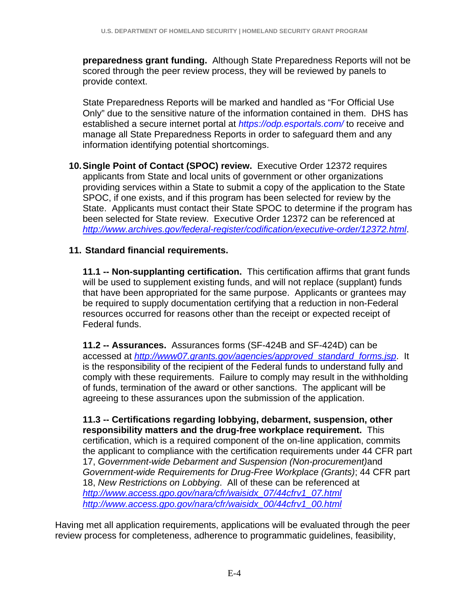**preparedness grant funding.** Although State Preparedness Reports will not be scored through the peer review process, they will be reviewed by panels to provide context.

State Preparedness Reports will be marked and handled as "For Official Use Only" due to the sensitive nature of the information contained in them. DHS has established a secure internet portal at *https://odp.esportals.com/* to receive and manage all State Preparedness Reports in order to safeguard them and any information identifying potential shortcomings.

**10. Single Point of Contact (SPOC) review.** Executive Order 12372 requires applicants from State and local units of government or other organizations providing services within a State to submit a copy of the application to the State SPOC, if one exists, and if this program has been selected for review by the State. Applicants must contact their State SPOC to determine if the program has been selected for State review. Executive Order 12372 can be referenced at *http://www.archives.gov/federal-register/codification/executive-order/12372.html*.

## **11. Standard financial requirements.**

**11.1 -- Non-supplanting certification.** This certification affirms that grant funds will be used to supplement existing funds, and will not replace (supplant) funds that have been appropriated for the same purpose. Applicants or grantees may be required to supply documentation certifying that a reduction in non-Federal resources occurred for reasons other than the receipt or expected receipt of Federal funds.

**11.2 -- Assurances.** Assurances forms (SF-424B and SF-424D) can be accessed at *http://www07.grants.gov/agencies/approved\_standard\_forms.jsp*. It is the responsibility of the recipient of the Federal funds to understand fully and comply with these requirements. Failure to comply may result in the withholding of funds, termination of the award or other sanctions. The applicant will be agreeing to these assurances upon the submission of the application.

**11.3 -- Certifications regarding lobbying, debarment, suspension, other responsibility matters and the drug-free workplace requirement.** This certification, which is a required component of the on-line application, commits the applicant to compliance with the certification requirements under 44 CFR part 17, *Government-wide Debarment and Suspension (Non-procurement)*and *Government-wide Requirements for Drug-Free Workplace (Grants)*; 44 CFR part 18, *New Restrictions on Lobbying*. All of these can be referenced at *http://www.access.gpo.gov/nara/cfr/waisidx\_07/44cfrv1\_07.html http://www.access.gpo.gov/nara/cfr/waisidx\_00/44cfrv1\_00.html*

Having met all application requirements, applications will be evaluated through the peer review process for completeness, adherence to programmatic guidelines, feasibility,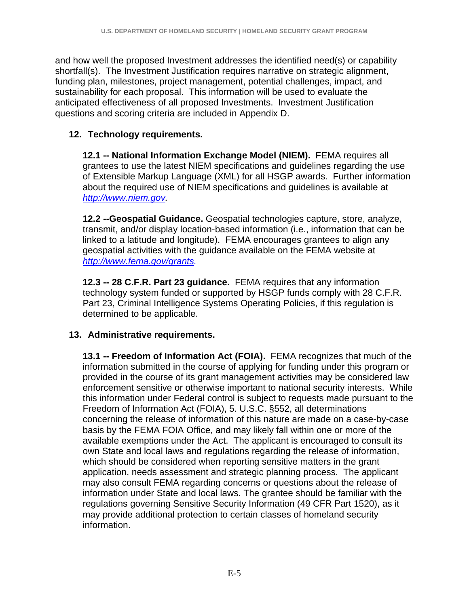and how well the proposed Investment addresses the identified need(s) or capability shortfall(s). The Investment Justification requires narrative on strategic alignment, funding plan, milestones, project management, potential challenges, impact, and sustainability for each proposal. This information will be used to evaluate the anticipated effectiveness of all proposed Investments. Investment Justification questions and scoring criteria are included in Appendix D.

## **12. Technology requirements.**

**12.1 -- National Information Exchange Model (NIEM).** FEMA requires all grantees to use the latest NIEM specifications and guidelines regarding the use of Extensible Markup Language (XML) for all HSGP awards.Further information about the required use of NIEM specifications and guidelines is available at *http://www.niem.gov.* 

**12.2 --Geospatial Guidance.** Geospatial technologies capture, store, analyze, transmit, and/or display location-based information (i.e., information that can be linked to a latitude and longitude). FEMA encourages grantees to align any geospatial activities with the guidance available on the FEMA website at *http://www.fema.gov/grants.* 

**12.3 -- 28 C.F.R. Part 23 guidance.** FEMA requires that any information technology system funded or supported by HSGP funds comply with 28 C.F.R. Part 23, Criminal Intelligence Systems Operating Policies, if this regulation is determined to be applicable.

## **13. Administrative requirements.**

**13.1 -- Freedom of Information Act (FOIA).** FEMA recognizes that much of the information submitted in the course of applying for funding under this program or provided in the course of its grant management activities may be considered law enforcement sensitive or otherwise important to national security interests. While this information under Federal control is subject to requests made pursuant to the Freedom of Information Act (FOIA), 5. U.S.C. §552, all determinations concerning the release of information of this nature are made on a case-by-case basis by the FEMA FOIA Office, and may likely fall within one or more of the available exemptions under the Act. The applicant is encouraged to consult its own State and local laws and regulations regarding the release of information, which should be considered when reporting sensitive matters in the grant application, needs assessment and strategic planning process. The applicant may also consult FEMA regarding concerns or questions about the release of information under State and local laws. The grantee should be familiar with the regulations governing Sensitive Security Information (49 CFR Part 1520), as it may provide additional protection to certain classes of homeland security information.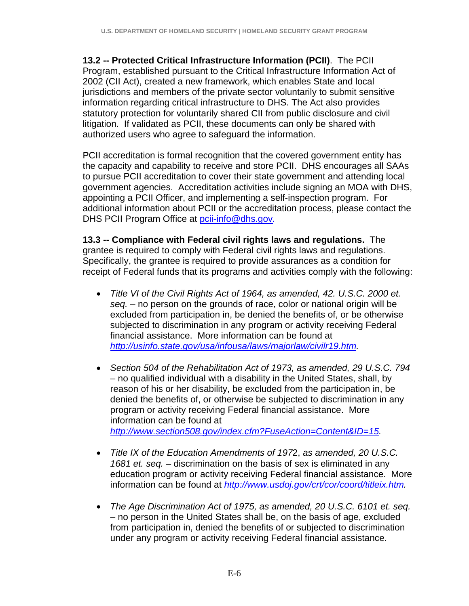**13.2 -- Protected Critical Infrastructure Information (PCII)**. The PCII Program, established pursuant to the Critical Infrastructure Information Act of 2002 (CII Act), created a new framework, which enables State and local jurisdictions and members of the private sector voluntarily to submit sensitive information regarding critical infrastructure to DHS. The Act also provides statutory protection for voluntarily shared CII from public disclosure and civil litigation. If validated as PCII, these documents can only be shared with authorized users who agree to safeguard the information.

PCII accreditation is formal recognition that the covered government entity has the capacity and capability to receive and store PCII. DHS encourages all SAAs to pursue PCII accreditation to cover their state government and attending local government agencies. Accreditation activities include signing an MOA with DHS, appointing a PCII Officer, and implementing a self-inspection program. For additional information about PCII or the accreditation process, please contact the DHS PCII Program Office at pcii-info@dhs.gov*.*

**13.3 -- Compliance with Federal civil rights laws and regulations.** The grantee is required to comply with Federal civil rights laws and regulations. Specifically, the grantee is required to provide assurances as a condition for receipt of Federal funds that its programs and activities comply with the following:

- *Title VI of the Civil Rights Act of 1964, as amended, 42. U.S.C. 2000 et. seq.* – no person on the grounds of race, color or national origin will be excluded from participation in, be denied the benefits of, or be otherwise subjected to discrimination in any program or activity receiving Federal financial assistance. More information can be found at *http://usinfo.state.gov/usa/infousa/laws/majorlaw/civilr19.htm.*
- *Section 504 of the Rehabilitation Act of 1973, as amended, 29 U.S.C. 794*  – no qualified individual with a disability in the United States, shall, by reason of his or her disability, be excluded from the participation in, be denied the benefits of, or otherwise be subjected to discrimination in any program or activity receiving Federal financial assistance. More information can be found at *http://www.section508.gov/index.cfm?FuseAction=Content&ID=15.*
- *Title IX of the Education Amendments of 197*2, *as amended, 20 U.S.C. 1681 et. seq.* – discrimination on the basis of sex is eliminated in any education program or activity receiving Federal financial assistance. More information can be found at *http://www.usdoj.gov/crt/cor/coord/titleix.htm.*
- *The Age Discrimination Act of 1975, as amended, 20 U.S.C. 6101 et. seq.*  – no person in the United States shall be, on the basis of age, excluded from participation in, denied the benefits of or subjected to discrimination under any program or activity receiving Federal financial assistance.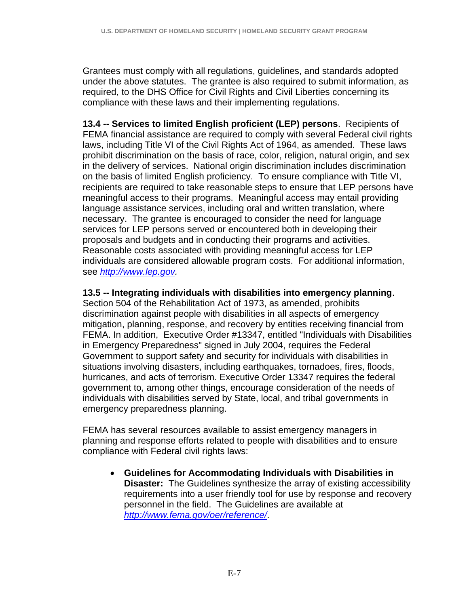Grantees must comply with all regulations, guidelines, and standards adopted under the above statutes. The grantee is also required to submit information, as required, to the DHS Office for Civil Rights and Civil Liberties concerning its compliance with these laws and their implementing regulations.

**13.4 -- Services to limited English proficient (LEP) persons**. Recipients of FEMA financial assistance are required to comply with several Federal civil rights laws, including Title VI of the Civil Rights Act of 1964, as amended. These laws prohibit discrimination on the basis of race, color, religion, natural origin, and sex in the delivery of services. National origin discrimination includes discrimination on the basis of limited English proficiency. To ensure compliance with Title VI, recipients are required to take reasonable steps to ensure that LEP persons have meaningful access to their programs. Meaningful access may entail providing language assistance services, including oral and written translation, where necessary. The grantee is encouraged to consider the need for language services for LEP persons served or encountered both in developing their proposals and budgets and in conducting their programs and activities. Reasonable costs associated with providing meaningful access for LEP individuals are considered allowable program costs. For additional information, see *http://www.lep.gov.*

### **13.5 -- Integrating individuals with disabilities into emergency planning**.

Section 504 of the Rehabilitation Act of 1973, as amended, prohibits discrimination against people with disabilities in all aspects of emergency mitigation, planning, response, and recovery by entities receiving financial from FEMA. In addition, Executive Order #13347, entitled "Individuals with Disabilities in Emergency Preparedness" signed in July 2004, requires the Federal Government to support safety and security for individuals with disabilities in situations involving disasters, including earthquakes, tornadoes, fires, floods, hurricanes, and acts of terrorism. Executive Order 13347 requires the federal government to, among other things, encourage consideration of the needs of individuals with disabilities served by State, local, and tribal governments in emergency preparedness planning.

FEMA has several resources available to assist emergency managers in planning and response efforts related to people with disabilities and to ensure compliance with Federal civil rights laws:

• **Guidelines for Accommodating Individuals with Disabilities in Disaster:** The Guidelines synthesize the array of existing accessibility requirements into a user friendly tool for use by response and recovery personnel in the field. The Guidelines are available at *http://www.fema.gov/oer/reference/*.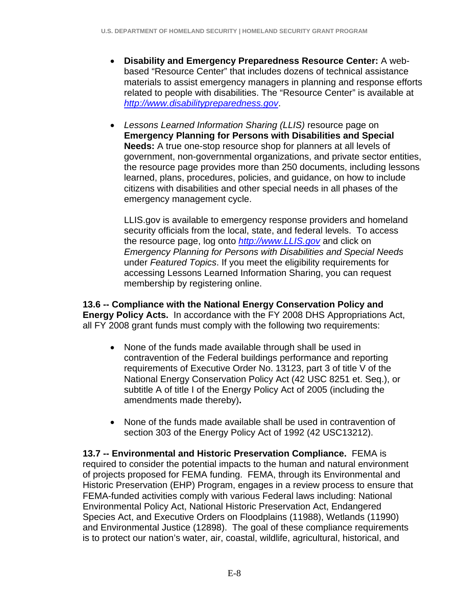- **Disability and Emergency Preparedness Resource Center:** A webbased "Resource Center" that includes dozens of technical assistance materials to assist emergency managers in planning and response efforts related to people with disabilities. The "Resource Center" is available at *http://www.disabilitypreparedness.gov*.
- *Lessons Learned Information Sharing (LLIS)* resource page on **Emergency Planning for Persons with Disabilities and Special Needs:** A true one-stop resource shop for planners at all levels of government, non-governmental organizations, and private sector entities, the resource page provides more than 250 documents, including lessons learned, plans, procedures, policies, and guidance, on how to include citizens with disabilities and other special needs in all phases of the emergency management cycle.

LLIS.gov is available to emergency response providers and homeland security officials from the local, state, and federal levels. To access the resource page, log onto *http://www.LLIS.gov* and click on *Emergency Planning for Persons with Disabilities and Special Needs* under *Featured Topics*. If you meet the eligibility requirements for accessing Lessons Learned Information Sharing, you can request membership by registering online.

**13.6 -- Compliance with the National Energy Conservation Policy and Energy Policy Acts.** In accordance with the FY 2008 DHS Appropriations Act, all FY 2008 grant funds must comply with the following two requirements:

- None of the funds made available through shall be used in contravention of the Federal buildings performance and reporting requirements of Executive Order No. 13123, part 3 of title V of the National Energy Conservation Policy Act (42 USC 8251 et. Seq.), or subtitle A of title I of the Energy Policy Act of 2005 (including the amendments made thereby)**.**
- None of the funds made available shall be used in contravention of section 303 of the Energy Policy Act of 1992 (42 USC13212).

**13.7 -- Environmental and Historic Preservation Compliance.** FEMA is required to consider the potential impacts to the human and natural environment of projects proposed for FEMA funding. FEMA, through its Environmental and Historic Preservation (EHP) Program, engages in a review process to ensure that FEMA-funded activities comply with various Federal laws including: National Environmental Policy Act, National Historic Preservation Act, Endangered Species Act, and Executive Orders on Floodplains (11988), Wetlands (11990) and Environmental Justice (12898). The goal of these compliance requirements is to protect our nation's water, air, coastal, wildlife, agricultural, historical, and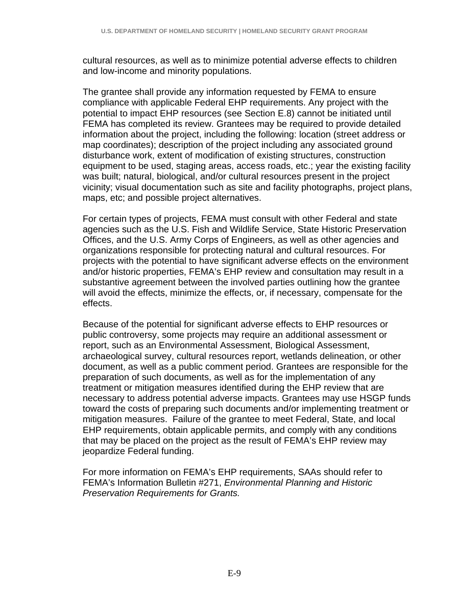cultural resources, as well as to minimize potential adverse effects to children and low-income and minority populations.

The grantee shall provide any information requested by FEMA to ensure compliance with applicable Federal EHP requirements. Any project with the potential to impact EHP resources (see Section E.8) cannot be initiated until FEMA has completed its review. Grantees may be required to provide detailed information about the project, including the following: location (street address or map coordinates); description of the project including any associated ground disturbance work, extent of modification of existing structures, construction equipment to be used, staging areas, access roads, etc.; year the existing facility was built; natural, biological, and/or cultural resources present in the project vicinity; visual documentation such as site and facility photographs, project plans, maps, etc; and possible project alternatives.

For certain types of projects, FEMA must consult with other Federal and state agencies such as the U.S. Fish and Wildlife Service, State Historic Preservation Offices, and the U.S. Army Corps of Engineers, as well as other agencies and organizations responsible for protecting natural and cultural resources. For projects with the potential to have significant adverse effects on the environment and/or historic properties, FEMA's EHP review and consultation may result in a substantive agreement between the involved parties outlining how the grantee will avoid the effects, minimize the effects, or, if necessary, compensate for the effects.

Because of the potential for significant adverse effects to EHP resources or public controversy, some projects may require an additional assessment or report, such as an Environmental Assessment, Biological Assessment, archaeological survey, cultural resources report, wetlands delineation, or other document, as well as a public comment period. Grantees are responsible for the preparation of such documents, as well as for the implementation of any treatment or mitigation measures identified during the EHP review that are necessary to address potential adverse impacts. Grantees may use HSGP funds toward the costs of preparing such documents and/or implementing treatment or mitigation measures. Failure of the grantee to meet Federal, State, and local EHP requirements, obtain applicable permits, and comply with any conditions that may be placed on the project as the result of FEMA's EHP review may jeopardize Federal funding.

For more information on FEMA's EHP requirements, SAAs should refer to FEMA's Information Bulletin #271, *Environmental Planning and Historic Preservation Requirements for Grants.*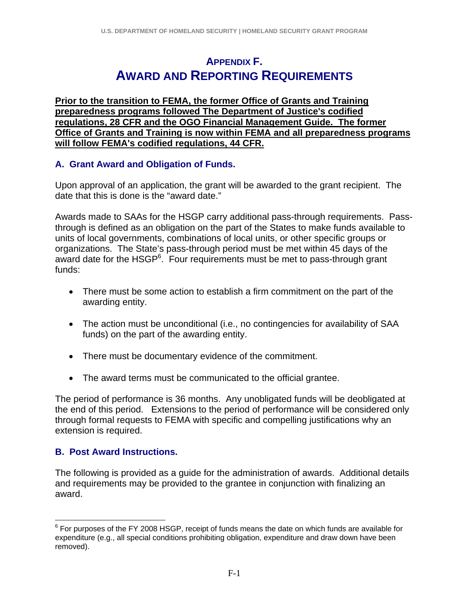# **APPENDIX F. AWARD AND REPORTING REQUIREMENTS**

**Prior to the transition to FEMA, the former Office of Grants and Training preparedness programs followed The Department of Justice's codified regulations, 28 CFR and the OGO Financial Management Guide. The former Office of Grants and Training is now within FEMA and all preparedness programs will follow FEMA's codified regulations, 44 CFR.**

## **A. Grant Award and Obligation of Funds.**

Upon approval of an application, the grant will be awarded to the grant recipient. The date that this is done is the "award date."

Awards made to SAAs for the HSGP carry additional pass-through requirements. Passthrough is defined as an obligation on the part of the States to make funds available to units of local governments, combinations of local units, or other specific groups or organizations. The State's pass-through period must be met within 45 days of the award date for the HSGP<sup>6</sup>. Four requirements must be met to pass-through grant funds:

- There must be some action to establish a firm commitment on the part of the awarding entity.
- The action must be unconditional (i.e., no contingencies for availability of SAA funds) on the part of the awarding entity.
- There must be documentary evidence of the commitment.
- The award terms must be communicated to the official grantee.

The period of performance is 36 months. Any unobligated funds will be deobligated at the end of this period. Extensions to the period of performance will be considered only through formal requests to FEMA with specific and compelling justifications why an extension is required.

# **B. Post Award Instructions.**

The following is provided as a guide for the administration of awards. Additional details and requirements may be provided to the grantee in conjunction with finalizing an award.

 6 For purposes of the FY 2008 HSGP, receipt of funds means the date on which funds are available for expenditure (e.g., all special conditions prohibiting obligation, expenditure and draw down have been removed).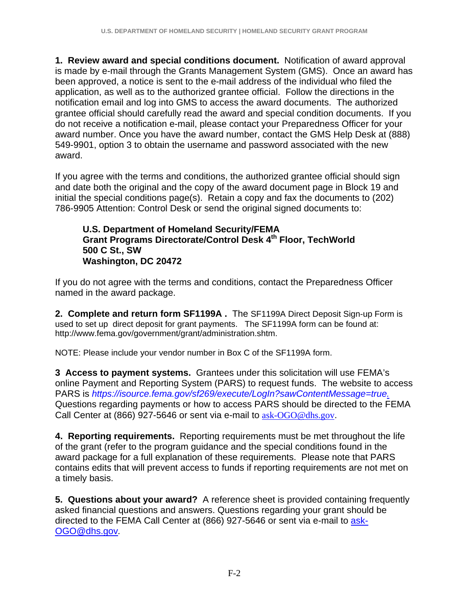**1. Review award and special conditions document.** Notification of award approval is made by e-mail through the Grants Management System (GMS). Once an award has been approved, a notice is sent to the e-mail address of the individual who filed the application, as well as to the authorized grantee official.Follow the directions in the notification email and log into GMS to access the award documents. The authorized grantee official should carefully read the award and special condition documents. If you do not receive a notification e-mail, please contact your Preparedness Officer for your award number. Once you have the award number, contact the GMS Help Desk at (888) 549-9901, option 3 to obtain the username and password associated with the new award.

If you agree with the terms and conditions, the authorized grantee official should sign and date both the original and the copy of the award document page in Block 19 and initial the special conditions page(s). Retain a copy and fax the documents to (202) 786-9905 Attention: Control Desk or send the original signed documents to:

#### **U.S. Department of Homeland Security/FEMA Grant Programs Directorate/Control Desk 4th Floor, TechWorld 500 C St., SW Washington, DC 20472**

If you do not agree with the terms and conditions, contact the Preparedness Officer named in the award package.

**2. Complete and return form SF1199A .** The SF1199A Direct Deposit Sign-up Form is used to set up direct deposit for grant payments. The SF1199A form can be found at: http://www.fema.gov/government/grant/administration.shtm.

NOTE: Please include your vendor number in Box C of the SF1199A form.

**3 Access to payment systems.** Grantees under this solicitation will use FEMA's online Payment and Reporting System (PARS) to request funds. The website to access PARS is *https://isource.fema.gov/sf269/execute/LogIn?sawContentMessage=true.* Questions regarding payments or how to access PARS should be directed to the FEMA Call Center at (866) 927-5646 or sent via e-mail to ask-OGO@dhs.gov.

**4. Reporting requirements.** Reporting requirements must be met throughout the life of the grant (refer to the program guidance and the special conditions found in the award package for a full explanation of these requirements. Please note that PARS contains edits that will prevent access to funds if reporting requirements are not met on a timely basis.

**5. Questions about your award?** A reference sheet is provided containing frequently asked financial questions and answers. Questions regarding your grant should be directed to the FEMA Call Center at (866) 927-5646 or sent via e-mail to ask-OGO@dhs.gov*.*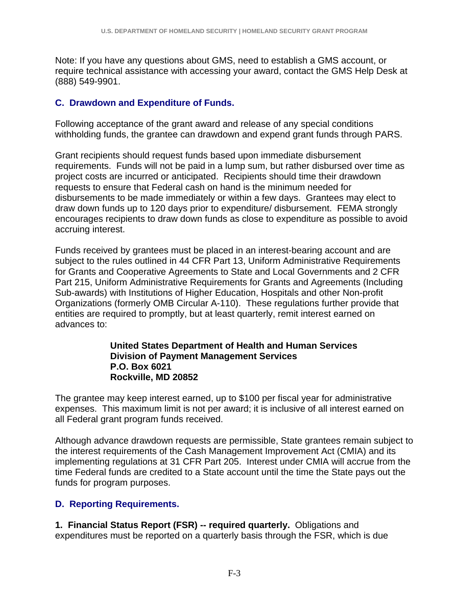Note: If you have any questions about GMS, need to establish a GMS account, or require technical assistance with accessing your award, contact the GMS Help Desk at (888) 549-9901.

## **C. Drawdown and Expenditure of Funds.**

Following acceptance of the grant award and release of any special conditions withholding funds, the grantee can drawdown and expend grant funds through PARS.

Grant recipients should request funds based upon immediate disbursement requirements. Funds will not be paid in a lump sum, but rather disbursed over time as project costs are incurred or anticipated. Recipients should time their drawdown requests to ensure that Federal cash on hand is the minimum needed for disbursements to be made immediately or within a few days. Grantees may elect to draw down funds up to 120 days prior to expenditure/ disbursement. FEMA strongly encourages recipients to draw down funds as close to expenditure as possible to avoid accruing interest.

Funds received by grantees must be placed in an interest-bearing account and are subject to the rules outlined in 44 CFR Part 13, Uniform Administrative Requirements for Grants and Cooperative Agreements to State and Local Governments and 2 CFR Part 215, Uniform Administrative Requirements for Grants and Agreements (Including Sub-awards) with Institutions of Higher Education, Hospitals and other Non-profit Organizations (formerly OMB Circular A-110).These regulations further provide that entities are required to promptly, but at least quarterly, remit interest earned on advances to:

#### **United States Department of Health and Human Services Division of Payment Management Services P.O. Box 6021 Rockville, MD 20852**

The grantee may keep interest earned, up to \$100 per fiscal year for administrative expenses. This maximum limit is not per award; it is inclusive of all interest earned on all Federal grant program funds received.

Although advance drawdown requests are permissible, State grantees remain subject to the interest requirements of the Cash Management Improvement Act (CMIA) and its implementing regulations at 31 CFR Part 205. Interest under CMIA will accrue from the time Federal funds are credited to a State account until the time the State pays out the funds for program purposes.

# **D. Reporting Requirements.**

**1. Financial Status Report (FSR) -- required quarterly.** Obligations and expenditures must be reported on a quarterly basis through the FSR, which is due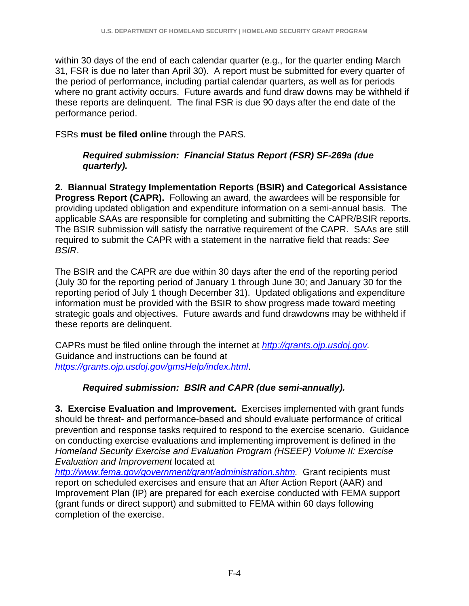within 30 days of the end of each calendar quarter (e.g., for the quarter ending March 31, FSR is due no later than April 30). A report must be submitted for every quarter of the period of performance, including partial calendar quarters, as well as for periods where no grant activity occurs. Future awards and fund draw downs may be withheld if these reports are delinquent. The final FSR is due 90 days after the end date of the performance period.

FSRs **must be filed online** through the PARS*.*

## *Required submission: Financial Status Report (FSR) SF-269a (due quarterly).*

**2. Biannual Strategy Implementation Reports (BSIR) and Categorical Assistance Progress Report (CAPR).** Following an award, the awardees will be responsible for providing updated obligation and expenditure information on a semi-annual basis. The applicable SAAs are responsible for completing and submitting the CAPR/BSIR reports. The BSIR submission will satisfy the narrative requirement of the CAPR. SAAs are still required to submit the CAPR with a statement in the narrative field that reads: *See BSIR*.

The BSIR and the CAPR are due within 30 days after the end of the reporting period (July 30 for the reporting period of January 1 through June 30; and January 30 for the reporting period of July 1 though December 31). Updated obligations and expenditure information must be provided with the BSIR to show progress made toward meeting strategic goals and objectives. Future awards and fund drawdowns may be withheld if these reports are delinquent.

CAPRs must be filed online through the internet at *http://grants.ojp.usdoj.gov.* Guidance and instructions can be found at *https://grants.ojp.usdoj.gov/gmsHelp/index.html*.

# *Required submission: BSIR and CAPR (due semi-annually).*

**3. Exercise Evaluation and Improvement.** Exercises implemented with grant funds should be threat- and performance-based and should evaluate performance of critical prevention and response tasks required to respond to the exercise scenario. Guidance on conducting exercise evaluations and implementing improvement is defined in the *Homeland Security Exercise and Evaluation Program (HSEEP) Volume II: Exercise Evaluation and Improvement* located at

*http://www.fema.gov/government/grant/administration.shtm.* Grant recipients must report on scheduled exercises and ensure that an After Action Report (AAR) and Improvement Plan (IP) are prepared for each exercise conducted with FEMA support (grant funds or direct support) and submitted to FEMA within 60 days following completion of the exercise.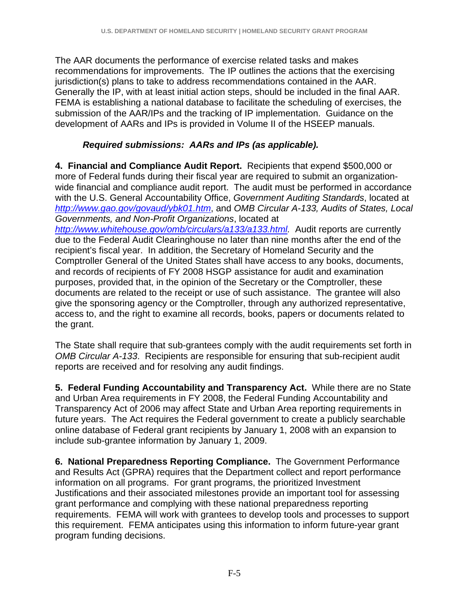The AAR documents the performance of exercise related tasks and makes recommendations for improvements. The IP outlines the actions that the exercising jurisdiction(s) plans to take to address recommendations contained in the AAR. Generally the IP, with at least initial action steps, should be included in the final AAR. FEMA is establishing a national database to facilitate the scheduling of exercises, the submission of the AAR/IPs and the tracking of IP implementation. Guidance on the development of AARs and IPs is provided in Volume II of the HSEEP manuals.

# *Required submissions: AARs and IPs (as applicable).*

**4. Financial and Compliance Audit Report.** Recipients that expend \$500,000 or more of Federal funds during their fiscal year are required to submit an organizationwide financial and compliance audit report. The audit must be performed in accordance with the U.S. General Accountability Office, *Government Auditing Standards*, located at *http://www.gao.gov/govaud/ybk01.htm*, and *OMB Circular A-133, Audits of States, Local Governments, and Non-Profit Organizations*, located at *http://www.whitehouse.gov/omb/circulars/a133/a133.html.* Audit reports are currently due to the Federal Audit Clearinghouse no later than nine months after the end of the recipient's fiscal year. In addition, the Secretary of Homeland Security and the Comptroller General of the United States shall have access to any books, documents, and records of recipients of FY 2008 HSGP assistance for audit and examination purposes, provided that, in the opinion of the Secretary or the Comptroller, these documents are related to the receipt or use of such assistance. The grantee will also give the sponsoring agency or the Comptroller, through any authorized representative, access to, and the right to examine all records, books, papers or documents related to the grant.

The State shall require that sub-grantees comply with the audit requirements set forth in *OMB Circular A-133*. Recipients are responsible for ensuring that sub-recipient audit reports are received and for resolving any audit findings.

**5. Federal Funding Accountability and Transparency Act.** While there are no State and Urban Area requirements in FY 2008, the Federal Funding Accountability and Transparency Act of 2006 may affect State and Urban Area reporting requirements in future years. The Act requires the Federal government to create a publicly searchable online database of Federal grant recipients by January 1, 2008 with an expansion to include sub-grantee information by January 1, 2009.

**6. National Preparedness Reporting Compliance.** The Government Performance and Results Act (GPRA) requires that the Department collect and report performance information on all programs. For grant programs, the prioritized Investment Justifications and their associated milestones provide an important tool for assessing grant performance and complying with these national preparedness reporting requirements. FEMA will work with grantees to develop tools and processes to support this requirement. FEMA anticipates using this information to inform future-year grant program funding decisions.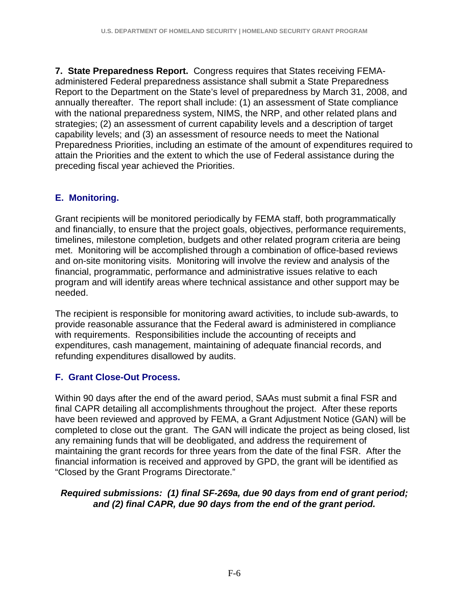**7. State Preparedness Report.**Congress requires that States receiving FEMAadministered Federal preparedness assistance shall submit a State Preparedness Report to the Department on the State's level of preparedness by March 31, 2008, and annually thereafter. The report shall include: (1) an assessment of State compliance with the national preparedness system, NIMS, the NRP, and other related plans and strategies; (2) an assessment of current capability levels and a description of target capability levels; and (3) an assessment of resource needs to meet the National Preparedness Priorities, including an estimate of the amount of expenditures required to attain the Priorities and the extent to which the use of Federal assistance during the preceding fiscal year achieved the Priorities.

## **E. Monitoring.**

Grant recipients will be monitored periodically by FEMA staff, both programmatically and financially, to ensure that the project goals, objectives, performance requirements, timelines, milestone completion, budgets and other related program criteria are being met. Monitoring will be accomplished through a combination of office-based reviews and on-site monitoring visits. Monitoring will involve the review and analysis of the financial, programmatic, performance and administrative issues relative to each program and will identify areas where technical assistance and other support may be needed.

The recipient is responsible for monitoring award activities, to include sub-awards, to provide reasonable assurance that the Federal award is administered in compliance with requirements. Responsibilities include the accounting of receipts and expenditures, cash management, maintaining of adequate financial records, and refunding expenditures disallowed by audits.

# **F. Grant Close-Out Process.**

Within 90 days after the end of the award period, SAAs must submit a final FSR and final CAPR detailing all accomplishments throughout the project. After these reports have been reviewed and approved by FEMA, a Grant Adjustment Notice (GAN) will be completed to close out the grant. The GAN will indicate the project as being closed, list any remaining funds that will be deobligated, and address the requirement of maintaining the grant records for three years from the date of the final FSR. After the financial information is received and approved by GPD, the grant will be identified as "Closed by the Grant Programs Directorate."

### *Required submissions: (1) final SF-269a, due 90 days from end of grant period; and (2) final CAPR, due 90 days from the end of the grant period.*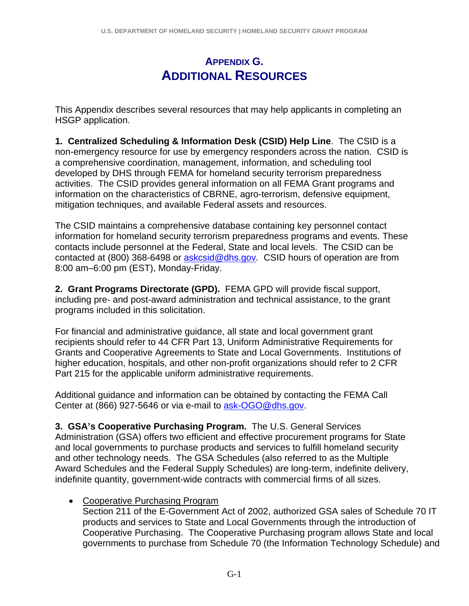# **APPENDIX G. ADDITIONAL RESOURCES**

This Appendix describes several resources that may help applicants in completing an HSGP application.

**1. Centralized Scheduling & Information Desk (CSID) Help Line**. The CSID is a non-emergency resource for use by emergency responders across the nation. CSID is a comprehensive coordination, management, information, and scheduling tool developed by DHS through FEMA for homeland security terrorism preparedness activities. The CSID provides general information on all FEMA Grant programs and information on the characteristics of CBRNE, agro-terrorism, defensive equipment, mitigation techniques, and available Federal assets and resources.

The CSID maintains a comprehensive database containing key personnel contact information for homeland security terrorism preparedness programs and events. These contacts include personnel at the Federal, State and local levels. The CSID can be contacted at (800) 368-6498 or askcsid@dhs.gov*.* CSID hours of operation are from 8:00 am–6:00 pm (EST), Monday-Friday.

**2. Grant Programs Directorate (GPD).** FEMA GPD will provide fiscal support, including pre- and post-award administration and technical assistance, to the grant programs included in this solicitation.

For financial and administrative guidance, all state and local government grant recipients should refer to 44 CFR Part 13, Uniform Administrative Requirements for Grants and Cooperative Agreements to State and Local Governments. Institutions of higher education, hospitals, and other non-profit organizations should refer to 2 CFR Part 215 for the applicable uniform administrative requirements.

Additional guidance and information can be obtained by contacting the FEMA Call Center at (866) 927-5646 or via e-mail to ask-OGO@dhs.gov.

**3. GSA's Cooperative Purchasing Program.** The U.S. General Services Administration (GSA) offers two efficient and effective procurement programs for State and local governments to purchase products and services to fulfill homeland security and other technology needs. The GSA Schedules (also referred to as the Multiple Award Schedules and the Federal Supply Schedules) are long-term, indefinite delivery, indefinite quantity, government-wide contracts with commercial firms of all sizes.

• Cooperative Purchasing Program

Section 211 of the E-Government Act of 2002, authorized GSA sales of Schedule 70 IT products and services to State and Local Governments through the introduction of Cooperative Purchasing. The Cooperative Purchasing program allows State and local governments to purchase from Schedule 70 (the Information Technology Schedule) and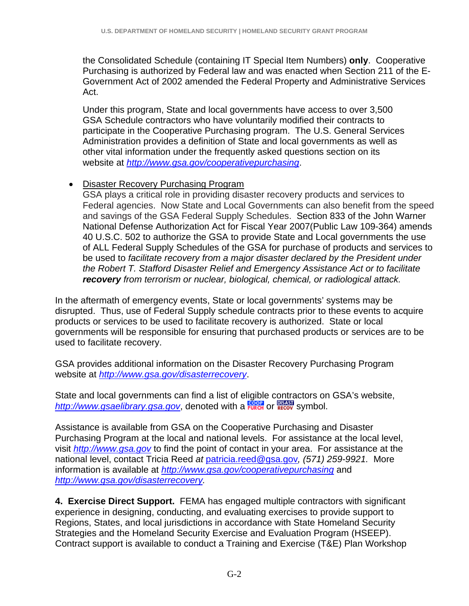the Consolidated Schedule (containing IT Special Item Numbers) **only**. Cooperative Purchasing is authorized by Federal law and was enacted when Section 211 of the E-Government Act of 2002 amended the Federal Property and Administrative Services Act.

Under this program, State and local governments have access to over 3,500 GSA Schedule contractors who have voluntarily modified their contracts to participate in the Cooperative Purchasing program. The U.S. General Services Administration provides a definition of State and local governments as well as other vital information under the frequently asked questions section on its website at *http://www.gsa.gov/cooperativepurchasing*.

## • Disaster Recovery Purchasing Program

GSA plays a critical role in providing disaster recovery products and services to Federal agencies. Now State and Local Governments can also benefit from the speed and savings of the GSA Federal Supply Schedules. Section 833 of the John Warner National Defense Authorization Act for Fiscal Year 2007(Public Law 109-364) amends 40 U.S.C. 502 to authorize the GSA to provide State and Local governments the use of ALL Federal Supply Schedules of the GSA for purchase of products and services to be used to *facilitate recovery from a major disaster declared by the President under the Robert T. Stafford Disaster Relief and Emergency Assistance Act or to facilitate recovery from terrorism or nuclear, biological, chemical, or radiological attack.* 

In the aftermath of emergency events, State or local governments' systems may be disrupted. Thus, use of Federal Supply schedule contracts prior to these events to acquire products or services to be used to facilitate recovery is authorized. State or local governments will be responsible for ensuring that purchased products or services are to be used to facilitate recovery.

GSA provides additional information on the Disaster Recovery Purchasing Program website at *http://www.gsa.gov/disasterrecovery*.

State and local governments can find a list of eligible contractors on GSA's website, http://www.gsaelibrary.gsa.gov, denoted with a **FURCH** or **RECOV** Symbol.

Assistance is available from GSA on the Cooperative Purchasing and Disaster Purchasing Program at the local and national levels. For assistance at the local level, visit *http://www.gsa.gov* to find the point of contact in your area. For assistance at the national level, contact Tricia Reed *at* patricia.reed@gsa.gov*, (571) 259-9921.* More information is available at *http://www.gsa.gov/cooperativepurchasing* and *http://www.gsa.gov/disasterrecovery.* 

**4. Exercise Direct Support.** FEMA has engaged multiple contractors with significant experience in designing, conducting, and evaluating exercises to provide support to Regions, States, and local jurisdictions in accordance with State Homeland Security Strategies and the Homeland Security Exercise and Evaluation Program (HSEEP). Contract support is available to conduct a Training and Exercise (T&E) Plan Workshop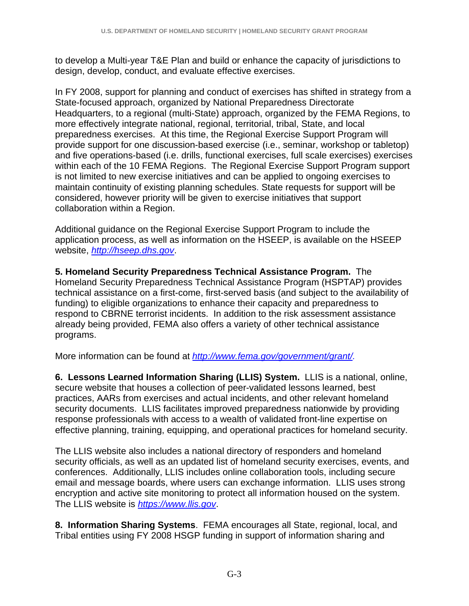to develop a Multi-year T&E Plan and build or enhance the capacity of jurisdictions to design, develop, conduct, and evaluate effective exercises.

In FY 2008, support for planning and conduct of exercises has shifted in strategy from a State-focused approach, organized by National Preparedness Directorate Headquarters, to a regional (multi-State) approach, organized by the FEMA Regions, to more effectively integrate national, regional, territorial, tribal, State, and local preparedness exercises. At this time, the Regional Exercise Support Program will provide support for one discussion-based exercise (i.e., seminar, workshop or tabletop) and five operations-based (i.e. drills, functional exercises, full scale exercises) exercises within each of the 10 FEMA Regions. The Regional Exercise Support Program support is not limited to new exercise initiatives and can be applied to ongoing exercises to maintain continuity of existing planning schedules. State requests for support will be considered, however priority will be given to exercise initiatives that support collaboration within a Region.

Additional guidance on the Regional Exercise Support Program to include the application process, as well as information on the HSEEP, is available on the HSEEP website, *http://hseep.dhs.gov*.

**5. Homeland Security Preparedness Technical Assistance Program.** The Homeland Security Preparedness Technical Assistance Program (HSPTAP) provides technical assistance on a first-come, first-served basis (and subject to the availability of funding) to eligible organizations to enhance their capacity and preparedness to respond to CBRNE terrorist incidents. In addition to the risk assessment assistance already being provided, FEMA also offers a variety of other technical assistance programs.

More information can be found at *http://www.fema.gov/government/grant/.* 

**6. Lessons Learned Information Sharing (LLIS) System.** LLIS is a national, online, secure website that houses a collection of peer-validated lessons learned, best practices, AARs from exercises and actual incidents, and other relevant homeland security documents. LLIS facilitates improved preparedness nationwide by providing response professionals with access to a wealth of validated front-line expertise on effective planning, training, equipping, and operational practices for homeland security.

The LLIS website also includes a national directory of responders and homeland security officials, as well as an updated list of homeland security exercises, events, and conferences. Additionally, LLIS includes online collaboration tools, including secure email and message boards, where users can exchange information. LLIS uses strong encryption and active site monitoring to protect all information housed on the system. The LLIS website is *https://www.llis.gov*.

**8. Information Sharing Systems**. FEMA encourages all State, regional, local, and Tribal entities using FY 2008 HSGP funding in support of information sharing and